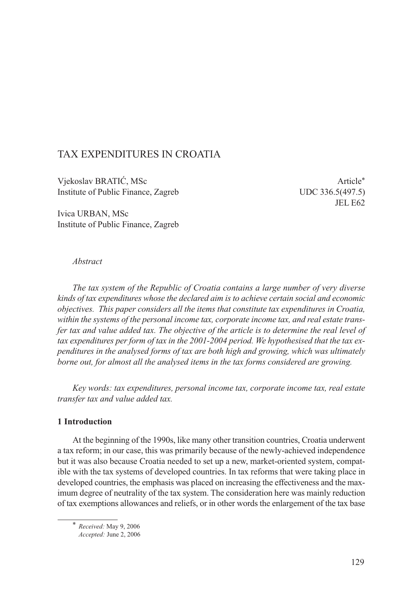## TAX EXPENDITURES IN CROATIA

Vjekoslav BRATIĆ, MSc Institute of Public Finance, Zagreb UDC 336.5(497.5)

Ivica URBAN, MSc Institute of Public Finance, Zagreb JEL E62

#### *Abstract*

*The tax system of the Republic of Croatia contains a large number of very diverse kinds of tax expenditures whose the declared aim is to achieve certain social and economic objectives. This paper considers all the items that constitute tax expenditures in Croatia, within the systems of the personal income tax, corporate income tax, and real estate transfer tax and value added tax. The objective of the article is to determine the real level of tax expenditures per form of tax in the 2001-2004 period. We hypothesised that the tax expenditures in the analysed forms of tax are both high and growing, which was ultimately borne out, for almost all the analysed items in the tax forms considered are growing.*

*Key words: tax expenditures, personal income tax, corporate income tax, real estate transfer tax and value added tax.*

#### **1 Introduction**

At the beginning of the 1990s, like many other transition countries, Croatia underwent a tax reform; in our case, this was primarily because of the newly-achieved independence but it was also because Croatia needed to set up a new, market-oriented system, compatible with the tax systems of developed countries. In tax reforms that were taking place in developed countries, the emphasis was placed on increasing the effectiveness and the maximum degree of neutrality of the tax system. The consideration here was mainly reduction of tax exemptions allowances and reliefs, or in other words the enlargement of the tax base

\* *Received:* May 9, 2006 *Accepted:* June 2, 2006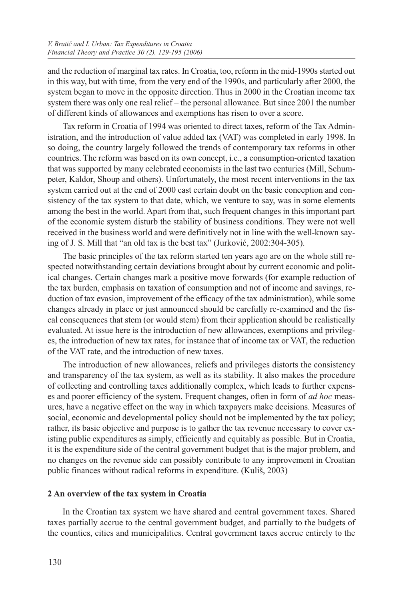and the reduction of marginal tax rates. In Croatia, too, reform in the mid-1990s started out in this way, but with time, from the very end of the 1990s, and particularly after 2000, the system began to move in the opposite direction. Thus in 2000 in the Croatian income tax system there was only one real relief – the personal allowance. But since 2001 the number of different kinds of allowances and exemptions has risen to over a score.

Tax reform in Croatia of 1994 was oriented to direct taxes, reform of the Tax Administration, and the introduction of value added tax (VAT) was completed in early 1998. In so doing, the country largely followed the trends of contemporary tax reforms in other countries. The reform was based on its own concept, i.e., a consumption-oriented taxation that was supported by many celebrated economists in the last two centuries (Mill, Schumpeter, Kaldor, Shoup and others). Unfortunately, the most recent interventions in the tax system carried out at the end of 2000 cast certain doubt on the basic conception and consistency of the tax system to that date, which, we venture to say, was in some elements among the best in the world. Apart from that, such frequent changes in this important part of the economic system disturb the stability of business conditions. They were not well received in the business world and were definitively not in line with the well-known saying of J. S. Mill that "an old tax is the best tax" (Jurković, 2002:304-305).

The basic principles of the tax reform started ten years ago are on the whole still respected notwithstanding certain deviations brought about by current economic and political changes. Certain changes mark a positive move forwards (for example reduction of the tax burden, emphasis on taxation of consumption and not of income and savings, reduction of tax evasion, improvement of the efficacy of the tax administration), while some changes already in place or just announced should be carefully re-examined and the fiscal consequences that stem (or would stem) from their application should be realistically evaluated. At issue here is the introduction of new allowances, exemptions and privileges, the introduction of new tax rates, for instance that of income tax or VAT, the reduction of the VAT rate, and the introduction of new taxes.

The introduction of new allowances, reliefs and privileges distorts the consistency and transparency of the tax system, as well as its stability. It also makes the procedure of collecting and controlling taxes additionally complex, which leads to further expenses and poorer efficiency of the system. Frequent changes, often in form of *ad hoc* measures, have a negative effect on the way in which taxpayers make decisions. Measures of social, economic and developmental policy should not be implemented by the tax policy; rather, its basic objective and purpose is to gather the tax revenue necessary to cover existing public expenditures as simply, efficiently and equitably as possible. But in Croatia, it is the expenditure side of the central government budget that is the major problem, and no changes on the revenue side can possibly contribute to any improvement in Croatian public finances without radical reforms in expenditure. (Kuliš, 2003)

## **2 An overview of the tax system in Croatia**

In the Croatian tax system we have shared and central government taxes. Shared taxes partially accrue to the central government budget, and partially to the budgets of the counties, cities and municipalities. Central government taxes accrue entirely to the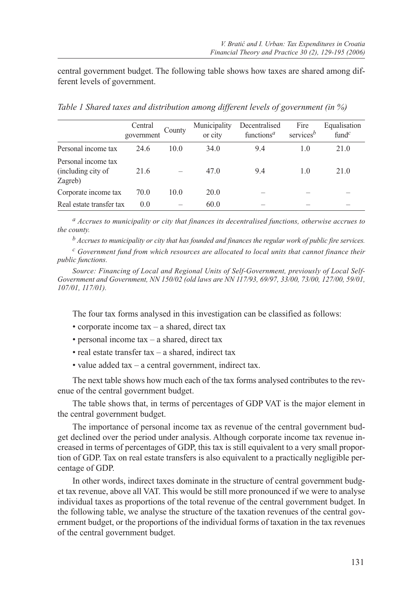central government budget. The following table shows how taxes are shared among different levels of government.

|                                                      | Central<br>government | County | Municipality<br>or city | Decentralised<br>functions <sup><math>a</math></sup> | Fire<br>services $b$ | Equalisation<br>fund <sup><math>c</math></sup> |
|------------------------------------------------------|-----------------------|--------|-------------------------|------------------------------------------------------|----------------------|------------------------------------------------|
| Personal income tax                                  | 24.6                  | 10.0   | 34.0                    | 9.4                                                  | 1.0                  | 21.0                                           |
| Personal income tax<br>(including city of<br>Zagreb) | 21.6                  |        | 47.0                    | 9.4                                                  | 1.0                  | 21.0                                           |
| Corporate income tax                                 | 70.0                  | 10.0   | 20.0                    |                                                      |                      |                                                |
| Real estate transfer tax                             | 0.0                   |        | 60.0                    |                                                      |                      |                                                |

*Table 1 Shared taxes and distribution among different levels of government (in %)*

*a Accrues to municipality or city that finances its decentralised functions, otherwise accrues to the county.*

*b Accrues to municipality or city that has founded and finances the regular work of public fire services.*

*c Government fund from which resources are allocated to local units that cannot finance their public functions.*

*Source: Financing of Local and Regional Units of Self-Government, previously of Local Self-Government and Government, NN 150/02 (old laws are NN 117/93, 69/97, 33/00, 73/00, 127/00, 59/01, 107/01, 117/01).*

The four tax forms analysed in this investigation can be classified as follows:

- corporate income tax a shared, direct tax
- personal income tax a shared, direct tax
- real estate transfer tax a shared, indirect tax
- value added tax a central government, indirect tax.

The next table shows how much each of the tax forms analysed contributes to the revenue of the central government budget.

The table shows that, in terms of percentages of GDP VAT is the major element in the central government budget.

The importance of personal income tax as revenue of the central government budget declined over the period under analysis. Although corporate income tax revenue increased in terms of percentages of GDP, this tax is still equivalent to a very small proportion of GDP. Tax on real estate transfers is also equivalent to a practically negligible percentage of GDP.

In other words, indirect taxes dominate in the structure of central government budget tax revenue, above all VAT. This would be still more pronounced if we were to analyse individual taxes as proportions of the total revenue of the central government budget. In the following table, we analyse the structure of the taxation revenues of the central government budget, or the proportions of the individual forms of taxation in the tax revenues of the central government budget.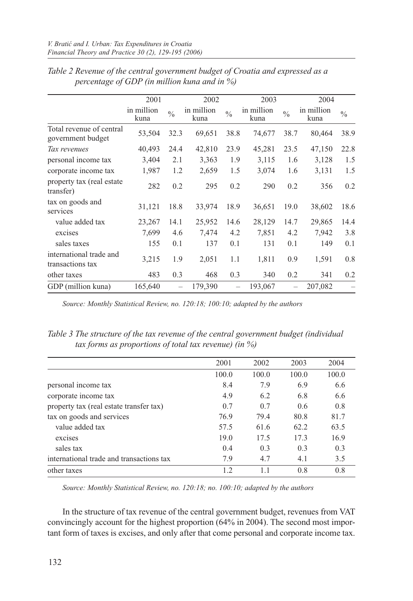|                                               | 2001               |               | 2002               |               | 2003               | 2004          |                    |               |
|-----------------------------------------------|--------------------|---------------|--------------------|---------------|--------------------|---------------|--------------------|---------------|
|                                               | in million<br>kuna | $\frac{0}{0}$ | in million<br>kuna | $\frac{0}{0}$ | in million<br>kuna | $\frac{0}{0}$ | in million<br>kuna | $\frac{0}{0}$ |
| Total revenue of central<br>government budget | 53,504             | 32.3          | 69,651             | 38.8          | 74,677             | 38.7          | 80,464             | 38.9          |
| Tax revenues                                  | 40,493             | 24.4          | 42,810             | 23.9          | 45,281             | 23.5          | 47,150             | 22.8          |
| personal income tax                           | 3,404              | 2.1           | 3,363              | 1.9           | 3,115              | 1.6           | 3,128              | 1.5           |
| corporate income tax                          | 1,987              | 1.2           | 2,659              | 1.5           | 3,074              | 1.6           | 3,131              | 1.5           |
| property tax (real estate)<br>transfer)       | 282                | 0.2           | 295                | 0.2           | 290                | 0.2           | 356                | 0.2           |
| tax on goods and<br>services                  | 31,121             | 18.8          | 33,974             | 18.9          | 36,651             | 19.0          | 38,602             | 18.6          |
| value added tax                               | 23,267             | 14.1          | 25,952             | 14.6          | 28,129             | 14.7          | 29,865             | 14.4          |
| excises                                       | 7,699              | 4.6           | 7,474              | 4.2           | 7,851              | 4.2           | 7,942              | 3.8           |
| sales taxes                                   | 155                | 0.1           | 137                | 0.1           | 131                | 0.1           | 149                | 0.1           |
| international trade and<br>transactions tax   | 3,215              | 1.9           | 2,051              | 1.1           | 1,811              | 0.9           | 1,591              | 0.8           |
| other taxes                                   | 483                | 0.3           | 468                | 0.3           | 340                | 0.2           | 341                | 0.2           |
| GDP (million kuna)                            | 165,640            |               | 179,390            |               | 193,067            |               | 207,082            |               |

*Table 2 Revenue of the central government budget of Croatia and expressed as a percentage of GDP (in million kuna and in %)*

*Source: Monthly Statistical Review, no. 120:18; 100:10; adapted by the authors*

*Table 3 The structure of the tax revenue of the central government budget (individual tax forms as proportions of total tax revenue) (in %)*

|                                          | 2001  | 2002  | 2003  | 2004  |
|------------------------------------------|-------|-------|-------|-------|
|                                          | 100.0 | 100.0 | 100.0 | 100.0 |
| personal income tax                      | 8.4   | 7.9   | 6.9   | 6.6   |
| corporate income tax                     | 4.9   | 6.2   | 6.8   | 6.6   |
| property tax (real estate transfer tax)  | 0.7   | 0.7   | 0.6   | 0.8   |
| tax on goods and services                | 76.9  | 79.4  | 80.8  | 81.7  |
| value added tax                          | 57.5  | 61.6  | 62.2  | 63.5  |
| excises                                  | 19.0  | 17.5  | 17.3  | 16.9  |
| sales tax                                | 0.4   | 0.3   | 0.3   | 0.3   |
| international trade and transactions tax | 7.9   | 4.7   | 4.1   | 3.5   |
| other taxes                              | 1.2   |       | 0.8   | 0.8   |

*Source: Monthly Statistical Review, no. 120:18; no. 100:10; adapted by the authors*

In the structure of tax revenue of the central government budget, revenues from VAT convincingly account for the highest proportion (64% in 2004). The second most important form of taxes is excises, and only after that come personal and corporate income tax.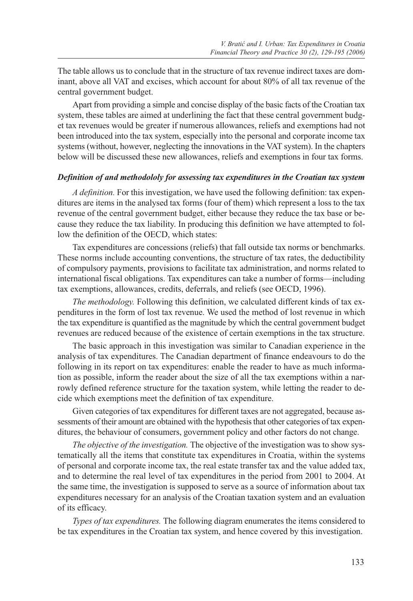The table allows us to conclude that in the structure of tax revenue indirect taxes are dominant, above all VAT and excises, which account for about 80% of all tax revenue of the central government budget.

Apart from providing a simple and concise display of the basic facts of the Croatian tax system, these tables are aimed at underlining the fact that these central government budget tax revenues would be greater if numerous allowances, reliefs and exemptions had not been introduced into the tax system, especially into the personal and corporate income tax systems (without, however, neglecting the innovations in the VAT system). In the chapters below will be discussed these new allowances, reliefs and exemptions in four tax forms.

#### *Definition of and methodololy for assessing tax expenditures in the Croatian tax system*

*A definition.* For this investigation, we have used the following definition: tax expenditures are items in the analysed tax forms (four of them) which represent a loss to the tax revenue of the central government budget, either because they reduce the tax base or because they reduce the tax liability. In producing this definition we have attempted to follow the definition of the OECD, which states:

Tax expenditures are concessions (reliefs) that fall outside tax norms or benchmarks. These norms include accounting conventions, the structure of tax rates, the deductibility of compulsory payments, provisions to facilitate tax administration, and norms related to international fiscal obligations. Tax expenditures can take a number of forms—including tax exemptions, allowances, credits, deferrals, and reliefs (see OECD, 1996).

*The methodology.* Following this definition, we calculated different kinds of tax expenditures in the form of lost tax revenue. We used the method of lost revenue in which the tax expenditure is quantified as the magnitude by which the central government budget revenues are reduced because of the existence of certain exemptions in the tax structure.

The basic approach in this investigation was similar to Canadian experience in the analysis of tax expenditures. The Canadian department of finance endeavours to do the following in its report on tax expenditures: enable the reader to have as much information as possible, inform the reader about the size of all the tax exemptions within a narrowly defined reference structure for the taxation system, while letting the reader to decide which exemptions meet the definition of tax expenditure.

Given categories of tax expenditures for different taxes are not aggregated, because assessments of their amount are obtained with the hypothesis that other categories of tax expenditures, the behaviour of consumers, government policy and other factors do not change.

*The objective of the investigation.* The objective of the investigation was to show systematically all the items that constitute tax expenditures in Croatia, within the systems of personal and corporate income tax, the real estate transfer tax and the value added tax, and to determine the real level of tax expenditures in the period from 2001 to 2004. At the same time, the investigation is supposed to serve as a source of information about tax expenditures necessary for an analysis of the Croatian taxation system and an evaluation of its efficacy.

*Types of tax expenditures.* The following diagram enumerates the items considered to be tax expenditures in the Croatian tax system, and hence covered by this investigation.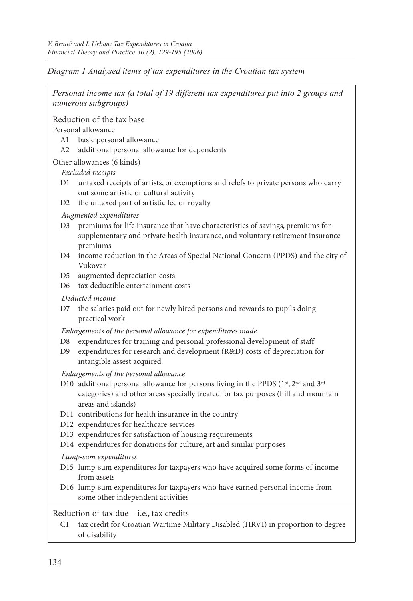*Diagram 1 Analysed items of tax expenditures in the Croatian tax system*

| Personal income tax (a total of 19 different tax expenditures put into 2 groups and<br>numerous subgroups)                                                                                                                                                      |
|-----------------------------------------------------------------------------------------------------------------------------------------------------------------------------------------------------------------------------------------------------------------|
| Reduction of the tax base<br>Personal allowance<br>A <sub>1</sub><br>basic personal allowance<br>additional personal allowance for dependents<br>A2                                                                                                             |
| Other allowances (6 kinds)                                                                                                                                                                                                                                      |
| Excluded receipts                                                                                                                                                                                                                                               |
| untaxed receipts of artists, or exemptions and relefs to private persons who carry<br>D1<br>out some artistic or cultural activity                                                                                                                              |
| the untaxed part of artistic fee or royalty<br>D2                                                                                                                                                                                                               |
| Augmented expenditures<br>D3<br>premiums for life insurance that have characteristics of savings, premiums for<br>supplementary and private health insurance, and voluntary retirement insurance<br>premiums                                                    |
| income reduction in the Areas of Special National Concern (PPDS) and the city of<br>D4<br>Vukovar                                                                                                                                                               |
| augmented depreciation costs<br>D5.<br>tax deductible entertainment costs<br>D6 =                                                                                                                                                                               |
| Deducted income                                                                                                                                                                                                                                                 |
| the salaries paid out for newly hired persons and rewards to pupils doing<br>D7<br>practical work                                                                                                                                                               |
| Enlargements of the personal allowance for expenditures made<br>expenditures for training and personal professional development of staff<br>D8<br>expenditures for research and development (R&D) costs of depreciation for<br>D9<br>intangible assest acquired |
| Enlargements of the personal allowance                                                                                                                                                                                                                          |
| D10 additional personal allowance for persons living in the PPDS (1st, 2nd and 3rd<br>categories) and other areas specially treated for tax purposes (hill and mountain<br>areas and islands)                                                                   |
| D11 contributions for health insurance in the country                                                                                                                                                                                                           |
| D12 expenditures for healthcare services                                                                                                                                                                                                                        |
| D13 expenditures for satisfaction of housing requirements                                                                                                                                                                                                       |
| D14 expenditures for donations for culture, art and similar purposes                                                                                                                                                                                            |
| Lump-sum expenditures<br>D15 lump-sum expenditures for taxpayers who have acquired some forms of income<br>from assets                                                                                                                                          |
| D16 lump-sum expenditures for taxpayers who have earned personal income from<br>some other independent activities                                                                                                                                               |
| Reduction of tax due - i.e., tax credits                                                                                                                                                                                                                        |

C1 tax credit for Croatian Wartime Military Disabled (HRVI) in proportion to degree of disability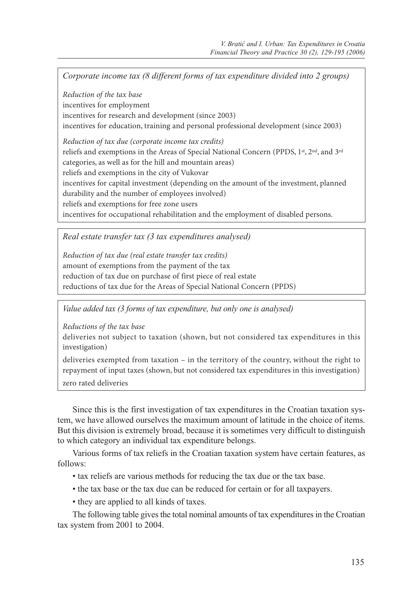*Corporate income tax (8 different forms of tax expenditure divided into 2 groups)*

*Reduction of the tax base* incentives for employment incentives for research and development (since 2003) incentives for education, training and personal professional development (since 2003)

*Reduction of tax due (corporate income tax credits)* reliefs and exemptions in the Areas of Special National Concern (PPDS, 1st, 2nd, and 3rd categories, as well as for the hill and mountain areas) reliefs and exemptions in the city of Vukovar incentives for capital investment (depending on the amount of the investment, planned durability and the number of employees involved) reliefs and exemptions for free zone users incentives for occupational rehabilitation and the employment of disabled persons.

*Real estate transfer tax (3 tax expenditures analysed)*

*Reduction of tax due (real estate transfer tax credits)* amount of exemptions from the payment of the tax reduction of tax due on purchase of first piece of real estate reductions of tax due for the Areas of Special National Concern (PPDS)

*Value added tax (3 forms of tax expenditure, but only one is analysed)*

*Reductions of the tax base* 

deliveries not subject to taxation (shown, but not considered tax expenditures in this investigation)

deliveries exempted from taxation – in the territory of the country, without the right to repayment of input taxes (shown, but not considered tax expenditures in this investigation) zero rated deliveries

Since this is the first investigation of tax expenditures in the Croatian taxation system, we have allowed ourselves the maximum amount of latitude in the choice of items. But this division is extremely broad, because it is sometimes very difficult to distinguish to which category an individual tax expenditure belongs.

Various forms of tax reliefs in the Croatian taxation system have certain features, as follows:

- tax reliefs are various methods for reducing the tax due or the tax base.
- the tax base or the tax due can be reduced for certain or for all taxpayers.
- they are applied to all kinds of taxes.

The following table gives the total nominal amounts of tax expenditures in the Croatian tax system from 2001 to 2004.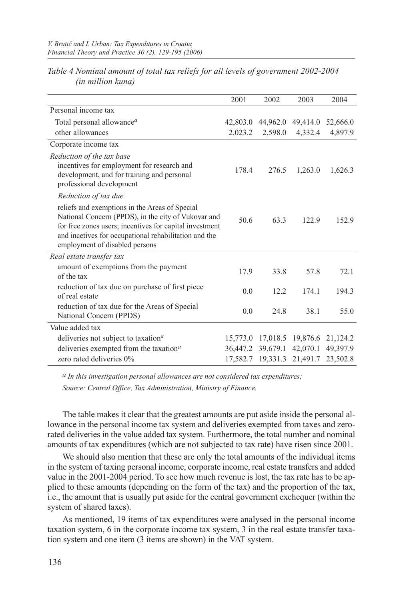|                                                                                                                                                                                                                                                             | 2001     | 2002    | 2003                       | 2004     |
|-------------------------------------------------------------------------------------------------------------------------------------------------------------------------------------------------------------------------------------------------------------|----------|---------|----------------------------|----------|
| Personal income tax                                                                                                                                                                                                                                         |          |         |                            |          |
| Total personal allowance <sup>a</sup>                                                                                                                                                                                                                       | 42,803.0 |         | 44,962.0 49,414.0          | 52,666.0 |
| other allowances                                                                                                                                                                                                                                            | 2,023.2  | 2,598.0 | 4,332.4                    | 4,897.9  |
| Corporate income tax                                                                                                                                                                                                                                        |          |         |                            |          |
| Reduction of the tax base<br>incentives for employment for research and<br>development, and for training and personal<br>professional development                                                                                                           | 178.4    | 276.5   | 1,263.0                    | 1,626.3  |
| Reduction of tax due                                                                                                                                                                                                                                        |          |         |                            |          |
| reliefs and exemptions in the Areas of Special<br>National Concern (PPDS), in the city of Vukovar and<br>for free zones users; incentives for capital investment<br>and incetives for occupational rehabilitation and the<br>employment of disabled persons | 50.6     | 63.3    | 122.9                      | 152.9    |
| Real estate transfer tax                                                                                                                                                                                                                                    |          |         |                            |          |
| amount of exemptions from the payment<br>of the tax                                                                                                                                                                                                         | 17.9     | 33.8    | 57.8                       | 72.1     |
| reduction of tax due on purchase of first piece<br>of real estate                                                                                                                                                                                           | 0.0      | 12.2    | 174.1                      | 194.3    |
| reduction of tax due for the Areas of Special<br>National Concern (PPDS)                                                                                                                                                                                    | 0.0      | 24.8    | 38.1                       | 55.0     |
| Value added tax                                                                                                                                                                                                                                             |          |         |                            |          |
| deliveries not subject to taxation <sup><math>a</math></sup>                                                                                                                                                                                                | 15,773.0 |         | 17,018.5 19,876.6          | 21,124.2 |
| deliveries exempted from the taxation <sup>a</sup>                                                                                                                                                                                                          |          |         | 36,447.2 39,679.1 42,070.1 | 49,397.9 |
| zero rated deliveries 0%                                                                                                                                                                                                                                    |          |         | 17,582.7 19,331.3 21,491.7 | 23,502.8 |

*Table 4 Nominal amount of total tax reliefs for all levels of government 2002-2004 (in million kuna)*

*a In this investigation personal allowances are not considered tax expenditures; Source: Central Office, Tax Administration, Ministry of Finance.*

The table makes it clear that the greatest amounts are put aside inside the personal allowance in the personal income tax system and deliveries exempted from taxes and zerorated deliveries in the value added tax system. Furthermore, the total number and nominal amounts of tax expenditures (which are not subjected to tax rate) have risen since 2001.

We should also mention that these are only the total amounts of the individual items in the system of taxing personal income, corporate income, real estate transfers and added value in the 2001-2004 period. To see how much revenue is lost, the tax rate has to be applied to these amounts (depending on the form of the tax) and the proportion of the tax, i.e., the amount that is usually put aside for the central government exchequer (within the system of shared taxes).

As mentioned, 19 items of tax expenditures were analysed in the personal income taxation system, 6 in the corporate income tax system, 3 in the real estate transfer taxation system and one item (3 items are shown) in the VAT system.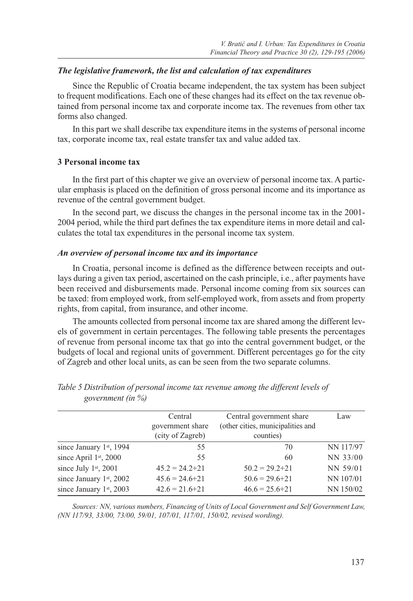#### *The legislative framework, the list and calculation of tax expenditures*

Since the Republic of Croatia became independent, the tax system has been subject to frequent modifications. Each one of these changes had its effect on the tax revenue obtained from personal income tax and corporate income tax. The revenues from other tax forms also changed.

In this part we shall describe tax expenditure items in the systems of personal income tax, corporate income tax, real estate transfer tax and value added tax.

#### **3 Personal income tax**

In the first part of this chapter we give an overview of personal income tax. A particular emphasis is placed on the definition of gross personal income and its importance as revenue of the central government budget.

In the second part, we discuss the changes in the personal income tax in the 2001- 2004 period, while the third part defines the tax expenditure items in more detail and calculates the total tax expenditures in the personal income tax system.

#### *An overview of personal income tax and its importance*

In Croatia, personal income is defined as the difference between receipts and outlays during a given tax period, ascertained on the cash principle, i.e., after payments have been received and disbursements made. Personal income coming from six sources can be taxed: from employed work, from self-employed work, from assets and from property rights, from capital, from insurance, and other income.

The amounts collected from personal income tax are shared among the different levels of government in certain percentages. The following table presents the percentages of revenue from personal income tax that go into the central government budget, or the budgets of local and regional units of government. Different percentages go for the city of Zagreb and other local units, as can be seen from the two separate columns.

|                          | Central                              | Central government share                       | Law       |
|--------------------------|--------------------------------------|------------------------------------------------|-----------|
|                          | government share<br>(city of Zagreb) | (other cities, municipalities and<br>counties) |           |
| since January 1st, 1994  | 55                                   | 70                                             | NN 117/97 |
| since April $1st$ , 2000 | 55                                   | 60                                             | NN 33/00  |
| since July 1st, 2001     | $45.2 = 24.2 + 21$                   | $50.2 = 29.2 + 21$                             | NN 59/01  |
| since January 1st, 2002  | $45.6 = 24.6 + 21$                   | $50.6 = 29.6 + 21$                             | NN 107/01 |
| since January 1st, 2003  | $42.6 = 21.6 + 21$                   | $46.6 = 25.6 + 21$                             | NN 150/02 |

*Table 5 Distribution of personal income tax revenue among the different levels of government (in %)*

*Sources: NN, various numbers, Financing of Units of Local Government and Self Government Law, (NN 117/93, 33/00, 73/00, 59/01, 107/01, 117/01, 150/02, revised wording).*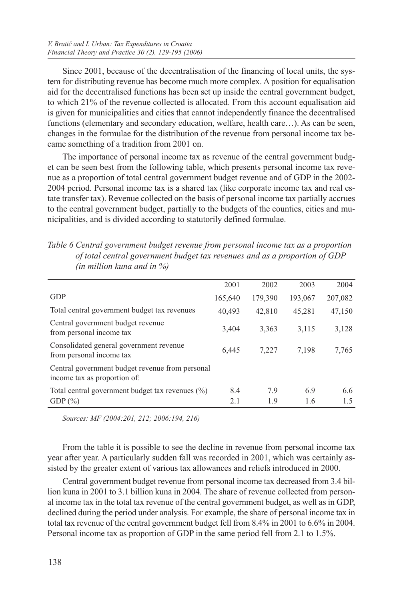Since 2001, because of the decentralisation of the financing of local units, the system for distributing revenue has become much more complex. A position for equalisation aid for the decentralised functions has been set up inside the central government budget, to which 21% of the revenue collected is allocated. From this account equalisation aid is given for municipalities and cities that cannot independently finance the decentralised functions (elementary and secondary education, welfare, health care…). As can be seen, changes in the formulae for the distribution of the revenue from personal income tax became something of a tradition from 2001 on.

The importance of personal income tax as revenue of the central government budget can be seen best from the following table, which presents personal income tax revenue as a proportion of total central government budget revenue and of GDP in the 2002- 2004 period. Personal income tax is a shared tax (like corporate income tax and real estate transfer tax). Revenue collected on the basis of personal income tax partially accrues to the central government budget, partially to the budgets of the counties, cities and municipalities, and is divided according to statutorily defined formulae.

| Table 6 Central government budget revenue from personal income tax as a proportion |  |
|------------------------------------------------------------------------------------|--|
| of total central government budget tax revenues and as a proportion of GDP         |  |
| (in million kuna and in $\%$ )                                                     |  |

|                                                                                 | 2001    | 2002    | 2003    | 2004    |
|---------------------------------------------------------------------------------|---------|---------|---------|---------|
| <b>GDP</b>                                                                      | 165,640 | 179,390 | 193,067 | 207,082 |
| Total central government budget tax revenues                                    | 40,493  | 42,810  | 45,281  | 47,150  |
| Central government budget revenue<br>from personal income tax                   | 3,404   | 3,363   | 3,115   | 3,128   |
| Consolidated general government revenue<br>from personal income tax             | 6.445   | 7,227   | 7.198   | 7,765   |
| Central government budget revenue from personal<br>income tax as proportion of: |         |         |         |         |
| Total central government budget tax revenues $(\%)$                             | 8.4     | 7.9     | 6.9     | 6.6     |
| GDP $(\% )$                                                                     | 2.1     | 1.9     | 1.6     | 1.5     |

*Sources: MF (2004:201, 212; 2006:194, 216)*

From the table it is possible to see the decline in revenue from personal income tax year after year. A particularly sudden fall was recorded in 2001, which was certainly assisted by the greater extent of various tax allowances and reliefs introduced in 2000.

Central government budget revenue from personal income tax decreased from 3.4 billion kuna in 2001 to 3.1 billion kuna in 2004. The share of revenue collected from personal income tax in the total tax revenue of the central government budget, as well as in GDP, declined during the period under analysis. For example, the share of personal income tax in total tax revenue of the central government budget fell from 8.4% in 2001 to 6.6% in 2004. Personal income tax as proportion of GDP in the same period fell from 2.1 to 1.5%.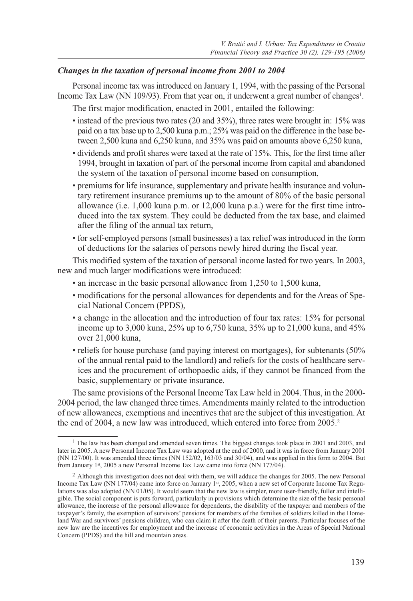#### *Changes in the taxation of personal income from 2001 to 2004*

Personal income tax was introduced on January 1, 1994, with the passing of the Personal Income Tax Law (NN 109/93). From that year on, it underwent a great number of changes<sup>1</sup>.

The first major modification, enacted in 2001, entailed the following:

- instead of the previous two rates (20 and 35%), three rates were brought in: 15% was paid on a tax base up to 2,500 kuna p.m.; 25% was paid on the difference in the base between 2,500 kuna and 6,250 kuna, and 35% was paid on amounts above 6,250 kuna,
- dividends and profit shares were taxed at the rate of 15%. This, for the first time after 1994, brought in taxation of part of the personal income from capital and abandoned the system of the taxation of personal income based on consumption,
- premiums for life insurance, supplementary and private health insurance and voluntary retirement insurance premiums up to the amount of 80% of the basic personal allowance (i.e. 1,000 kuna p.m. or 12,000 kuna p.a.) were for the first time introduced into the tax system. They could be deducted from the tax base, and claimed after the filing of the annual tax return,
- for self-employed persons (small businesses) a tax relief was introduced in the form of deductions for the salaries of persons newly hired during the fiscal year.

This modified system of the taxation of personal income lasted for two years. In 2003, new and much larger modifications were introduced:

- an increase in the basic personal allowance from 1,250 to 1,500 kuna,
- modifications for the personal allowances for dependents and for the Areas of Special National Concern (PPDS),
- a change in the allocation and the introduction of four tax rates: 15% for personal income up to 3,000 kuna, 25% up to 6,750 kuna, 35% up to 21,000 kuna, and 45% over 21,000 kuna,
- reliefs for house purchase (and paying interest on mortgages), for subtenants (50% of the annual rental paid to the landlord) and reliefs for the costs of healthcare services and the procurement of orthopaedic aids, if they cannot be financed from the basic, supplementary or private insurance.

The same provisions of the Personal Income Tax Law held in 2004. Thus, in the 2000- 2004 period, the law changed three times. Amendments mainly related to the introduction of new allowances, exemptions and incentives that are the subject of this investigation. At the end of 2004, a new law was introduced, which entered into force from 2005.2

<sup>&</sup>lt;sup>1</sup> The law has been changed and amended seven times. The biggest changes took place in 2001 and 2003, and later in 2005. A new Personal Income Tax Law was adopted at the end of 2000, and it was in force from January 2001 (NN 127/00). It was amended three times (NN 152/02, 163/03 and 30/04), and was applied in this form to 2004. But from January 1st, 2005 a new Personal Income Tax Law came into force (NN 177/04).

<sup>&</sup>lt;sup>2</sup> Although this investigation does not deal with them, we will adduce the changes for 2005. The new Personal Income Tax Law (NN 177/04) came into force on January 1st, 2005, when a new set of Corporate Income Tax Regulations was also adopted (NN 01/05). It would seem that the new law is simpler, more user-friendly, fuller and intelligible. The social component is puts forward, particularly in provisions which determine the size of the basic personal allowance, the increase of the personal allowance for dependents, the disability of the taxpayer and members of the taxpayer's family, the exemption of survivors' pensions for members of the families of soldiers killed in the Homeland War and survivors' pensions children, who can claim it after the death of their parents. Particular focuses of the new law are the incentives for employment and the increase of economic activities in the Areas of Special National Concern (PPDS) and the hill and mountain areas.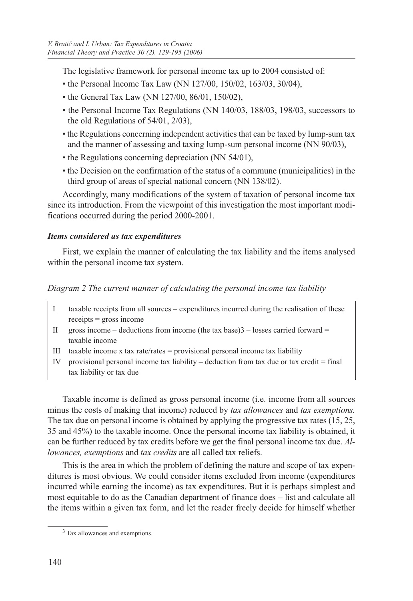The legislative framework for personal income tax up to 2004 consisted of:

- the Personal Income Tax Law (NN 127/00, 150/02, 163/03, 30/04),
- the General Tax Law (NN 127/00, 86/01, 150/02),
- the Personal Income Tax Regulations (NN 140/03, 188/03, 198/03, successors to the old Regulations of 54/01, 2/03),
- the Regulations concerning independent activities that can be taxed by lump-sum tax and the manner of assessing and taxing lump-sum personal income (NN 90/03),
- the Regulations concerning depreciation (NN 54/01),
- the Decision on the confirmation of the status of a commune (municipalities) in the third group of areas of special national concern (NN 138/02).

Accordingly, many modifications of the system of taxation of personal income tax since its introduction. From the viewpoint of this investigation the most important modifications occurred during the period 2000-2001.

## *Items considered as tax expenditures*

First, we explain the manner of calculating the tax liability and the items analysed within the personal income tax system.

- *Diagram 2 The current manner of calculating the personal income tax liability*
- I taxable receipts from all sources expenditures incurred during the realisation of these receipts = gross income
- II gross income deductions from income (the tax base) $3$  losses carried forward = taxable income
- III taxable income x tax rate/rates = provisional personal income tax liability
- IV provisional personal income tax liability deduction from tax due or tax credit = final tax liability or tax due

Taxable income is defined as gross personal income (i.e. income from all sources minus the costs of making that income) reduced by *tax allowances* and *tax exemptions.* The tax due on personal income is obtained by applying the progressive tax rates (15, 25, 35 and 45%) to the taxable income. Once the personal income tax liability is obtained, it can be further reduced by tax credits before we get the final personal income tax due. *Allowances, exemptions* and *tax credits* are all called tax reliefs.

This is the area in which the problem of defining the nature and scope of tax expenditures is most obvious. We could consider items excluded from income (expenditures incurred while earning the income) as tax expenditures. But it is perhaps simplest and most equitable to do as the Canadian department of finance does – list and calculate all the items within a given tax form, and let the reader freely decide for himself whether

<sup>3</sup> Tax allowances and exemptions.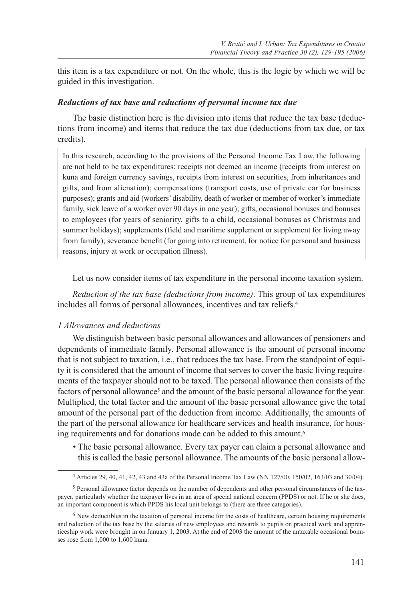this item is a tax expenditure or not. On the whole, this is the logic by which we will be guided in this investigation.

#### *Reductions of tax base and reductions of personal income tax due*

The basic distinction here is the division into items that reduce the tax base (deductions from income) and items that reduce the tax due (deductions from tax due, or tax credits).

In this research, according to the provisions of the Personal Income Tax Law, the following are not held to be tax expenditures: receipts not deemed an income (receipts from interest on kuna and foreign currency savings, receipts from interest on securities, from inheritances and gifts, and from alienation); compensations (transport costs, use of private car for business purposes); grants and aid (workers' disability, death of worker or member of worker's immediate family, sick leave of a worker over 90 days in one year); gifts, occasional bonuses and bonuses to employees (for years of seniority, gifts to a child, occasional bonuses as Christmas and summer holidays); supplements (field and maritime supplement or supplement for living away from family); severance benefit (for going into retirement, for notice for personal and business reasons, injury at work or occupation illness).

Let us now consider items of tax expenditure in the personal income taxation system.

*Reduction of the tax base (deductions from income)*. This group of tax expenditures includes all forms of personal allowances, incentives and tax reliefs.4

#### *1 Allowances and deductions*

We distinguish between basic personal allowances and allowances of pensioners and dependents of immediate family. Personal allowance is the amount of personal income that is not subject to taxation, i.e., that reduces the tax base. From the standpoint of equity it is considered that the amount of income that serves to cover the basic living requirements of the taxpayer should not to be taxed. The personal allowance then consists of the factors of personal allowance<sup>5</sup> and the amount of the basic personal allowance for the year. Multiplied, the total factor and the amount of the basic personal allowance give the total amount of the personal part of the deduction from income. Additionally, the amounts of the part of the personal allowance for healthcare services and health insurance, for housing requirements and for donations made can be added to this amount.<sup>6</sup>

*•* The basic personal allowance. Every tax payer can claim a personal allowance and this is called the basic personal allowance. The amounts of the basic personal allow-

<sup>4</sup> Articles 29, 40, 41, 42, 43 and 43a of the Personal Income Tax Law (NN 127/00, 150/02, 163/03 and 30/04).

<sup>5</sup> Personal allowance factor depends on the number of dependents and other personal circumstances of the taxpayer, particularly whether the taxpayer lives in an area of special national concern (PPDS) or not. If he or she does, an important component is which PPDS his local unit belongs to (there are three categories).

<sup>&</sup>lt;sup>6</sup> New deductibles in the taxation of personal income for the costs of healthcare, certain housing requirements and reduction of the tax base by the salaries of new employees and rewards to pupils on practical work and apprenticeship work were brought in on January 1, 2003. At the end of 2003 the amount of the untaxable occasional bonuses rose from 1,000 to 1,600 kuna.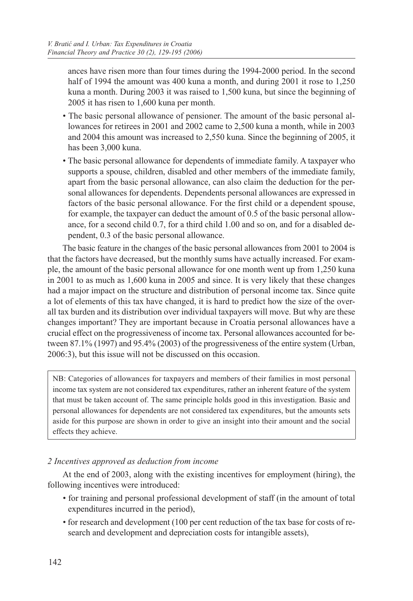ances have risen more than four times during the 1994-2000 period. In the second half of 1994 the amount was 400 kuna a month, and during 2001 it rose to 1.250 kuna a month. During 2003 it was raised to 1,500 kuna, but since the beginning of 2005 it has risen to 1,600 kuna per month.

- The basic personal allowance of pensioner. The amount of the basic personal allowances for retirees in 2001 and 2002 came to 2,500 kuna a month, while in 2003 and 2004 this amount was increased to 2,550 kuna. Since the beginning of 2005, it has been 3,000 kuna.
- The basic personal allowance for dependents of immediate family. A taxpayer who supports a spouse, children, disabled and other members of the immediate family, apart from the basic personal allowance, can also claim the deduction for the personal allowances for dependents. Dependents personal allowances are expressed in factors of the basic personal allowance. For the first child or a dependent spouse, for example, the taxpayer can deduct the amount of 0.5 of the basic personal allowance, for a second child 0.7, for a third child 1.00 and so on, and for a disabled dependent, 0.3 of the basic personal allowance.

The basic feature in the changes of the basic personal allowances from 2001 to 2004 is that the factors have decreased, but the monthly sums have actually increased. For example, the amount of the basic personal allowance for one month went up from 1,250 kuna in 2001 to as much as 1,600 kuna in 2005 and since. It is very likely that these changes had a major impact on the structure and distribution of personal income tax. Since quite a lot of elements of this tax have changed, it is hard to predict how the size of the overall tax burden and its distribution over individual taxpayers will move. But why are these changes important? They are important because in Croatia personal allowances have a crucial effect on the progressiveness of income tax. Personal allowances accounted for between 87.1% (1997) and 95.4% (2003) of the progressiveness of the entire system (Urban, 2006:3), but this issue will not be discussed on this occasion.

NB: Categories of allowances for taxpayers and members of their families in most personal income tax system are not considered tax expenditures, rather an inherent feature of the system that must be taken account of. The same principle holds good in this investigation. Basic and personal allowances for dependents are not considered tax expenditures, but the amounts sets aside for this purpose are shown in order to give an insight into their amount and the social effects they achieve.

## *2 Incentives approved as deduction from income*

At the end of 2003, along with the existing incentives for employment (hiring), the following incentives were introduced:

- for training and personal professional development of staff (in the amount of total expenditures incurred in the period),
- for research and development (100 per cent reduction of the tax base for costs of research and development and depreciation costs for intangible assets),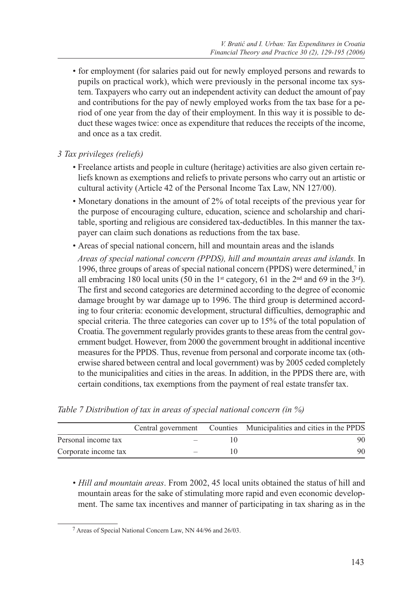*•* for employment (for salaries paid out for newly employed persons and rewards to pupils on practical work), which were previously in the personal income tax system. Taxpayers who carry out an independent activity can deduct the amount of pay and contributions for the pay of newly employed works from the tax base for a period of one year from the day of their employment. In this way it is possible to deduct these wages twice: once as expenditure that reduces the receipts of the income, and once as a tax credit.

*3 Tax privileges (reliefs)*

- Freelance artists and people in culture (heritage) activities are also given certain reliefs known as exemptions and reliefs to private persons who carry out an artistic or cultural activity (Article 42 of the Personal Income Tax Law, NN 127/00).
- Monetary donations in the amount of 2% of total receipts of the previous year for the purpose of encouraging culture, education, science and scholarship and charitable, sporting and religious are considered tax-deductibles. In this manner the taxpayer can claim such donations as reductions from the tax base.
- Areas of special national concern, hill and mountain areas and the islands

 *Areas of special national concern (PPDS), hill and mountain areas and islands.* In 1996, three groups of areas of special national concern (PPDS) were determined,7 in all embracing 180 local units (50 in the 1<sup>st</sup> category, 61 in the  $2<sup>nd</sup>$  and 69 in the  $3<sup>rd</sup>$ ). The first and second categories are determined according to the degree of economic damage brought by war damage up to 1996. The third group is determined according to four criteria: economic development, structural difficulties, demographic and special criteria. The three categories can cover up to 15% of the total population of Croatia. The government regularly provides grants to these areas from the central government budget. However, from 2000 the government brought in additional incentive measures for the PPDS. Thus, revenue from personal and corporate income tax (otherwise shared between central and local government) was by 2005 ceded completely to the municipalities and cities in the areas. In addition, in the PPDS there are, with certain conditions, tax exemptions from the payment of real estate transfer tax.

|                      |        | Central government Counties Municipalities and cities in the PPDS |
|----------------------|--------|-------------------------------------------------------------------|
| Personal income tax  | $\sim$ | 90                                                                |
| Corporate income tax |        | 90                                                                |

*Table 7 Distribution of tax in areas of special national concern (in %)*

*• Hill and mountain areas*. From 2002, 45 local units obtained the status of hill and mountain areas for the sake of stimulating more rapid and even economic development. The same tax incentives and manner of participating in tax sharing as in the

<sup>7</sup> Areas of Special National Concern Law, NN 44/96 and 26/03.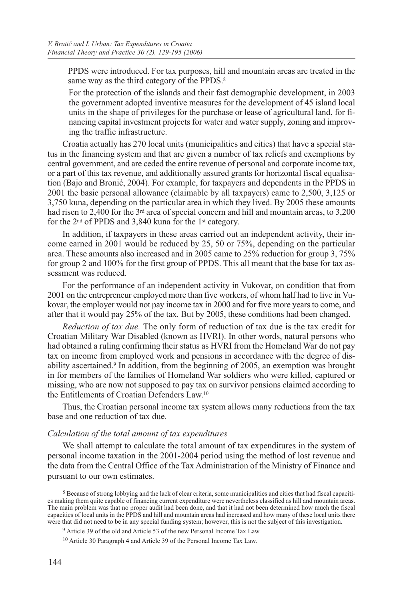PPDS were introduced. For tax purposes, hill and mountain areas are treated in the same way as the third category of the PPDS.<sup>8</sup>

 For the protection of the islands and their fast demographic development, in 2003 the government adopted inventive measures for the development of 45 island local units in the shape of privileges for the purchase or lease of agricultural land, for financing capital investment projects for water and water supply, zoning and improving the traffic infrastructure.

Croatia actually has 270 local units (municipalities and cities) that have a special status in the financing system and that are given a number of tax reliefs and exemptions by central government, and are ceded the entire revenue of personal and corporate income tax, or a part of this tax revenue, and additionally assured grants for horizontal fiscal equalisation (Bajo and Bronić, 2004). For example, for taxpayers and dependents in the PPDS in 2001 the basic personal allowance (claimable by all taxpayers) came to 2,500, 3,125 or 3,750 kuna, depending on the particular area in which they lived. By 2005 these amounts had risen to 2,400 for the 3<sup>rd</sup> area of special concern and hill and mountain areas, to 3,200 for the 2nd of PPDS and 3,840 kuna for the 1st category.

In addition, if taxpayers in these areas carried out an independent activity, their income earned in 2001 would be reduced by 25, 50 or 75%, depending on the particular area. These amounts also increased and in 2005 came to 25% reduction for group 3, 75% for group 2 and 100% for the first group of PPDS. This all meant that the base for tax assessment was reduced.

For the performance of an independent activity in Vukovar, on condition that from 2001 on the entrepreneur employed more than five workers, of whom half had to live in Vukovar, the employer would not pay income tax in 2000 and for five more years to come, and after that it would pay 25% of the tax. But by 2005, these conditions had been changed.

*Reduction of tax due.* The only form of reduction of tax due is the tax credit for Croatian Military War Disabled (known as HVRI). In other words, natural persons who had obtained a ruling confirming their status as HVRI from the Homeland War do not pay tax on income from employed work and pensions in accordance with the degree of disability ascertained.9 In addition, from the beginning of 2005, an exemption was brought in for members of the families of Homeland War soldiers who were killed, captured or missing, who are now not supposed to pay tax on survivor pensions claimed according to the Entitlements of Croatian Defenders Law.10

Thus, the Croatian personal income tax system allows many reductions from the tax base and one reduction of tax due.

#### *Calculation of the total amount of tax expenditures*

We shall attempt to calculate the total amount of tax expenditures in the system of personal income taxation in the 2001-2004 period using the method of lost revenue and the data from the Central Office of the Tax Administration of the Ministry of Finance and pursuant to our own estimates.

<sup>&</sup>lt;sup>8</sup> Because of strong lobbying and the lack of clear criteria, some municipalities and cities that had fiscal capacities making them quite capable of financing current expenditure were nevertheless classified as hill and mountain areas. The main problem was that no proper audit had been done, and that it had not been determined how much the fiscal capacities of local units in the PPDS and hill and mountain areas had increased and how many of these local units there were that did not need to be in any special funding system; however, this is not the subject of this investigation.

<sup>9</sup> Article 39 of the old and Article 53 of the new Personal Income Tax Law.

<sup>10</sup> Article 30 Paragraph 4 and Article 39 of the Personal Income Tax Law.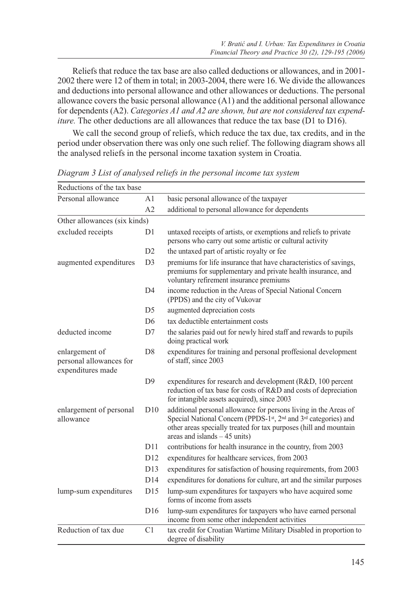Reliefs that reduce the tax base are also called deductions or allowances, and in 2001- 2002 there were 12 of them in total; in 2003-2004, there were 16. We divide the allowances and deductions into personal allowance and other allowances or deductions. The personal allowance covers the basic personal allowance (A1) and the additional personal allowance for dependents (A2). *Categories A1 and A2 are shown, but are not considered tax expenditure*. The other deductions are all allowances that reduce the tax base (D1 to D16).

We call the second group of reliefs, which reduce the tax due, tax credits, and in the period under observation there was only one such relief. The following diagram shows all the analysed reliefs in the personal income taxation system in Croatia.

| Reductions of the tax base                                     |                 |                                                                                                                                                                                                                                                                    |
|----------------------------------------------------------------|-----------------|--------------------------------------------------------------------------------------------------------------------------------------------------------------------------------------------------------------------------------------------------------------------|
| Personal allowance                                             | A <sub>1</sub>  | basic personal allowance of the taxpayer                                                                                                                                                                                                                           |
|                                                                | A2              | additional to personal allowance for dependents                                                                                                                                                                                                                    |
| Other allowances (six kinds)                                   |                 |                                                                                                                                                                                                                                                                    |
| excluded receipts                                              | D1              | untaxed receipts of artists, or exemptions and reliefs to private<br>persons who carry out some artistic or cultural activity                                                                                                                                      |
|                                                                | D2              | the untaxed part of artistic royalty or fee                                                                                                                                                                                                                        |
| augmented expenditures                                         | D <sub>3</sub>  | premiums for life insurance that have characteristics of savings,<br>premiums for supplementary and private health insurance, and<br>voluntary refirement insurance premiums                                                                                       |
|                                                                | D <sub>4</sub>  | income reduction in the Areas of Special National Concern<br>(PPDS) and the city of Vukovar                                                                                                                                                                        |
|                                                                | D <sub>5</sub>  | augmented depreciation costs                                                                                                                                                                                                                                       |
|                                                                | D <sub>6</sub>  | tax deductible entertainment costs                                                                                                                                                                                                                                 |
| deducted income                                                | D7              | the salaries paid out for newly hired staff and rewards to pupils<br>doing practical work                                                                                                                                                                          |
| enlargement of<br>personal allowances for<br>expenditures made | D <sub>8</sub>  | expenditures for training and personal proffesional development<br>of staff, since 2003                                                                                                                                                                            |
|                                                                | D <sup>9</sup>  | expenditures for research and development (R&D, 100 percent<br>reduction of tax base for costs of R&D and costs of depreciation<br>for intangible assets acquired), since 2003                                                                                     |
| enlargement of personal<br>allowance                           | D10             | additional personal allowance for persons living in the Areas of<br>Special National Concern (PPDS-1st, 2 <sup>nd</sup> and 3 <sup>rd</sup> categories) and<br>other areas specially treated for tax purposes (hill and mountain<br>areas and islands $-45$ units) |
|                                                                | D11             | contributions for health insurance in the country, from 2003                                                                                                                                                                                                       |
|                                                                | D12             | expenditures for healthcare services, from 2003                                                                                                                                                                                                                    |
|                                                                | D13             | expenditures for satisfaction of housing requirements, from 2003                                                                                                                                                                                                   |
|                                                                | D14             | expenditures for donations for culture, art and the similar purposes                                                                                                                                                                                               |
| lump-sum expenditures                                          | D15             | lump-sum expenditures for taxpayers who have acquired some<br>forms of income from assets                                                                                                                                                                          |
|                                                                | D <sub>16</sub> | lump-sum expenditures for taxpayers who have earned personal<br>income from some other independent activities                                                                                                                                                      |
| Reduction of tax due                                           | C <sub>1</sub>  | tax credit for Croatian Wartime Military Disabled in proportion to<br>degree of disability                                                                                                                                                                         |

*Diagram 3 List of analysed reliefs in the personal income tax system*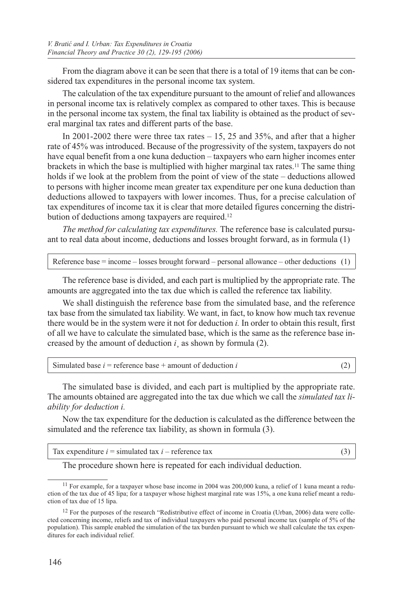From the diagram above it can be seen that there is a total of 19 items that can be considered tax expenditures in the personal income tax system.

The calculation of the tax expenditure pursuant to the amount of relief and allowances in personal income tax is relatively complex as compared to other taxes. This is because in the personal income tax system, the final tax liability is obtained as the product of several marginal tax rates and different parts of the base.

In 2001-2002 there were three tax rates  $-15$ , 25 and 35%, and after that a higher rate of 45% was introduced. Because of the progressivity of the system, taxpayers do not have equal benefit from a one kuna deduction – taxpayers who earn higher incomes enter brackets in which the base is multiplied with higher marginal tax rates.11 The same thing holds if we look at the problem from the point of view of the state – deductions allowed to persons with higher income mean greater tax expenditure per one kuna deduction than deductions allowed to taxpayers with lower incomes. Thus, for a precise calculation of tax expenditures of income tax it is clear that more detailed figures concerning the distribution of deductions among taxpayers are required.12

*The method for calculating tax expenditures.* The reference base is calculated pursuant to real data about income, deductions and losses brought forward, as in formula (1)

Reference base = income – losses brought forward – personal allowance – other deductions (1)

The reference base is divided, and each part is multiplied by the appropriate rate. The amounts are aggregated into the tax due which is called the reference tax liability.

We shall distinguish the reference base from the simulated base, and the reference tax base from the simulated tax liability. We want, in fact, to know how much tax revenue there would be in the system were it not for deduction *i.* In order to obtain this result, first of all we have to calculate the simulated base, which is the same as the reference base increased by the amount of deduction  $i<sub>l</sub>$  as shown by formula (2).

| Simulated base $i$ = reference base + amount of deduction i |  |
|-------------------------------------------------------------|--|
|-------------------------------------------------------------|--|

The simulated base is divided, and each part is multiplied by the appropriate rate. The amounts obtained are aggregated into the tax due which we call the *simulated tax liability for deduction i.* 

Now the tax expenditure for the deduction is calculated as the difference between the simulated and the reference tax liability, as shown in formula (3).

| Tax expenditure $i =$ simulated tax $i -$ reference tax |  |
|---------------------------------------------------------|--|
|---------------------------------------------------------|--|

The procedure shown here is repeated for each individual deduction.

<sup>&</sup>lt;sup>11</sup> For example, for a taxpayer whose base income in 2004 was 200,000 kuna, a relief of 1 kuna meant a reduction of the tax due of 45 lipa; for a taxpayer whose highest marginal rate was 15%, a one kuna relief meant a reduction of tax due of 15 lipa.

<sup>&</sup>lt;sup>12</sup> For the purposes of the research "Redistributive effect of income in Croatia (Urban, 2006) data were collected concerning income, reliefs and tax of individual taxpayers who paid personal income tax (sample of 5% of the population). This sample enabled the simulation of the tax burden pursuant to which we shall calculate the tax expenditures for each individual relief.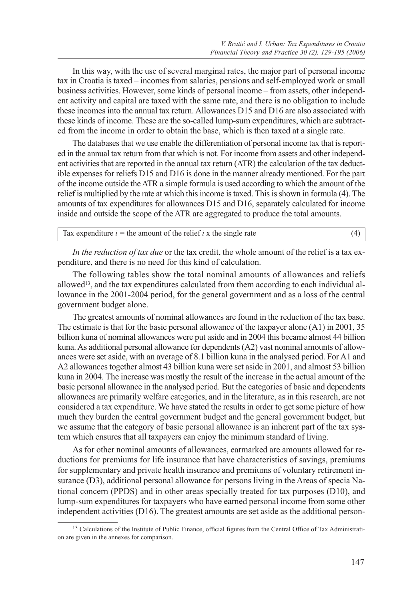In this way, with the use of several marginal rates, the major part of personal income tax in Croatia is taxed – incomes from salaries, pensions and self-employed work or small business activities. However, some kinds of personal income – from assets, other independent activity and capital are taxed with the same rate, and there is no obligation to include these incomes into the annual tax return. Allowances D15 and D16 are also associated with these kinds of income. These are the so-called lump-sum expenditures, which are subtracted from the income in order to obtain the base, which is then taxed at a single rate.

The databases that we use enable the differentiation of personal income tax that is reported in the annual tax return from that which is not. For income from assets and other independent activities that are reported in the annual tax return (ATR) the calculation of the tax deductible expenses for reliefs D15 and D16 is done in the manner already mentioned. For the part of the income outside the ATR a simple formula is used according to which the amount of the relief is multiplied by the rate at which this income is taxed. This is shown in formula (4). The amounts of tax expenditures for allowances D15 and D16, separately calculated for income inside and outside the scope of the ATR are aggregated to produce the total amounts.

Tax expenditure  $i =$  the amount of the relief  $i \times$  the single rate (4)

*In the reduction of tax due* or the tax credit, the whole amount of the relief is a tax expenditure, and there is no need for this kind of calculation.

The following tables show the total nominal amounts of allowances and reliefs allowed<sup>13</sup>, and the tax expenditures calculated from them according to each individual allowance in the 2001-2004 period, for the general government and as a loss of the central government budget alone.

The greatest amounts of nominal allowances are found in the reduction of the tax base. The estimate is that for the basic personal allowance of the taxpayer alone (A1) in 2001, 35 billion kuna of nominal allowances were put aside and in 2004 this became almost 44 billion kuna. As additional personal allowance for dependents (A2) vast nominal amounts of allowances were set aside, with an average of 8.1 billion kuna in the analysed period. For A1 and A2 allowances together almost 43 billion kuna were set aside in 2001, and almost 53 billion kuna in 2004. The increase was mostly the result of the increase in the actual amount of the basic personal allowance in the analysed period. But the categories of basic and dependents allowances are primarily welfare categories, and in the literature, as in this research, are not considered a tax expenditure. We have stated the results in order to get some picture of how much they burden the central government budget and the general government budget, but we assume that the category of basic personal allowance is an inherent part of the tax system which ensures that all taxpayers can enjoy the minimum standard of living.

As for other nominal amounts of allowances, earmarked are amounts allowed for reductions for premiums for life insurance that have characteristics of savings, premiums for supplementary and private health insurance and premiums of voluntary retirement insurance (D3), additional personal allowance for persons living in the Areas of specia National concern (PPDS) and in other areas specially treated for tax purposes (D10), and lump-sum expenditures for taxpayers who have earned personal income from some other independent activities (D16). The greatest amounts are set aside as the additional person-

<sup>&</sup>lt;sup>13</sup> Calculations of the Institute of Public Finance, official figures from the Central Office of Tax Administration are given in the annexes for comparison.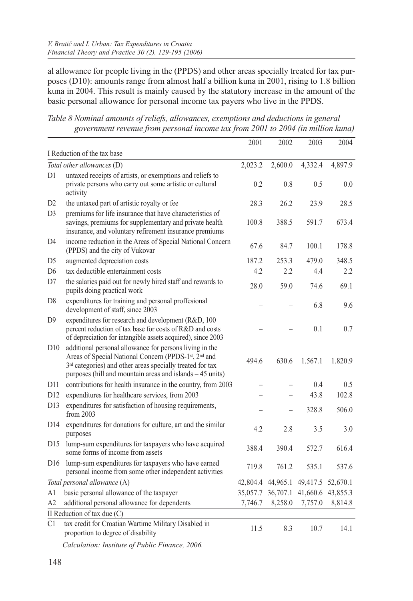al allowance for people living in the (PPDS) and other areas specially treated for tax purposes (D10): amounts range from almost half a billion kuna in 2001, rising to 1.8 billion kuna in 2004. This result is mainly caused by the statutory increase in the amount of the basic personal allowance for personal income tax payers who live in the PPDS.

*Table 8 Nominal amounts of reliefs, allowances, exemptions and deductions in general government revenue from personal income tax from 2001 to 2004 (in million kuna)*

|                                                                                                                                                                                                                                                                                                                                                                                                              |                                                                                                                                                                                                                                                        | 2001     | 2002                     | 2003     | 2004     |
|--------------------------------------------------------------------------------------------------------------------------------------------------------------------------------------------------------------------------------------------------------------------------------------------------------------------------------------------------------------------------------------------------------------|--------------------------------------------------------------------------------------------------------------------------------------------------------------------------------------------------------------------------------------------------------|----------|--------------------------|----------|----------|
|                                                                                                                                                                                                                                                                                                                                                                                                              |                                                                                                                                                                                                                                                        |          |                          |          |          |
| I Reduction of the tax base<br>Total other allowances (D)<br>untaxed receipts of artists, or exemptions and reliefs to<br>D1<br>private persons who carry out some artistic or cultural<br>activity<br>the untaxed part of artistic royalty or fee<br>D <sub>2</sub><br>D <sub>3</sub><br>premiums for life insurance that have characteristics of<br>savings, premiums for supplementary and private health |                                                                                                                                                                                                                                                        | 2,023.2  | 2,600.0                  | 4,332.4  | 4,897.9  |
|                                                                                                                                                                                                                                                                                                                                                                                                              |                                                                                                                                                                                                                                                        | 0.2      | 0.8                      | 0.5      | 0.0      |
|                                                                                                                                                                                                                                                                                                                                                                                                              |                                                                                                                                                                                                                                                        | 28.3     | 26.2                     | 23.9     | 28.5     |
|                                                                                                                                                                                                                                                                                                                                                                                                              | insurance, and voluntary refirement insurance premiums                                                                                                                                                                                                 | 100.8    | 388.5                    | 591.7    | 673.4    |
| D <sub>4</sub>                                                                                                                                                                                                                                                                                                                                                                                               | income reduction in the Areas of Special National Concern<br>(PPDS) and the city of Vukovar                                                                                                                                                            | 67.6     | 84.7                     | 100.1    | 178.8    |
| D5                                                                                                                                                                                                                                                                                                                                                                                                           | augmented depreciation costs                                                                                                                                                                                                                           | 187.2    | 253.3                    | 479.0    | 348.5    |
| D <sub>6</sub>                                                                                                                                                                                                                                                                                                                                                                                               | tax deductible entertainment costs                                                                                                                                                                                                                     | 4.2      | 2.2                      | 4.4      | 2.2      |
| D7                                                                                                                                                                                                                                                                                                                                                                                                           | the salaries paid out for newly hired staff and rewards to<br>pupils doing practical work                                                                                                                                                              | 28.0     | 59.0                     | 74.6     | 69.1     |
| D <sub>8</sub>                                                                                                                                                                                                                                                                                                                                                                                               | expenditures for training and personal proffesional<br>development of staff, since 2003                                                                                                                                                                |          |                          | 6.8      | 9.6      |
| D <sup>9</sup>                                                                                                                                                                                                                                                                                                                                                                                               | expenditures for research and development (R&D, 100)<br>percent reduction of tax base for costs of R&D and costs<br>of depreciation for intangible assets acquired), since 2003                                                                        |          |                          | 0.1      | 0.7      |
| D10                                                                                                                                                                                                                                                                                                                                                                                                          | additional personal allowance for persons living in the<br>Areas of Special National Concern (PPDS-1st, 2nd and<br>3 <sup>rd</sup> categories) and other areas specially treated for tax<br>purposes (hill and mountain areas and islands $-45$ units) | 494.6    | 630.6                    | 1.567.1  | 1.820.9  |
| D11                                                                                                                                                                                                                                                                                                                                                                                                          | contributions for health insurance in the country, from 2003                                                                                                                                                                                           |          |                          | 0.4      | 0.5      |
| D <sub>12</sub>                                                                                                                                                                                                                                                                                                                                                                                              | expenditures for healthcare services, from 2003                                                                                                                                                                                                        |          | $\overline{\phantom{0}}$ | 43.8     | 102.8    |
| D13                                                                                                                                                                                                                                                                                                                                                                                                          | expenditures for satisfaction of housing requirements,<br>from 2003                                                                                                                                                                                    |          | $\overline{\phantom{0}}$ | 328.8    | 506.0    |
| D14                                                                                                                                                                                                                                                                                                                                                                                                          | expenditures for donations for culture, art and the similar<br>purposes                                                                                                                                                                                | 4.2      | 2.8                      | 3.5      | 3.0      |
| D <sub>15</sub>                                                                                                                                                                                                                                                                                                                                                                                              | lump-sum expenditures for taxpayers who have acquired<br>some forms of income from assets                                                                                                                                                              | 388.4    | 390.4                    | 572.7    | 616.4    |
| D16                                                                                                                                                                                                                                                                                                                                                                                                          | lump-sum expenditures for taxpayers who have earned<br>personal income from some other independent activities                                                                                                                                          | 719.8    | 761.2                    | 535.1    | 537.6    |
|                                                                                                                                                                                                                                                                                                                                                                                                              | Total personal allowance (A)                                                                                                                                                                                                                           | 42,804.4 | 44,965.1                 | 49,417.5 | 52,670.1 |
| A1                                                                                                                                                                                                                                                                                                                                                                                                           | basic personal allowance of the taxpayer                                                                                                                                                                                                               | 35,057.7 | 36,707.1                 | 41,660.6 | 43,855.3 |
| A2                                                                                                                                                                                                                                                                                                                                                                                                           | additional personal allowance for dependents                                                                                                                                                                                                           | 7,746.7  | 8,258.0                  | 7,757.0  | 8,814.8  |
|                                                                                                                                                                                                                                                                                                                                                                                                              | II Reduction of tax due (C)                                                                                                                                                                                                                            |          |                          |          |          |
| C1                                                                                                                                                                                                                                                                                                                                                                                                           | tax credit for Croatian Wartime Military Disabled in<br>proportion to degree of disability                                                                                                                                                             | 11.5     | 8.3                      | 10.7     | 14.1     |
|                                                                                                                                                                                                                                                                                                                                                                                                              |                                                                                                                                                                                                                                                        |          |                          |          |          |

*Calculation: Institute of Public Finance, 2006.*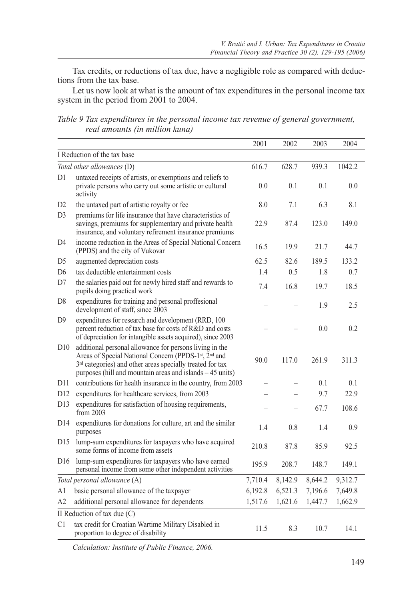Tax credits, or reductions of tax due, have a negligible role as compared with deductions from the tax base.

Let us now look at what is the amount of tax expenditures in the personal income tax system in the period from 2001 to 2004.

*Table 9 Tax expenditures in the personal income tax revenue of general government, real amounts (in million kuna)*

| 2001<br>2002<br>I Reduction of the tax base<br>616.7<br>628.7<br>Total other allowances (D)<br>untaxed receipts of artists, or exemptions and reliefs to<br>D1<br>private persons who carry out some artistic or cultural<br>0.1<br>0.0<br>activity<br>D <sub>2</sub><br>the untaxed part of artistic royalty or fee<br>8.0<br>7.1<br>D <sub>3</sub><br>premiums for life insurance that have characteristics of<br>savings, premiums for supplementary and private health<br>22.9<br>87.4 |                                                                                                                                                                                                                                                        | 2003    | 2004                     |         |         |
|--------------------------------------------------------------------------------------------------------------------------------------------------------------------------------------------------------------------------------------------------------------------------------------------------------------------------------------------------------------------------------------------------------------------------------------------------------------------------------------------|--------------------------------------------------------------------------------------------------------------------------------------------------------------------------------------------------------------------------------------------------------|---------|--------------------------|---------|---------|
|                                                                                                                                                                                                                                                                                                                                                                                                                                                                                            |                                                                                                                                                                                                                                                        |         |                          |         |         |
|                                                                                                                                                                                                                                                                                                                                                                                                                                                                                            |                                                                                                                                                                                                                                                        |         |                          | 939.3   | 1042.2  |
|                                                                                                                                                                                                                                                                                                                                                                                                                                                                                            |                                                                                                                                                                                                                                                        |         | 0.1                      | 0.0     |         |
|                                                                                                                                                                                                                                                                                                                                                                                                                                                                                            |                                                                                                                                                                                                                                                        |         | 6.3                      | 8.1     |         |
|                                                                                                                                                                                                                                                                                                                                                                                                                                                                                            | insurance, and voluntary refirement insurance premiums                                                                                                                                                                                                 |         |                          | 123.0   | 149.0   |
| D <sub>4</sub>                                                                                                                                                                                                                                                                                                                                                                                                                                                                             | income reduction in the Areas of Special National Concern<br>(PPDS) and the city of Vukovar                                                                                                                                                            | 16.5    | 19.9                     | 21.7    | 44.7    |
| D <sub>5</sub>                                                                                                                                                                                                                                                                                                                                                                                                                                                                             | augmented depreciation costs                                                                                                                                                                                                                           | 62.5    | 82.6                     | 189.5   | 133.2   |
| D <sub>6</sub>                                                                                                                                                                                                                                                                                                                                                                                                                                                                             | tax deductible entertainment costs                                                                                                                                                                                                                     | 1.4     | 0.5                      | 1.8     | 0.7     |
| D7                                                                                                                                                                                                                                                                                                                                                                                                                                                                                         | the salaries paid out for newly hired staff and rewards to<br>pupils doing practical work                                                                                                                                                              | 7.4     | 16.8                     | 19.7    | 18.5    |
| D <sub>8</sub>                                                                                                                                                                                                                                                                                                                                                                                                                                                                             | expenditures for training and personal proffesional<br>development of staff, since 2003                                                                                                                                                                |         |                          | 1.9     | 2.5     |
| D <sub>9</sub>                                                                                                                                                                                                                                                                                                                                                                                                                                                                             | expenditures for research and development (RRD, 100<br>percent reduction of tax base for costs of R&D and costs<br>of depreciation for intangible assets acquired), since 2003                                                                         |         |                          | 0.0     | 0.2     |
| D10                                                                                                                                                                                                                                                                                                                                                                                                                                                                                        | additional personal allowance for persons living in the<br>Areas of Special National Concern (PPDS-1st, 2nd and<br>3 <sup>rd</sup> categories) and other areas specially treated for tax<br>purposes (hill and mountain areas and islands $-45$ units) | 90.0    | 117.0                    | 261.9   | 311.3   |
| D11                                                                                                                                                                                                                                                                                                                                                                                                                                                                                        | contributions for health insurance in the country, from 2003                                                                                                                                                                                           |         |                          | 0.1     | 0.1     |
| D12                                                                                                                                                                                                                                                                                                                                                                                                                                                                                        | expenditures for healthcare services, from 2003                                                                                                                                                                                                        |         | $\overline{\phantom{a}}$ | 9.7     | 22.9    |
| D13                                                                                                                                                                                                                                                                                                                                                                                                                                                                                        | expenditures for satisfaction of housing requirements,<br>from $2003$                                                                                                                                                                                  |         | $\overline{\phantom{0}}$ | 67.7    | 108.6   |
| D <sub>14</sub>                                                                                                                                                                                                                                                                                                                                                                                                                                                                            | expenditures for donations for culture, art and the similar<br>purposes                                                                                                                                                                                | 1.4     | 0.8                      | 1.4     | 0.9     |
| D15                                                                                                                                                                                                                                                                                                                                                                                                                                                                                        | lump-sum expenditures for taxpayers who have acquired<br>some forms of income from assets                                                                                                                                                              | 210.8   | 87.8                     | 85.9    | 92.5    |
| D <sub>16</sub>                                                                                                                                                                                                                                                                                                                                                                                                                                                                            | lump-sum expenditures for taxpayers who have earned<br>personal income from some other independent activities                                                                                                                                          | 195.9   | 208.7                    | 148.7   | 149.1   |
|                                                                                                                                                                                                                                                                                                                                                                                                                                                                                            | Total personal allowance (A)                                                                                                                                                                                                                           | 7,710.4 | 8,142.9                  | 8,644.2 | 9,312.7 |
| A1                                                                                                                                                                                                                                                                                                                                                                                                                                                                                         | basic personal allowance of the taxpayer                                                                                                                                                                                                               | 6,192.8 | 6,521.3                  | 7,196.6 | 7,649.8 |
| A2                                                                                                                                                                                                                                                                                                                                                                                                                                                                                         | additional personal allowance for dependents                                                                                                                                                                                                           | 1,517.6 | 1,621.6                  | 1,447.7 | 1,662.9 |
|                                                                                                                                                                                                                                                                                                                                                                                                                                                                                            | II Reduction of tax due (C)                                                                                                                                                                                                                            |         |                          |         |         |
| C1                                                                                                                                                                                                                                                                                                                                                                                                                                                                                         | tax credit for Croatian Wartime Military Disabled in<br>proportion to degree of disability                                                                                                                                                             | 11.5    | 8.3                      | 10.7    | 14.1    |

*Calculation: Institute of Public Finance, 2006.*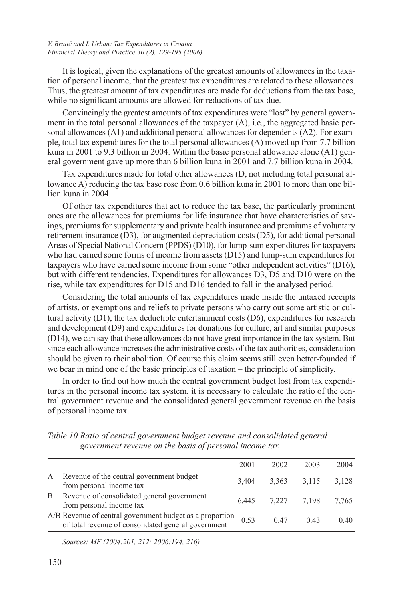It is logical, given the explanations of the greatest amounts of allowances in the taxation of personal income, that the greatest tax expenditures are related to these allowances. Thus, the greatest amount of tax expenditures are made for deductions from the tax base, while no significant amounts are allowed for reductions of tax due.

Convincingly the greatest amounts of tax expenditures were "lost" by general government in the total personal allowances of the taxpayer (A), i.e., the aggregated basic personal allowances (A1) and additional personal allowances for dependents (A2). For example, total tax expenditures for the total personal allowances (A) moved up from 7.7 billion kuna in 2001 to 9.3 billion in 2004. Within the basic personal allowance alone (A1) general government gave up more than 6 billion kuna in 2001 and 7.7 billion kuna in 2004.

Tax expenditures made for total other allowances (D, not including total personal allowance A) reducing the tax base rose from 0.6 billion kuna in 2001 to more than one billion kuna in 2004.

Of other tax expenditures that act to reduce the tax base, the particularly prominent ones are the allowances for premiums for life insurance that have characteristics of savings, premiums for supplementary and private health insurance and premiums of voluntary retirement insurance (D3), for augmented depreciation costs (D5), for additional personal Areas of Special National Concern (PPDS) (D10), for lump-sum expenditures for taxpayers who had earned some forms of income from assets (D15) and lump-sum expenditures for taxpayers who have earned some income from some "other independent activities" (D16), but with different tendencies. Expenditures for allowances D3, D5 and D10 were on the rise, while tax expenditures for D15 and D16 tended to fall in the analysed period.

Considering the total amounts of tax expenditures made inside the untaxed receipts of artists, or exemptions and reliefs to private persons who carry out some artistic or cultural activity  $(D1)$ , the tax deductible entertainment costs  $(D6)$ , expenditures for research and development (D9) and expenditures for donations for culture, art and similar purposes (D14), we can say that these allowances do not have great importance in the tax system. But since each allowance increases the administrative costs of the tax authorities, consideration should be given to their abolition. Of course this claim seems still even better-founded if we bear in mind one of the basic principles of taxation – the principle of simplicity.

In order to find out how much the central government budget lost from tax expenditures in the personal income tax system, it is necessary to calculate the ratio of the central government revenue and the consolidated general government revenue on the basis of personal income tax.

|   |                                                                                                                 | 2001  | 2002              | 2003  | 2004  |
|---|-----------------------------------------------------------------------------------------------------------------|-------|-------------------|-------|-------|
| A | Revenue of the central government budget<br>from personal income tax                                            | 3.404 | 3,363             | 3.115 | 3,128 |
| B | Revenue of consolidated general government<br>from personal income tax                                          |       | 6,445 7,227 7,198 |       | 7.765 |
|   | A/B Revenue of central government budget as a proportion<br>of total revenue of consolidated general government | 0.53  | 0.47              | 0.43  | 0.40  |

*Table 10 Ratio of central government budget revenue and consolidated general government revenue on the basis of personal income tax*

*Sources: MF (2004:201, 212; 2006:194, 216)*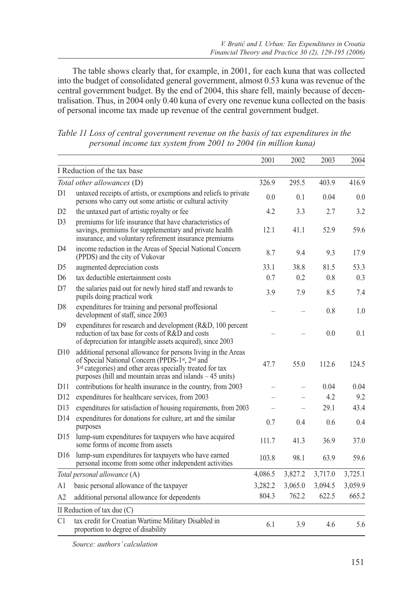The table shows clearly that, for example, in 2001, for each kuna that was collected into the budget of consolidated general government, almost 0.53 kuna was revenue of the central government budget. By the end of 2004, this share fell, mainly because of decentralisation. Thus, in 2004 only 0.40 kuna of every one revenue kuna collected on the basis of personal income tax made up revenue of the central government budget.

| Table 11 Loss of central government revenue on the basis of tax expenditures in the |
|-------------------------------------------------------------------------------------|
| personal income tax system from 2001 to 2004 (in million kuna)                      |

|                                                                                                                                                                                                                                                                                                                                                                                                                                                                                                    |                                                                                                                                                                                                                                                                                 | 2001    | 2002    | 2003    | 2004    |
|----------------------------------------------------------------------------------------------------------------------------------------------------------------------------------------------------------------------------------------------------------------------------------------------------------------------------------------------------------------------------------------------------------------------------------------------------------------------------------------------------|---------------------------------------------------------------------------------------------------------------------------------------------------------------------------------------------------------------------------------------------------------------------------------|---------|---------|---------|---------|
| I Reduction of the tax base<br>Total other allowances (D)<br>326.9<br>untaxed receipts of artists, or exemptions and reliefs to private<br>D1<br>0.0<br>persons who carry out some artistic or cultural activity<br>the untaxed part of artistic royalty or fee<br>4.2<br>D <sub>2</sub><br>D <sub>3</sub><br>premiums for life insurance that have characteristics of<br>savings, premiums for supplementary and private health<br>12.1<br>insurance, and voluntary refirement insurance premiums |                                                                                                                                                                                                                                                                                 |         |         |         |         |
|                                                                                                                                                                                                                                                                                                                                                                                                                                                                                                    |                                                                                                                                                                                                                                                                                 | 295.5   | 403.9   | 416.9   |         |
|                                                                                                                                                                                                                                                                                                                                                                                                                                                                                                    |                                                                                                                                                                                                                                                                                 |         | 0.1     | 0.04    | 0.0     |
|                                                                                                                                                                                                                                                                                                                                                                                                                                                                                                    |                                                                                                                                                                                                                                                                                 |         | 3.3     | 2.7     | 3.2     |
|                                                                                                                                                                                                                                                                                                                                                                                                                                                                                                    |                                                                                                                                                                                                                                                                                 |         | 41.1    | 52.9    | 59.6    |
| D4                                                                                                                                                                                                                                                                                                                                                                                                                                                                                                 | income reduction in the Areas of Special National Concern<br>(PPDS) and the city of Vukovar                                                                                                                                                                                     | 8.7     | 9.4     | 9.3     | 17.9    |
| D <sub>5</sub>                                                                                                                                                                                                                                                                                                                                                                                                                                                                                     | augmented depreciation costs                                                                                                                                                                                                                                                    | 33.1    | 38.8    | 81.5    | 53.3    |
| D <sub>6</sub>                                                                                                                                                                                                                                                                                                                                                                                                                                                                                     | tax deductible entertainment costs                                                                                                                                                                                                                                              | 0.7     | 0.2     | 0.8     | 0.3     |
| D7                                                                                                                                                                                                                                                                                                                                                                                                                                                                                                 | the salaries paid out for newly hired staff and rewards to<br>pupils doing practical work                                                                                                                                                                                       | 3.9     | 7.9     | 8.5     | 7.4     |
| D <sub>8</sub>                                                                                                                                                                                                                                                                                                                                                                                                                                                                                     | expenditures for training and personal proffesional<br>development of staff, since 2003                                                                                                                                                                                         |         |         | 0.8     | 1.0     |
| D <sub>9</sub>                                                                                                                                                                                                                                                                                                                                                                                                                                                                                     | expenditures for research and development (R&D, 100 percent<br>reduction of tax base for costs of R&D and costs<br>of depreciation for intangible assets acquired), since 2003                                                                                                  |         |         | 0.0     | 0.1     |
| D10                                                                                                                                                                                                                                                                                                                                                                                                                                                                                                | additional personal allowance for persons living in the Areas<br>of Special National Concern (PPDS-1 <sup>st</sup> , 2 <sup>nd</sup> and<br>3 <sup>rd</sup> categories) and other areas specially treated for tax<br>purposes (hill and mountain areas and islands $-45$ units) | 47.7    | 55.0    | 112.6   | 124.5   |
| D11                                                                                                                                                                                                                                                                                                                                                                                                                                                                                                | contributions for health insurance in the country, from 2003                                                                                                                                                                                                                    |         |         | 0.04    | 0.04    |
| D12                                                                                                                                                                                                                                                                                                                                                                                                                                                                                                | expenditures for healthcare services, from 2003                                                                                                                                                                                                                                 |         |         | 4.2     | 9.2     |
| D13                                                                                                                                                                                                                                                                                                                                                                                                                                                                                                | expenditures for satisfaction of housing requirements, from 2003                                                                                                                                                                                                                |         |         | 29.1    | 43.4    |
| D14                                                                                                                                                                                                                                                                                                                                                                                                                                                                                                | expenditures for donations for culture, art and the similar<br>purposes                                                                                                                                                                                                         | 0.7     | 0.4     | 0.6     | 0.4     |
| D <sub>15</sub>                                                                                                                                                                                                                                                                                                                                                                                                                                                                                    | lump-sum expenditures for taxpayers who have acquired<br>some forms of income from assets                                                                                                                                                                                       | 111.7   | 41.3    | 36.9    | 37.0    |
| D <sub>16</sub>                                                                                                                                                                                                                                                                                                                                                                                                                                                                                    | lump-sum expenditures for taxpayers who have earned<br>personal income from some other independent activities                                                                                                                                                                   | 103.8   | 98.1    | 63.9    | 59.6    |
|                                                                                                                                                                                                                                                                                                                                                                                                                                                                                                    | Total personal allowance (A)                                                                                                                                                                                                                                                    | 4,086.5 | 3,827.2 | 3,717.0 | 3,725.1 |
| A1                                                                                                                                                                                                                                                                                                                                                                                                                                                                                                 | basic personal allowance of the taxpayer                                                                                                                                                                                                                                        | 3,282.2 | 3,065.0 | 3,094.5 | 3,059.9 |
| A2                                                                                                                                                                                                                                                                                                                                                                                                                                                                                                 | additional personal allowance for dependents                                                                                                                                                                                                                                    | 804.3   | 762.2   | 622.5   | 665.2   |
|                                                                                                                                                                                                                                                                                                                                                                                                                                                                                                    | II Reduction of tax due $(C)$                                                                                                                                                                                                                                                   |         |         |         |         |
| C1                                                                                                                                                                                                                                                                                                                                                                                                                                                                                                 | tax credit for Croatian Wartime Military Disabled in<br>proportion to degree of disability                                                                                                                                                                                      | 6.1     | 3.9     | 4.6     | 5.6     |

*Source: authors' calculation*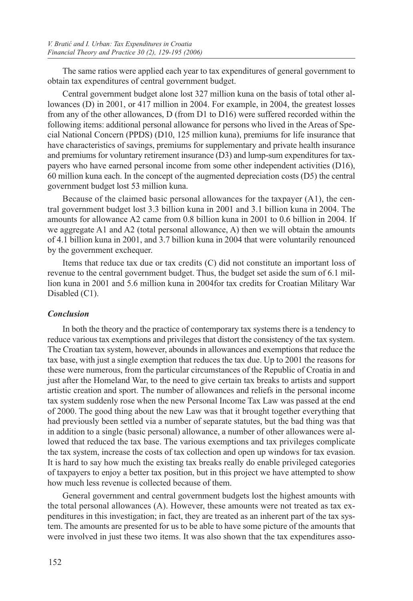The same ratios were applied each year to tax expenditures of general government to obtain tax expenditures of central government budget.

Central government budget alone lost 327 million kuna on the basis of total other allowances (D) in 2001, or 417 million in 2004. For example, in 2004, the greatest losses from any of the other allowances, D (from D1 to D16) were suffered recorded within the following items: additional personal allowance for persons who lived in the Areas of Special National Concern (PPDS) (D10, 125 million kuna), premiums for life insurance that have characteristics of savings, premiums for supplementary and private health insurance and premiums for voluntary retirement insurance (D3) and lump-sum expenditures for taxpayers who have earned personal income from some other independent activities (D16), 60 million kuna each. In the concept of the augmented depreciation costs (D5) the central government budget lost 53 million kuna.

Because of the claimed basic personal allowances for the taxpayer (A1), the central government budget lost 3.3 billion kuna in 2001 and 3.1 billion kuna in 2004. The amounts for allowance A2 came from 0.8 billion kuna in 2001 to 0.6 billion in 2004. If we aggregate A1 and A2 (total personal allowance, A) then we will obtain the amounts of 4.1 billion kuna in 2001, and 3.7 billion kuna in 2004 that were voluntarily renounced by the government exchequer.

Items that reduce tax due or tax credits (C) did not constitute an important loss of revenue to the central government budget. Thus, the budget set aside the sum of 6.1 million kuna in 2001 and 5.6 million kuna in 2004for tax credits for Croatian Military War Disabled (C1).

## *Conclusion*

In both the theory and the practice of contemporary tax systems there is a tendency to reduce various tax exemptions and privileges that distort the consistency of the tax system. The Croatian tax system, however, abounds in allowances and exemptions that reduce the tax base, with just a single exemption that reduces the tax due. Up to 2001 the reasons for these were numerous, from the particular circumstances of the Republic of Croatia in and just after the Homeland War, to the need to give certain tax breaks to artists and support artistic creation and sport. The number of allowances and reliefs in the personal income tax system suddenly rose when the new Personal Income Tax Law was passed at the end of 2000. The good thing about the new Law was that it brought together everything that had previously been settled via a number of separate statutes, but the bad thing was that in addition to a single (basic personal) allowance, a number of other allowances were allowed that reduced the tax base. The various exemptions and tax privileges complicate the tax system, increase the costs of tax collection and open up windows for tax evasion. It is hard to say how much the existing tax breaks really do enable privileged categories of taxpayers to enjoy a better tax position, but in this project we have attempted to show how much less revenue is collected because of them.

General government and central government budgets lost the highest amounts with the total personal allowances (A). However, these amounts were not treated as tax expenditures in this investigation; in fact, they are treated as an inherent part of the tax system. The amounts are presented for us to be able to have some picture of the amounts that were involved in just these two items. It was also shown that the tax expenditures asso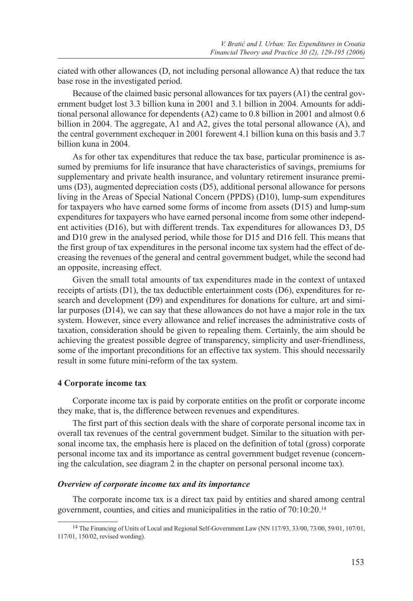ciated with other allowances (D, not including personal allowance A) that reduce the tax base rose in the investigated period.

Because of the claimed basic personal allowances for tax payers (A1) the central government budget lost 3.3 billion kuna in 2001 and 3.1 billion in 2004. Amounts for additional personal allowance for dependents (A2) came to 0.8 billion in 2001 and almost 0.6 billion in 2004. The aggregate, A1 and A2, gives the total personal allowance (A), and the central government exchequer in 2001 forewent 4.1 billion kuna on this basis and 3.7 billion kuna in 2004.

As for other tax expenditures that reduce the tax base, particular prominence is assumed by premiums for life insurance that have characteristics of savings, premiums for supplementary and private health insurance, and voluntary retirement insurance premiums (D3), augmented depreciation costs (D5), additional personal allowance for persons living in the Areas of Special National Concern (PPDS) (D10), lump-sum expenditures for taxpayers who have earned some forms of income from assets (D15) and lump-sum expenditures for taxpayers who have earned personal income from some other independent activities (D16), but with different trends. Tax expenditures for allowances D3, D5 and D10 grew in the analysed period, while those for D15 and D16 fell. This means that the first group of tax expenditures in the personal income tax system had the effect of decreasing the revenues of the general and central government budget, while the second had an opposite, increasing effect.

Given the small total amounts of tax expenditures made in the context of untaxed receipts of artists (D1), the tax deductible entertainment costs (D6), expenditures for research and development (D9) and expenditures for donations for culture, art and similar purposes (D14), we can say that these allowances do not have a major role in the tax system. However, since every allowance and relief increases the administrative costs of taxation, consideration should be given to repealing them. Certainly, the aim should be achieving the greatest possible degree of transparency, simplicity and user-friendliness, some of the important preconditions for an effective tax system. This should necessarily result in some future mini-reform of the tax system.

#### **4 Corporate income tax**

Corporate income tax is paid by corporate entities on the profit or corporate income they make, that is, the difference between revenues and expenditures.

The first part of this section deals with the share of corporate personal income tax in overall tax revenues of the central government budget. Similar to the situation with personal income tax, the emphasis here is placed on the definition of total (gross) corporate personal income tax and its importance as central government budget revenue (concerning the calculation, see diagram 2 in the chapter on personal personal income tax).

#### *Overview of corporate income tax and its importance*

The corporate income tax is a direct tax paid by entities and shared among central government, counties, and cities and municipalities in the ratio of 70:10:20.14

<sup>&</sup>lt;sup>14</sup> The Financing of Units of Local and Regional Self-Government Law (NN 117/93, 33/00, 73/00, 59/01, 107/01, 117/01, 150/02, revised wording).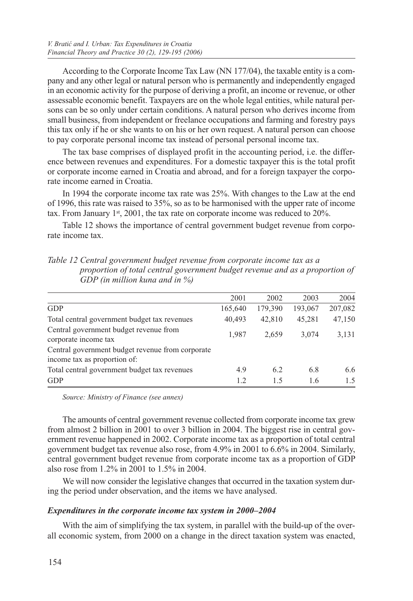According to the Corporate Income Tax Law (NN 177/04), the taxable entity is a company and any other legal or natural person who is permanently and independently engaged in an economic activity for the purpose of deriving a profit, an income or revenue, or other assessable economic benefit. Taxpayers are on the whole legal entities, while natural persons can be so only under certain conditions. A natural person who derives income from small business, from independent or freelance occupations and farming and forestry pays this tax only if he or she wants to on his or her own request. A natural person can choose to pay corporate personal income tax instead of personal personal income tax.

The tax base comprises of displayed profit in the accounting period, i.e. the difference between revenues and expenditures. For a domestic taxpayer this is the total profit or corporate income earned in Croatia and abroad, and for a foreign taxpayer the corporate income earned in Croatia.

In 1994 the corporate income tax rate was 25%. With changes to the Law at the end of 1996, this rate was raised to 35%, so as to be harmonised with the upper rate of income tax. From January  $1st$ , 2001, the tax rate on corporate income was reduced to 20%.

Table 12 shows the importance of central government budget revenue from corporate income tax.

|                                                                                  | 2001    | 2002    | 2003    | 2004    |
|----------------------------------------------------------------------------------|---------|---------|---------|---------|
| <b>GDP</b>                                                                       | 165,640 | 179,390 | 193,067 | 207,082 |
| Total central government budget tax revenues                                     | 40,493  | 42,810  | 45,281  | 47,150  |
| Central government budget revenue from<br>corporate income tax                   | 1,987   | 2,659   | 3.074   | 3,131   |
| Central government budget revenue from corporate<br>income tax as proportion of: |         |         |         |         |
| Total central government budget tax revenues                                     | 4.9     | 6.2     | 6.8     | 6.6     |
| <b>GDP</b>                                                                       | 1.2     | 1.5     | 1.6     | 1.5     |

*Table 12 Central government budget revenue from corporate income tax as a proportion of total central government budget revenue and as a proportion of GDP (in million kuna and in %)*

*Source: Ministry of Finance (see annex)*

The amounts of central government revenue collected from corporate income tax grew from almost 2 billion in 2001 to over 3 billion in 2004. The biggest rise in central government revenue happened in 2002. Corporate income tax as a proportion of total central government budget tax revenue also rose, from 4.9% in 2001 to 6.6% in 2004. Similarly, central government budget revenue from corporate income tax as a proportion of GDP also rose from 1.2% in 2001 to 1.5% in 2004.

We will now consider the legislative changes that occurred in the taxation system during the period under observation, and the items we have analysed.

## *Expenditures in the corporate income tax system in 2000–2004*

With the aim of simplifying the tax system, in parallel with the build-up of the overall economic system, from 2000 on a change in the direct taxation system was enacted,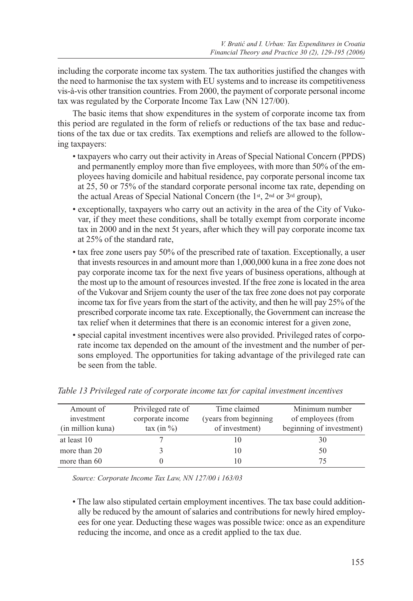including the corporate income tax system. The tax authorities justified the changes with the need to harmonise the tax system with EU systems and to increase its competitiveness vis-à-vis other transition countries. From 2000, the payment of corporate personal income tax was regulated by the Corporate Income Tax Law (NN 127/00).

The basic items that show expenditures in the system of corporate income tax from this period are regulated in the form of reliefs or reductions of the tax base and reductions of the tax due or tax credits. Tax exemptions and reliefs are allowed to the following taxpayers:

- taxpayers who carry out their activity in Areas of Special National Concern (PPDS) and permanently employ more than five employees, with more than 50% of the employees having domicile and habitual residence, pay corporate personal income tax at 25, 50 or 75% of the standard corporate personal income tax rate, depending on the actual Areas of Special National Concern (the 1st, 2nd or 3rd group),
- exceptionally, taxpayers who carry out an activity in the area of the City of Vukovar, if they meet these conditions, shall be totally exempt from corporate income tax in 2000 and in the next 5t years, after which they will pay corporate income tax at 25% of the standard rate,
- tax free zone users pay 50% of the prescribed rate of taxation. Exceptionally, a user that invests resources in and amount more than 1,000,000 kuna in a free zone does not pay corporate income tax for the next five years of business operations, although at the most up to the amount of resources invested. If the free zone is located in the area of the Vukovar and Srijem county the user of the tax free zone does not pay corporate income tax for five years from the start of the activity, and then he will pay 25% of the prescribed corporate income tax rate. Exceptionally, the Government can increase the tax relief when it determines that there is an economic interest for a given zone,
- special capital investment incentives were also provided. Privileged rates of corporate income tax depended on the amount of the investment and the number of persons employed. The opportunities for taking advantage of the privileged rate can be seen from the table.

| Amount of<br>investment<br>(in million kuna) | Privileged rate of<br>corporate income<br>$\tan (\text{in } \%)$ | Time claimed<br>(years from beginning)<br>of investment) | Minimum number<br>of employees (from<br>beginning of investment) |
|----------------------------------------------|------------------------------------------------------------------|----------------------------------------------------------|------------------------------------------------------------------|
| at least 10                                  |                                                                  |                                                          | 30                                                               |
| more than 20                                 |                                                                  | 10                                                       | 50                                                               |
| more than 60                                 |                                                                  |                                                          | 75                                                               |

*Table 13 Privileged rate of corporate income tax for capital investment incentives*

*Source: Corporate Income Tax Law, NN 127/00 i 163/03*

• The law also stipulated certain employment incentives. The tax base could additionally be reduced by the amount of salaries and contributions for newly hired employees for one year. Deducting these wages was possible twice: once as an expenditure reducing the income, and once as a credit applied to the tax due.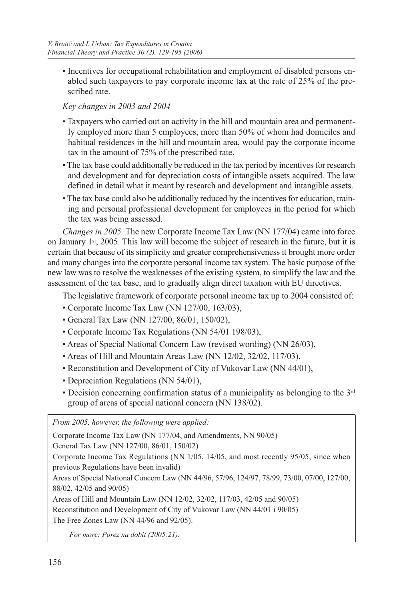• Incentives for occupational rehabilitation and employment of disabled persons enabled such taxpayers to pay corporate income tax at the rate of 25% of the prescribed rate.

## *Key changes in 2003 and 2004*

- Taxpayers who carried out an activity in the hill and mountain area and permanently employed more than 5 employees, more than 50% of whom had domiciles and habitual residences in the hill and mountain area, would pay the corporate income tax in the amount of 75% of the prescribed rate.
- The tax base could additionally be reduced in the tax period by incentives for research and development and for depreciation costs of intangible assets acquired. The law defined in detail what it meant by research and development and intangible assets.
- The tax base could also be additionally reduced by the incentives for education, training and personal professional development for employees in the period for which the tax was being assessed.

*Changes in 2005.* The new Corporate Income Tax Law (NN 177/04) came into force on January  $1<sup>st</sup>$ , 2005. This law will become the subject of research in the future, but it is certain that because of its simplicity and greater comprehensiveness it brought more order and many changes into the corporate personal income tax system. The basic purpose of the new law was to resolve the weaknesses of the existing system, to simplify the law and the assessment of the tax base, and to gradually align direct taxation with EU directives.

The legislative framework of corporate personal income tax up to 2004 consisted of:

- Corporate Income Tax Law (NN 127/00, 163/03),
- General Tax Law (NN 127/00, 86/01, 150/02),
- Corporate Income Tax Regulations (NN 54/01 198/03),
- Areas of Special National Concern Law (revised wording) (NN 26/03),
- Areas of Hill and Mountain Areas Law (NN 12/02, 32/02, 117/03),
- Reconstitution and Development of City of Vukovar Law (NN 44/01),
- Depreciation Regulations (NN 54/01),
- Decision concerning confirmation status of a municipality as belonging to the 3rd group of areas of special national concern (NN 138/02).

*From 2005, however, the following were applied:*

Corporate Income Tax Law (NN 177/04, and Amendments, NN 90/05) General Tax Law (NN 127/00, 86/01, 150/02) Corporate Income Tax Regulations (NN 1/05, 14/05, and most recently 95/05, since when previous Regulations have been invalid) Areas of Special National Concern Law (NN 44/96, 57/96, 124/97, 78/99, 73/00, 07/00, 127/00, 88/02, 42/05 and 90/05) Areas of Hill and Mountain Law (NN 12/02, 32/02, 117/03, 42/05 and 90/05) Reconstitution and Development of City of Vukovar Law (NN 44/01 i 90/05) The Free Zones Law (NN 44/96 and 92/05).

 *For more: Porez na dobit (2005:21).*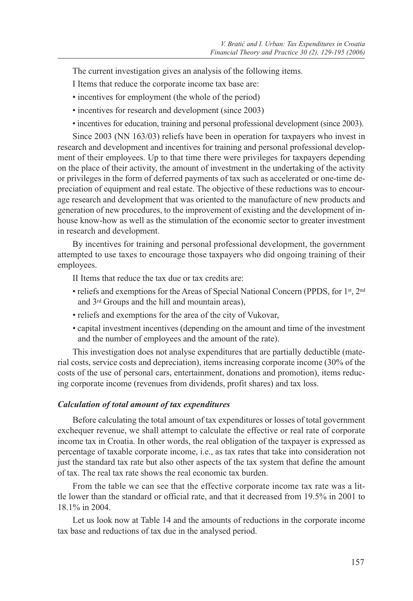The current investigation gives an analysis of the following items.

I Items that reduce the corporate income tax base are:

- incentives for employment (the whole of the period)
- incentives for research and development (since 2003)
- incentives for education, training and personal professional development (since 2003).

Since 2003 (NN 163/03) reliefs have been in operation for taxpayers who invest in research and development and incentives for training and personal professional development of their employees. Up to that time there were privileges for taxpayers depending on the place of their activity, the amount of investment in the undertaking of the activity or privileges in the form of deferred payments of tax such as accelerated or one-time depreciation of equipment and real estate. The objective of these reductions was to encourage research and development that was oriented to the manufacture of new products and generation of new procedures, to the improvement of existing and the development of inhouse know-how as well as the stimulation of the economic sector to greater investment in research and development.

By incentives for training and personal professional development, the government attempted to use taxes to encourage those taxpayers who did ongoing training of their employees.

II Items that reduce the tax due or tax credits are:

- reliefs and exemptions for the Areas of Special National Concern (PPDS, for  $1^{st}$ ,  $2^{nd}$ and 3rd Groups and the hill and mountain areas),
- reliefs and exemptions for the area of the city of Vukovar,
- capital investment incentives (depending on the amount and time of the investment and the number of employees and the amount of the rate).

This investigation does not analyse expenditures that are partially deductible (material costs, service costs and depreciation), items increasing corporate income (30% of the costs of the use of personal cars, entertainment, donations and promotion), items reducing corporate income (revenues from dividends, profit shares) and tax loss.

#### *Calculation of total amount of tax expenditures*

Before calculating the total amount of tax expenditures or losses of total government exchequer revenue, we shall attempt to calculate the effective or real rate of corporate income tax in Croatia. In other words, the real obligation of the taxpayer is expressed as percentage of taxable corporate income, i.e., as tax rates that take into consideration not just the standard tax rate but also other aspects of the tax system that define the amount of tax. The real tax rate shows the real economic tax burden.

From the table we can see that the effective corporate income tax rate was a little lower than the standard or official rate, and that it decreased from 19.5% in 2001 to 18.1% in 2004.

Let us look now at Table 14 and the amounts of reductions in the corporate income tax base and reductions of tax due in the analysed period.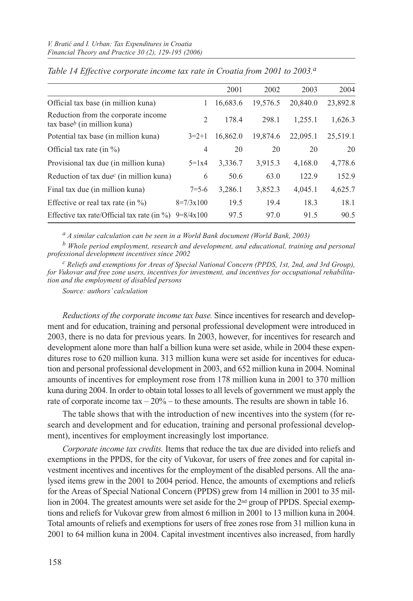|                                                                              |                | 2001     | 2002     | 2003     | 2004     |
|------------------------------------------------------------------------------|----------------|----------|----------|----------|----------|
| Official tax base (in million kuna)                                          | 1              | 16,683.6 | 19,576.5 | 20,840.0 | 23,892.8 |
| Reduction from the corporate income<br>$\text{tax base}^b$ (in million kuna) | $\overline{2}$ | 178.4    | 298.1    | 1,255.1  | 1,626.3  |
| Potential tax base (in million kuna)                                         | $3=2+1$        | 16,862.0 | 19,874.6 | 22,095.1 | 25,519.1 |
| Official tax rate (in $\%$ )                                                 | 4              | 20       | 20       | 20       | 20       |
| Provisional tax due (in million kuna)                                        | $5 = 1x4$      | 3,336.7  | 3,915.3  | 4,168.0  | 4,778.6  |
| Reduction of tax due <sup><math>c</math></sup> (in million kuna)             | 6              | 50.6     | 63.0     | 122.9    | 152.9    |
| Final tax due (in million kuna)                                              | $7 = 5 - 6$    | 3,286.1  | 3,852.3  | 4,045.1  | 4,625.7  |
| Effective or real tax rate (in $\%$ )                                        | $8=7/3x100$    | 19.5     | 19.4     | 18.3     | 18.1     |
| Effective tax rate/Official tax rate (in $\%$ )                              | $9=8/4x100$    | 97.5     | 97.0     | 91.5     | 90.5     |

#### *Table 14 Effective corporate income tax rate in Croatia from 2001 to 2003.a*

*a A similar calculation can be seen in a World Bank document (World Bank, 2003)*

*b Whole period employment, research and development, and educational, training and personal professional development incentives since 2002*

*c Reliefs and exemptions for Areas of Special National Concern (PPDS, 1st, 2nd, and 3rd Group), for Vukovar and free zone users, incentives for investment, and incentives for occupational rehabilitation and the employment of disabled persons*

*Source: authors' calculation*

*Reductions of the corporate income tax base.* Since incentives for research and development and for education, training and personal professional development were introduced in 2003, there is no data for previous years. In 2003, however, for incentives for research and development alone more than half a billion kuna were set aside, while in 2004 these expenditures rose to 620 million kuna. 313 million kuna were set aside for incentives for education and personal professional development in 2003, and 652 million kuna in 2004. Nominal amounts of incentives for employment rose from 178 million kuna in 2001 to 370 million kuna during 2004. In order to obtain total losses to all levels of government we must apply the rate of corporate income tax  $-20\%$  – to these amounts. The results are shown in table 16.

The table shows that with the introduction of new incentives into the system (for research and development and for education, training and personal professional development), incentives for employment increasingly lost importance.

*Corporate income tax credits.* Items that reduce the tax due are divided into reliefs and exemptions in the PPDS, for the city of Vukovar, for users of free zones and for capital investment incentives and incentives for the employment of the disabled persons. All the analysed items grew in the 2001 to 2004 period. Hence, the amounts of exemptions and reliefs for the Areas of Special National Concern (PPDS) grew from 14 million in 2001 to 35 million in 2004. The greatest amounts were set aside for the 2<sup>nd</sup> group of PPDS. Special exemptions and reliefs for Vukovar grew from almost 6 million in 2001 to 13 million kuna in 2004. Total amounts of reliefs and exemptions for users of free zones rose from 31 million kuna in 2001 to 64 million kuna in 2004. Capital investment incentives also increased, from hardly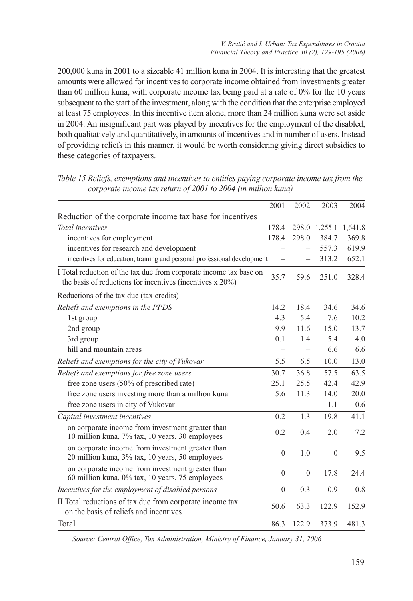200,000 kuna in 2001 to a sizeable 41 million kuna in 2004. It is interesting that the greatest amounts were allowed for incentives to corporate income obtained from investments greater than 60 million kuna, with corporate income tax being paid at a rate of 0% for the 10 years subsequent to the start of the investment, along with the condition that the enterprise employed at least 75 employees. In this incentive item alone, more than 24 million kuna were set aside in 2004. An insignificant part was played by incentives for the employment of the disabled, both qualitatively and quantitatively, in amounts of incentives and in number of users. Instead of providing reliefs in this manner, it would be worth considering giving direct subsidies to these categories of taxpayers.

|                                                                                                                                     | 2001         | 2002         | 2003          | 2004    |
|-------------------------------------------------------------------------------------------------------------------------------------|--------------|--------------|---------------|---------|
| Reduction of the corporate income tax base for incentives                                                                           |              |              |               |         |
| Total incentives                                                                                                                    | 178.4        |              | 298.0 1,255.1 | 1,641.8 |
| incentives for employment                                                                                                           | 178.4        | 298.0        | 384.7         | 369.8   |
| incentives for research and development                                                                                             |              |              | 557.3         | 619.9   |
| incentives for education, training and personal professional development                                                            |              |              | 313.2         | 652.1   |
| I Total reduction of the tax due from corporate income tax base on<br>the basis of reductions for incentives (incentives $x 20\%$ ) | 35.7         | 59.6         | 251.0         | 328.4   |
| Reductions of the tax due (tax credits)                                                                                             |              |              |               |         |
| Reliefs and exemptions in the PPDS                                                                                                  | 14.2         | 18.4         | 34.6          | 34.6    |
| 1st group                                                                                                                           | 4.3          | 5.4          | 7.6           | 10.2    |
| 2nd group                                                                                                                           | 9.9          | 11.6         | 15.0          | 13.7    |
| 3rd group                                                                                                                           | 0.1          | 1.4          | 5.4           | 4.0     |
| hill and mountain areas                                                                                                             |              |              | 6.6           | 6.6     |
| Reliefs and exemptions for the city of Vukovar                                                                                      | 5.5          | 6.5          | 10.0          | 13.0    |
| Reliefs and exemptions for free zone users                                                                                          | 30.7         | 36.8         | 57.5          | 63.5    |
| free zone users (50% of prescribed rate)                                                                                            | 25.1         | 25.5         | 42.4          | 42.9    |
| free zone users investing more than a million kuna                                                                                  | 5.6          | 11.3         | 14.0          | 20.0    |
| free zone users in city of Vukovar                                                                                                  |              |              | 1.1           | 0.6     |
| Capital investment incentives                                                                                                       | 0.2          | 1.3          | 19.8          | 41.1    |
| on corporate income from investment greater than<br>10 million kuna, 7% tax, 10 years, 30 employees                                 | 0.2          | 0.4          | 2.0           | 7.2     |
| on corporate income from investment greater than<br>20 million kuna, 3% tax, 10 years, 50 employees                                 | $\mathbf{0}$ | 1.0          | $\mathbf{0}$  | 9.5     |
| on corporate income from investment greater than<br>60 million kuna, 0% tax, 10 years, 75 employees                                 | $\mathbf{0}$ | $\mathbf{0}$ | 17.8          | 24.4    |
| Incentives for the employment of disabled persons                                                                                   | $\theta$     | 0.3          | 0.9           | 0.8     |
| II Total reductions of tax due from corporate income tax<br>on the basis of reliefs and incentives                                  | 50.6         | 63.3         | 122.9         | 152.9   |
| Total                                                                                                                               | 86.3         | 122.9        | 373.9         | 481.3   |

*Table 15 Reliefs, exemptions and incentives to entities paying corporate income tax from the corporate income tax return of 2001 to 2004 (in million kuna)*

*Source: Central Office, Tax Administration, Ministry of Finance, January 31, 2006*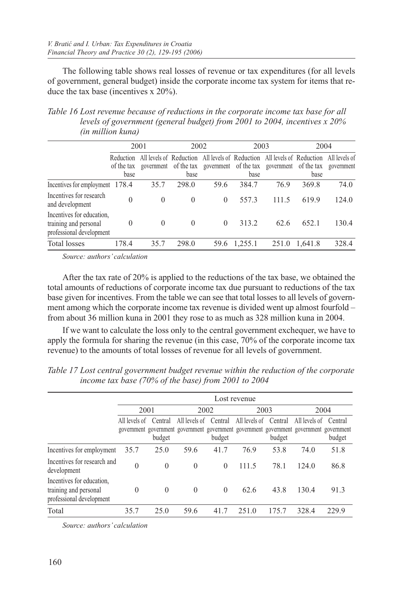The following table shows real losses of revenue or tax expenditures (for all levels of government, general budget) inside the corporate income tax system for items that reduce the tax base (incentives x 20%).

*Table 16 Lost revenue because of reductions in the corporate income tax base for all levels of government (general budget) from 2001 to 2004, incentives x 20% (in million kuna)*

|                                                                                |                                 | 2001     | 2002                          |                                                                         | 2003    |                                             | 2004    |                             |
|--------------------------------------------------------------------------------|---------------------------------|----------|-------------------------------|-------------------------------------------------------------------------|---------|---------------------------------------------|---------|-----------------------------|
|                                                                                | Reduction<br>of the tax<br>base |          | government of the tax<br>base | All levels of Reduction All levels of Reduction All levels of Reduction | base    | government of the tax government of the tax | base    | All levels of<br>government |
| Incentives for employment 178.4                                                |                                 | 35.7     | 298.0                         | 59.6                                                                    | 384.7   | 76.9                                        | 369.8   | 74.0                        |
| Incentives for research<br>and development                                     | $\theta$                        | $\Omega$ | $\Omega$                      | $\Omega$                                                                | 557.3   | 111.5                                       | 619.9   | 124.0                       |
| Incentives for education,<br>training and personal<br>professional development | 0                               | $\Omega$ | $\Omega$                      | $\Omega$                                                                | 313.2   | 62.6                                        | 652.1   | 130.4                       |
| <b>Total losses</b>                                                            | 178.4                           | 35.7     | 298.0                         | 59.6                                                                    | 1,255.1 | 251.0                                       | 1,641.8 | 328.4                       |

*Source: authors' calculation*

After the tax rate of 20% is applied to the reductions of the tax base, we obtained the total amounts of reductions of corporate income tax due pursuant to reductions of the tax base given for incentives. From the table we can see that total losses to all levels of government among which the corporate income tax revenue is divided went up almost fourfold – from about 36 million kuna in 2001 they rose to as much as 328 million kuna in 2004.

If we want to calculate the loss only to the central government exchequer, we have to apply the formula for sharing the revenue (in this case, 70% of the corporate income tax revenue) to the amounts of total losses of revenue for all levels of government.

|                                                                                |                                                                                                          |                   |                       |          | Lost revenue  |                   |               |                   |
|--------------------------------------------------------------------------------|----------------------------------------------------------------------------------------------------------|-------------------|-----------------------|----------|---------------|-------------------|---------------|-------------------|
|                                                                                | 2001                                                                                                     |                   |                       | 2002     | 2003          |                   |               | 2004              |
|                                                                                | All levels of<br>government government government government government government government government | Central<br>budget | All levels of Central | budget   | All levels of | Central<br>budget | All levels of | Central<br>budget |
| Incentives for employment                                                      | 35.7                                                                                                     | 25.0              | 59.6                  | 41.7     | 76.9          | 53.8              | 74.0          | 51.8              |
| Incentives for research and<br>development                                     | $\theta$                                                                                                 | $\Omega$          | $\theta$              | $\Omega$ | 111.5         | 78.1              | 124.0         | 86.8              |
| Incentives for education,<br>training and personal<br>professional development | $\theta$                                                                                                 | $\Omega$          | $\theta$              | $\Omega$ | 62.6          | 43.8              | 130.4         | 91.3              |
| Total                                                                          | 35.7                                                                                                     | 25.0              | 59.6                  | 41.7     | 251.0         | 175.7             | 328.4         | 229.9             |

*Table 17 Lost central government budget revenue within the reduction of the corporate income tax base (70% of the base) from 2001 to 2004*

*Source: authors' calculation*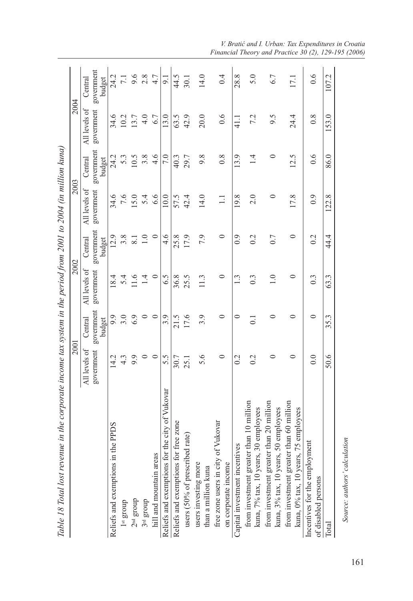| All levels of<br>government<br>0.6<br>6.7<br>42.9<br>9.5<br>0.8<br>34.6<br>13.7<br>4.0<br>13.0<br>63.5<br>20.0<br>7.2<br>24.4<br>10.2<br>41.1<br>government<br>4.6<br>0.6<br>86.0<br>10.5<br>3.8<br>7.0<br>9.8<br>0.8<br>13.9<br>24.2<br>29.7<br>$\overline{1}$<br>0<br>12.5<br>5.3<br>40.3<br>budget<br>Central<br>All levels of<br>government<br>6.6<br>0.9<br>7.6<br>19.8<br>2.0<br>17.8<br>34.6<br>15.0<br>5.4<br>10.0<br>57.5<br>42.4<br>14.0<br>0<br>$\Xi$<br>government<br>7.9<br>$\circ$<br>$\ddot{4}.\dot{6}$<br>17.9<br>$\circ$<br>0.9<br>0.2<br>0.7<br>$\circ$<br>0.2<br>44.4<br>3.8<br>$\overline{1.0}$<br>25.8<br>12.9<br>$\overline{8.1}$<br>Central<br>budget<br>All levels of<br>government<br>$\circ$<br>25.5<br>$\circ$<br>$1.\overline{3}$<br>5.4<br>11.6<br>1.4<br>6.5<br>36.8<br>11.3<br>0.3<br>$\supseteq$<br>0<br>0.3<br>18.4<br>government<br>6.9<br>$\circ$<br>3.0<br>$\circ$<br>17.6<br>3.9<br>$\circ$<br>9.9<br>3.9<br>0<br>0<br>0<br>0<br>21.5<br>$\overline{0}$ .<br>Central<br>budget<br>All levels of<br>government<br>$\circ$<br>5.6<br>9.9<br>$\circ$<br>0.2<br>0.2<br>0.0<br>14.2<br>4.3<br>5.5<br>$\circ$<br>0<br>0<br>30.7<br>25.1<br>for the city of Vukovar<br>from investment greater than 10 million<br>from investment greater than 20 million<br>from investment greater than 60 million<br>kuna, 3% tax, 10 years, 50 employees<br>kuna, 7% tax, 10 years, 30 employees<br>kuna, 0% tax, 10 years, 75 employees<br>of Vukovar<br>for free zone<br>in the PPDS<br>users (50% of prescribed rate)<br>Incentives for the employment<br>Capital investment incentives<br>hill and mountain areas<br>users investing more<br>free zone users in city<br>Reliefs and exemptions i<br>Reliefs and exemptions 1<br>Reliefs and exemptions<br>on corporate income<br>than a million kuna<br>of disabled persons<br>$2nd$ group<br>$3^{\rm rd}$ group<br>$1$ s and d<br>Total | 2001 |      |      | 2002 |       | 2003 |       | 2004                    |
|----------------------------------------------------------------------------------------------------------------------------------------------------------------------------------------------------------------------------------------------------------------------------------------------------------------------------------------------------------------------------------------------------------------------------------------------------------------------------------------------------------------------------------------------------------------------------------------------------------------------------------------------------------------------------------------------------------------------------------------------------------------------------------------------------------------------------------------------------------------------------------------------------------------------------------------------------------------------------------------------------------------------------------------------------------------------------------------------------------------------------------------------------------------------------------------------------------------------------------------------------------------------------------------------------------------------------------------------------------------------------------------------------------------------------------------------------------------------------------------------------------------------------------------------------------------------------------------------------------------------------------------------------------------------------------------------------------------------------------------------------------------------------------------------------------------------------------------------------------------------------------------------------------------|------|------|------|------|-------|------|-------|-------------------------|
|                                                                                                                                                                                                                                                                                                                                                                                                                                                                                                                                                                                                                                                                                                                                                                                                                                                                                                                                                                                                                                                                                                                                                                                                                                                                                                                                                                                                                                                                                                                                                                                                                                                                                                                                                                                                                                                                                                                |      |      |      |      |       |      |       | Central                 |
|                                                                                                                                                                                                                                                                                                                                                                                                                                                                                                                                                                                                                                                                                                                                                                                                                                                                                                                                                                                                                                                                                                                                                                                                                                                                                                                                                                                                                                                                                                                                                                                                                                                                                                                                                                                                                                                                                                                |      |      |      |      |       |      |       | government<br>budget    |
|                                                                                                                                                                                                                                                                                                                                                                                                                                                                                                                                                                                                                                                                                                                                                                                                                                                                                                                                                                                                                                                                                                                                                                                                                                                                                                                                                                                                                                                                                                                                                                                                                                                                                                                                                                                                                                                                                                                |      |      |      |      |       |      |       | 24.2                    |
|                                                                                                                                                                                                                                                                                                                                                                                                                                                                                                                                                                                                                                                                                                                                                                                                                                                                                                                                                                                                                                                                                                                                                                                                                                                                                                                                                                                                                                                                                                                                                                                                                                                                                                                                                                                                                                                                                                                |      |      |      |      |       |      |       | $\overline{7.1}$        |
|                                                                                                                                                                                                                                                                                                                                                                                                                                                                                                                                                                                                                                                                                                                                                                                                                                                                                                                                                                                                                                                                                                                                                                                                                                                                                                                                                                                                                                                                                                                                                                                                                                                                                                                                                                                                                                                                                                                |      |      |      |      |       |      |       |                         |
|                                                                                                                                                                                                                                                                                                                                                                                                                                                                                                                                                                                                                                                                                                                                                                                                                                                                                                                                                                                                                                                                                                                                                                                                                                                                                                                                                                                                                                                                                                                                                                                                                                                                                                                                                                                                                                                                                                                |      |      |      |      |       |      |       | $9.\overline{6}$<br>2.8 |
|                                                                                                                                                                                                                                                                                                                                                                                                                                                                                                                                                                                                                                                                                                                                                                                                                                                                                                                                                                                                                                                                                                                                                                                                                                                                                                                                                                                                                                                                                                                                                                                                                                                                                                                                                                                                                                                                                                                |      |      |      |      |       |      |       | $4.7$                   |
|                                                                                                                                                                                                                                                                                                                                                                                                                                                                                                                                                                                                                                                                                                                                                                                                                                                                                                                                                                                                                                                                                                                                                                                                                                                                                                                                                                                                                                                                                                                                                                                                                                                                                                                                                                                                                                                                                                                |      |      |      |      |       |      |       | 9.1                     |
|                                                                                                                                                                                                                                                                                                                                                                                                                                                                                                                                                                                                                                                                                                                                                                                                                                                                                                                                                                                                                                                                                                                                                                                                                                                                                                                                                                                                                                                                                                                                                                                                                                                                                                                                                                                                                                                                                                                |      |      |      |      |       |      |       | 44.5                    |
|                                                                                                                                                                                                                                                                                                                                                                                                                                                                                                                                                                                                                                                                                                                                                                                                                                                                                                                                                                                                                                                                                                                                                                                                                                                                                                                                                                                                                                                                                                                                                                                                                                                                                                                                                                                                                                                                                                                |      |      |      |      |       |      |       | 30.1                    |
|                                                                                                                                                                                                                                                                                                                                                                                                                                                                                                                                                                                                                                                                                                                                                                                                                                                                                                                                                                                                                                                                                                                                                                                                                                                                                                                                                                                                                                                                                                                                                                                                                                                                                                                                                                                                                                                                                                                |      |      |      |      |       |      |       | 14.0                    |
|                                                                                                                                                                                                                                                                                                                                                                                                                                                                                                                                                                                                                                                                                                                                                                                                                                                                                                                                                                                                                                                                                                                                                                                                                                                                                                                                                                                                                                                                                                                                                                                                                                                                                                                                                                                                                                                                                                                |      |      |      |      |       |      |       | 0.4                     |
|                                                                                                                                                                                                                                                                                                                                                                                                                                                                                                                                                                                                                                                                                                                                                                                                                                                                                                                                                                                                                                                                                                                                                                                                                                                                                                                                                                                                                                                                                                                                                                                                                                                                                                                                                                                                                                                                                                                |      |      |      |      |       |      |       | 28.8                    |
|                                                                                                                                                                                                                                                                                                                                                                                                                                                                                                                                                                                                                                                                                                                                                                                                                                                                                                                                                                                                                                                                                                                                                                                                                                                                                                                                                                                                                                                                                                                                                                                                                                                                                                                                                                                                                                                                                                                |      |      |      |      |       |      |       | 5.0                     |
|                                                                                                                                                                                                                                                                                                                                                                                                                                                                                                                                                                                                                                                                                                                                                                                                                                                                                                                                                                                                                                                                                                                                                                                                                                                                                                                                                                                                                                                                                                                                                                                                                                                                                                                                                                                                                                                                                                                |      |      |      |      |       |      |       | 6.7                     |
|                                                                                                                                                                                                                                                                                                                                                                                                                                                                                                                                                                                                                                                                                                                                                                                                                                                                                                                                                                                                                                                                                                                                                                                                                                                                                                                                                                                                                                                                                                                                                                                                                                                                                                                                                                                                                                                                                                                |      |      |      |      |       |      |       | 17.1                    |
|                                                                                                                                                                                                                                                                                                                                                                                                                                                                                                                                                                                                                                                                                                                                                                                                                                                                                                                                                                                                                                                                                                                                                                                                                                                                                                                                                                                                                                                                                                                                                                                                                                                                                                                                                                                                                                                                                                                |      |      |      |      |       |      |       | 0.6                     |
|                                                                                                                                                                                                                                                                                                                                                                                                                                                                                                                                                                                                                                                                                                                                                                                                                                                                                                                                                                                                                                                                                                                                                                                                                                                                                                                                                                                                                                                                                                                                                                                                                                                                                                                                                                                                                                                                                                                | 50.6 | 35.3 | 63.3 |      | 122.8 |      | 153.0 | 107.2                   |

*V. Bratić and I. Urban: Tax Expenditures in Croatia Financial Theory and Practice 30 (2), 129-195 (2006)*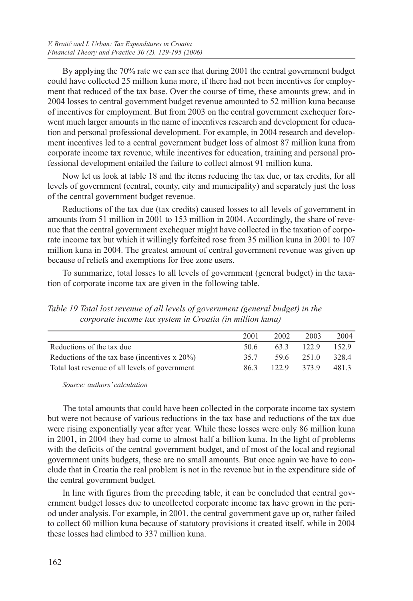By applying the 70% rate we can see that during 2001 the central government budget could have collected 25 million kuna more, if there had not been incentives for employment that reduced of the tax base. Over the course of time, these amounts grew, and in 2004 losses to central government budget revenue amounted to 52 million kuna because of incentives for employment. But from 2003 on the central government exchequer forewent much larger amounts in the name of incentives research and development for education and personal professional development. For example, in 2004 research and development incentives led to a central government budget loss of almost 87 million kuna from corporate income tax revenue, while incentives for education, training and personal professional development entailed the failure to collect almost 91 million kuna.

Now let us look at table 18 and the items reducing the tax due, or tax credits, for all levels of government (central, county, city and municipality) and separately just the loss of the central government budget revenue.

Reductions of the tax due (tax credits) caused losses to all levels of government in amounts from 51 million in 2001 to 153 million in 2004. Accordingly, the share of revenue that the central government exchequer might have collected in the taxation of corporate income tax but which it willingly forfeited rose from 35 million kuna in 2001 to 107 million kuna in 2004. The greatest amount of central government revenue was given up because of reliefs and exemptions for free zone users.

To summarize, total losses to all levels of government (general budget) in the taxation of corporate income tax are given in the following table.

*Table 19 Total lost revenue of all levels of government (general budget) in the corporate income tax system in Croatia (in million kuna)*

|                                                   | 2001 | 2002 | 2003       | 2004  |
|---------------------------------------------------|------|------|------------|-------|
| Reductions of the tax due                         | 50.6 | 63.3 | 122.9      | 152.9 |
| Reductions of the tax base (incentives $x 20\%$ ) | 35.7 |      | 59.6 251.0 | 328.4 |
| Total lost revenue of all levels of government    | 86.3 | 1229 | 373.9      | 481.3 |

*Source: authors' calculation*

The total amounts that could have been collected in the corporate income tax system but were not because of various reductions in the tax base and reductions of the tax due were rising exponentially year after year. While these losses were only 86 million kuna in 2001, in 2004 they had come to almost half a billion kuna. In the light of problems with the deficits of the central government budget, and of most of the local and regional government units budgets, these are no small amounts. But once again we have to conclude that in Croatia the real problem is not in the revenue but in the expenditure side of the central government budget.

In line with figures from the preceding table, it can be concluded that central government budget losses due to uncollected corporate income tax have grown in the period under analysis. For example, in 2001, the central government gave up or, rather failed to collect 60 million kuna because of statutory provisions it created itself, while in 2004 these losses had climbed to 337 million kuna.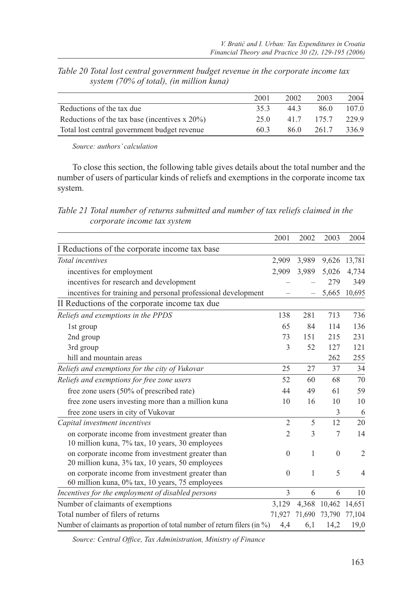|                                                   | 2001 | 2002 | 2003  | 2004  |
|---------------------------------------------------|------|------|-------|-------|
| Reductions of the tax due                         | 35.3 | 44.3 | 86.0  | 107.0 |
| Reductions of the tax base (incentives $x 20\%$ ) | 25 O | 417  | 175.7 | 229.9 |
| Total lost central government budget revenue      | 60.3 | 86.0 | 261.7 | 336.9 |

*Table 20 Total lost central government budget revenue in the corporate income tax system (70% of total), (in million kuna)*

*Source: authors' calculation*

To close this section, the following table gives details about the total number and the number of users of particular kinds of reliefs and exemptions in the corporate income tax system.

*Table 21 Total number of returns submitted and number of tax reliefs claimed in the corporate income tax system*

|                                                                                                     | 2001           | 2002   | 2003         | 2004           |
|-----------------------------------------------------------------------------------------------------|----------------|--------|--------------|----------------|
| I Reductions of the corporate income tax base                                                       |                |        |              |                |
| Total incentives                                                                                    | 2,909          | 3,989  | 9,626        | 13,781         |
| incentives for employment                                                                           | 2.909          | 3,989  | 5,026        | 4,734          |
| incentives for research and development                                                             |                |        | 279          | 349            |
| incentives for training and personal professional development                                       |                |        | 5,665        | 10,695         |
| II Reductions of the corporate income tax due                                                       |                |        |              |                |
| Reliefs and exemptions in the PPDS                                                                  | 138            | 281    | 713          | 736            |
| 1st group                                                                                           | 65             | 84     | 114          | 136            |
| 2nd group                                                                                           | 73             | 151    | 215          | 231            |
| 3rd group                                                                                           | 3              | 52     | 127          | 121            |
| hill and mountain areas                                                                             |                |        | 262          | 255            |
| Reliefs and exemptions for the city of Vukovar                                                      | 25             | 27     | 37           | 34             |
| Reliefs and exemptions for free zone users                                                          | 52             | 60     | 68           | 70             |
| free zone users (50% of prescribed rate)                                                            | 44             | 49     | 61           | 59             |
| free zone users investing more than a million kuna                                                  | 10             | 16     | 10           | 10             |
| free zone users in city of Vukovar                                                                  |                |        | 3            | 6              |
| Capital investment incentives                                                                       | $\overline{2}$ | 5      | 12           | 20             |
| on corporate income from investment greater than<br>10 million kuna, 7% tax, 10 years, 30 employees | 2              | 3      | 7            | 14             |
| on corporate income from investment greater than<br>20 million kuna, 3% tax, 10 years, 50 employees | $\mathbf{0}$   | 1      | $\mathbf{0}$ | $\overline{2}$ |
| on corporate income from investment greater than<br>60 million kuna, 0% tax, 10 years, 75 employees | $\mathbf{0}$   | 1      | 5            | 4              |
| Incentives for the employment of disabled persons                                                   | 3              | 6      | 6            | 10             |
| Number of claimants of exemptions                                                                   | 3,129          | 4,368  | 10,462       | 14,651         |
| Total number of filers of returns                                                                   | 71,927         | 71,690 | 73,790       | 77,104         |
| Number of claimants as proportion of total number of return filers (in $\%$ )                       | 4,4            | 6,1    | 14,2         | 19,0           |

*Source: Central Office, Tax Administration, Ministry of Finance*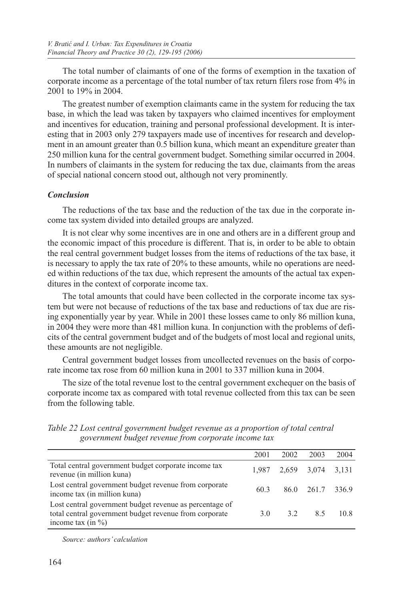The total number of claimants of one of the forms of exemption in the taxation of corporate income as a percentage of the total number of tax return filers rose from 4% in 2001 to 19% in 2004.

The greatest number of exemption claimants came in the system for reducing the tax base, in which the lead was taken by taxpayers who claimed incentives for employment and incentives for education, training and personal professional development. It is interesting that in 2003 only 279 taxpayers made use of incentives for research and development in an amount greater than 0.5 billion kuna, which meant an expenditure greater than 250 million kuna for the central government budget. Something similar occurred in 2004. In numbers of claimants in the system for reducing the tax due, claimants from the areas of special national concern stood out, although not very prominently.

## *Conclusion*

The reductions of the tax base and the reduction of the tax due in the corporate income tax system divided into detailed groups are analyzed.

It is not clear why some incentives are in one and others are in a different group and the economic impact of this procedure is different. That is, in order to be able to obtain the real central government budget losses from the items of reductions of the tax base, it is necessary to apply the tax rate of 20% to these amounts, while no operations are needed within reductions of the tax due, which represent the amounts of the actual tax expenditures in the context of corporate income tax.

The total amounts that could have been collected in the corporate income tax system but were not because of reductions of the tax base and reductions of tax due are rising exponentially year by year. While in 2001 these losses came to only 86 million kuna, in 2004 they were more than 481 million kuna. In conjunction with the problems of deficits of the central government budget and of the budgets of most local and regional units, these amounts are not negligible.

Central government budget losses from uncollected revenues on the basis of corporate income tax rose from 60 million kuna in 2001 to 337 million kuna in 2004.

The size of the total revenue lost to the central government exchequer on the basis of corporate income tax as compared with total revenue collected from this tax can be seen from the following table.

|                                                                                                                                            | 2001 | 2002                    | 2003             | 2004 |
|--------------------------------------------------------------------------------------------------------------------------------------------|------|-------------------------|------------------|------|
| Total central government budget corporate income tax<br>revenue (in million kuna)                                                          |      | 1,987 2,659 3,074 3,131 |                  |      |
| Lost central government budget revenue from corporate<br>income tax (in million kuna)                                                      | 60.3 |                         | 86.0 261.7 336.9 |      |
| Lost central government budget revenue as percentage of<br>total central government budget revenue from corporate<br>income tax (in $\%$ ) | 3.0  | 3.2                     | 85               | 10.8 |

*Table 22 Lost central government budget revenue as a proportion of total central government budget revenue from corporate income tax*

*Source: authors' calculation*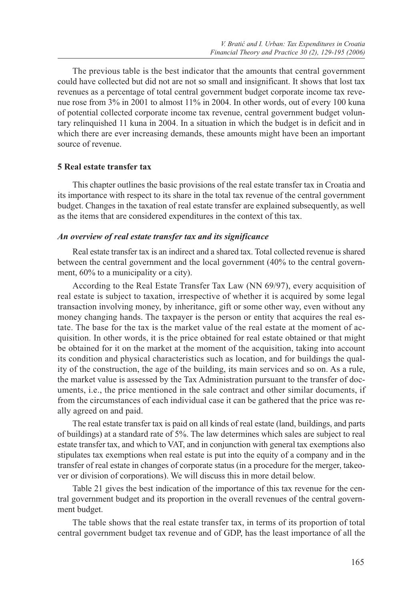The previous table is the best indicator that the amounts that central government could have collected but did not are not so small and insignificant. It shows that lost tax revenues as a percentage of total central government budget corporate income tax revenue rose from 3% in 2001 to almost 11% in 2004. In other words, out of every 100 kuna of potential collected corporate income tax revenue, central government budget voluntary relinquished 11 kuna in 2004. In a situation in which the budget is in deficit and in which there are ever increasing demands, these amounts might have been an important source of revenue.

#### **5 Real estate transfer tax**

This chapter outlines the basic provisions of the real estate transfer tax in Croatia and its importance with respect to its share in the total tax revenue of the central government budget. Changes in the taxation of real estate transfer are explained subsequently, as well as the items that are considered expenditures in the context of this tax.

#### *An overview of real estate transfer tax and its significance*

Real estate transfer tax is an indirect and a shared tax. Total collected revenue is shared between the central government and the local government (40% to the central government, 60% to a municipality or a city).

According to the Real Estate Transfer Tax Law (NN 69/97), every acquisition of real estate is subject to taxation, irrespective of whether it is acquired by some legal transaction involving money, by inheritance, gift or some other way, even without any money changing hands. The taxpayer is the person or entity that acquires the real estate. The base for the tax is the market value of the real estate at the moment of acquisition. In other words, it is the price obtained for real estate obtained or that might be obtained for it on the market at the moment of the acquisition, taking into account its condition and physical characteristics such as location, and for buildings the quality of the construction, the age of the building, its main services and so on. As a rule, the market value is assessed by the Tax Administration pursuant to the transfer of documents, i.e., the price mentioned in the sale contract and other similar documents, if from the circumstances of each individual case it can be gathered that the price was really agreed on and paid.

The real estate transfer tax is paid on all kinds of real estate (land, buildings, and parts of buildings) at a standard rate of 5%. The law determines which sales are subject to real estate transfer tax, and which to VAT, and in conjunction with general tax exemptions also stipulates tax exemptions when real estate is put into the equity of a company and in the transfer of real estate in changes of corporate status (in a procedure for the merger, takeover or division of corporations). We will discuss this in more detail below.

Table 21 gives the best indication of the importance of this tax revenue for the central government budget and its proportion in the overall revenues of the central government budget.

The table shows that the real estate transfer tax, in terms of its proportion of total central government budget tax revenue and of GDP, has the least importance of all the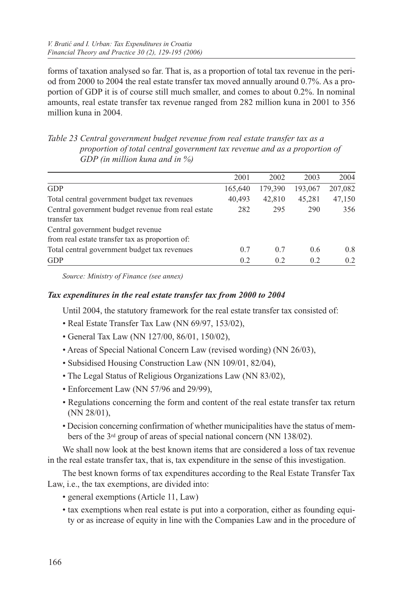forms of taxation analysed so far. That is, as a proportion of total tax revenue in the period from 2000 to 2004 the real estate transfer tax moved annually around 0.7%. As a proportion of GDP it is of course still much smaller, and comes to about 0.2%. In nominal amounts, real estate transfer tax revenue ranged from 282 million kuna in 2001 to 356 million kuna in 2004.

*Table 23 Central government budget revenue from real estate transfer tax as a proportion of total central government tax revenue and as a proportion of GDP (in million kuna and in %)*

| 2001                                                      | 2002    | 2003    | 2004    |
|-----------------------------------------------------------|---------|---------|---------|
| 165,640                                                   | 179,390 | 193,067 | 207,082 |
| 40.493                                                    | 42,810  | 45,281  | 47,150  |
| Central government budget revenue from real estate<br>282 | 295     | 290     | 356     |
|                                                           |         |         |         |
| 0.7                                                       | 0.7     | 0.6     | 0.8     |
| 0.2                                                       | 0.2     | 0.2     | 0.2     |
|                                                           |         |         |         |

*Source: Ministry of Finance (see annex)*

## *Tax expenditures in the real estate transfer tax from 2000 to 2004*

Until 2004, the statutory framework for the real estate transfer tax consisted of:

- Real Estate Transfer Tax Law (NN 69/97, 153/02),
- General Tax Law (NN 127/00, 86/01, 150/02),
- Areas of Special National Concern Law (revised wording) (NN 26/03),
- Subsidised Housing Construction Law (NN 109/01, 82/04),
- The Legal Status of Religious Organizations Law (NN 83/02),
- Enforcement Law (NN 57/96 and 29/99),
- Regulations concerning the form and content of the real estate transfer tax return (NN 28/01),
- Decision concerning confirmation of whether municipalities have the status of members of the 3rd group of areas of special national concern (NN 138/02).

We shall now look at the best known items that are considered a loss of tax revenue in the real estate transfer tax, that is, tax expenditure in the sense of this investigation.

The best known forms of tax expenditures according to the Real Estate Transfer Tax Law, i.e., the tax exemptions, are divided into:

- general exemptions (Article 11, Law)
- tax exemptions when real estate is put into a corporation, either as founding equity or as increase of equity in line with the Companies Law and in the procedure of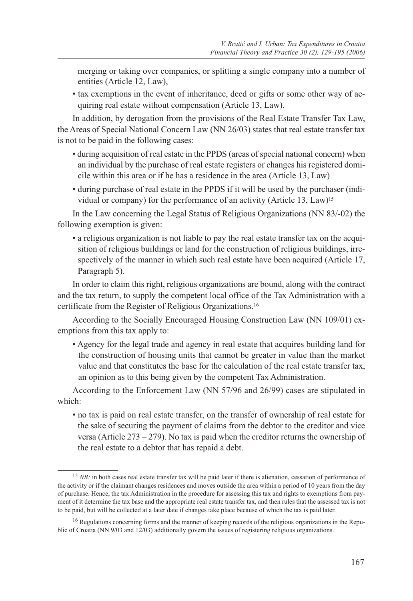merging or taking over companies, or splitting a single company into a number of entities (Article 12, Law),

• tax exemptions in the event of inheritance, deed or gifts or some other way of acquiring real estate without compensation (Article 13, Law).

In addition, by derogation from the provisions of the Real Estate Transfer Tax Law, the Areas of Special National Concern Law (NN 26/03) states that real estate transfer tax is not to be paid in the following cases:

- during acquisition of real estate in the PPDS (areas of special national concern) when an individual by the purchase of real estate registers or changes his registered domicile within this area or if he has a residence in the area (Article 13, Law)
- during purchase of real estate in the PPDS if it will be used by the purchaser (individual or company) for the performance of an activity (Article 13, Law)15

In the Law concerning the Legal Status of Religious Organizations (NN 83/-02) the following exemption is given:

• a religious organization is not liable to pay the real estate transfer tax on the acquisition of religious buildings or land for the construction of religious buildings, irrespectively of the manner in which such real estate have been acquired (Article 17, Paragraph 5).

In order to claim this right, religious organizations are bound, along with the contract and the tax return, to supply the competent local office of the Tax Administration with a certificate from the Register of Religious Organizations.16

According to the Socially Encouraged Housing Construction Law (NN 109/01) exemptions from this tax apply to:

• Agency for the legal trade and agency in real estate that acquires building land for the construction of housing units that cannot be greater in value than the market value and that constitutes the base for the calculation of the real estate transfer tax, an opinion as to this being given by the competent Tax Administration.

According to the Enforcement Law (NN 57/96 and 26/99) cases are stipulated in which:

• no tax is paid on real estate transfer, on the transfer of ownership of real estate for the sake of securing the payment of claims from the debtor to the creditor and vice versa (Article  $273 - 279$ ). No tax is paid when the creditor returns the ownership of the real estate to a debtor that has repaid a debt.

<sup>&</sup>lt;sup>15</sup> *NB*: in both cases real estate transfer tax will be paid later if there is alienation, cessation of performance of the activity or if the claimant changes residences and moves outside the area within a period of 10 years from the day of purchase. Hence, the tax Administration in the procedure for assessing this tax and rights to exemptions from payment of it determine the tax base and the appropriate real estate transfer tax, and then rules that the assessed tax is not to be paid, but will be collected at a later date if changes take place because of which the tax is paid later.

<sup>&</sup>lt;sup>16</sup> Regulations concerning forms and the manner of keeping records of the religious organizations in the Republic of Croatia (NN 9/03 and 12/03) additionally govern the issues of registering religious organizations.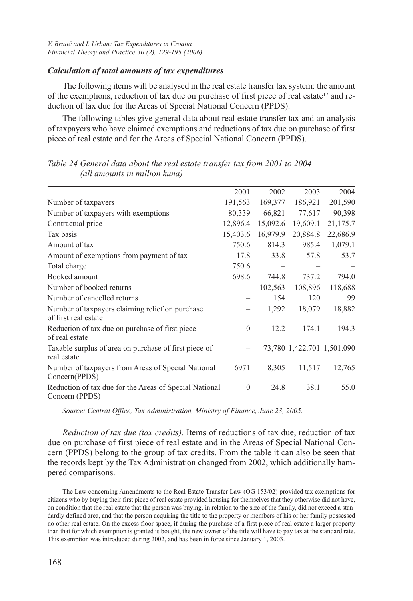#### *Calculation of total amounts of tax expenditures*

The following items will be analysed in the real estate transfer tax system: the amount of the exemptions, reduction of tax due on purchase of first piece of real estate17 and reduction of tax due for the Areas of Special National Concern (PPDS).

The following tables give general data about real estate transfer tax and an analysis of taxpayers who have claimed exemptions and reductions of tax due on purchase of first piece of real estate and for the Areas of Special National Concern (PPDS).

|                                                                          | 2001         | 2002     | 2003                       | 2004     |
|--------------------------------------------------------------------------|--------------|----------|----------------------------|----------|
| Number of taxpayers                                                      | 191,563      | 169,377  | 186,921                    | 201,590  |
| Number of taxpayers with exemptions                                      | 80,339       | 66,821   | 77,617                     | 90,398   |
| Contractual price                                                        | 12,896.4     | 15,092.6 | 19,609.1                   | 21,175.7 |
| Tax basis                                                                | 15,403.6     | 16,979.9 | 20,884.8                   | 22,686.9 |
| Amount of tax                                                            | 750.6        | 814.3    | 985.4                      | 1,079.1  |
| Amount of exemptions from payment of tax                                 | 17.8         | 33.8     | 57.8                       | 53.7     |
| Total charge                                                             | 750.6        |          |                            |          |
| Booked amount                                                            | 698.6        | 744.8    | 737.2                      | 794.0    |
| Number of booked returns                                                 |              | 102,563  | 108,896                    | 118,688  |
| Number of cancelled returns                                              |              | 154      | 120                        | 99       |
| Number of taxpayers claiming relief on purchase<br>of first real estate  |              | 1,292    | 18,079                     | 18,882   |
| Reduction of tax due on purchase of first piece<br>of real estate        | $\mathbf{0}$ | 12.2     | 174.1                      | 194.3    |
| Taxable surplus of area on purchase of first piece of<br>real estate     |              |          | 73,780 1,422.701 1,501.090 |          |
| Number of taxpayers from Areas of Special National<br>Concern(PPDS)      | 6971         | 8,305    | 11,517                     | 12,765   |
| Reduction of tax due for the Areas of Special National<br>Concern (PPDS) | $\mathbf{0}$ | 24.8     | 38.1                       | 55.0     |

*Table 24 General data about the real estate transfer tax from 2001 to 2004 (all amounts in million kuna)*

*Source: Central Office, Tax Administration, Ministry of Finance, June 23, 2005.*

*Reduction of tax due (tax credits).* Items of reductions of tax due, reduction of tax due on purchase of first piece of real estate and in the Areas of Special National Concern (PPDS) belong to the group of tax credits. From the table it can also be seen that the records kept by the Tax Administration changed from 2002, which additionally hampered comparisons.

The Law concerning Amendments to the Real Estate Transfer Law (OG 153/02) provided tax exemptions for citizens who by buying their first piece of real estate provided housing for themselves that they otherwise did not have, on condition that the real estate that the person was buying, in relation to the size of the family, did not exceed a standardly defined area, and that the person acquiring the title to the property or members of his or her family possessed no other real estate. On the excess floor space, if during the purchase of a first piece of real estate a larger property than that for which exemption is granted is bought, the new owner of the title will have to pay tax at the standard rate. This exemption was introduced during 2002, and has been in force since January 1, 2003.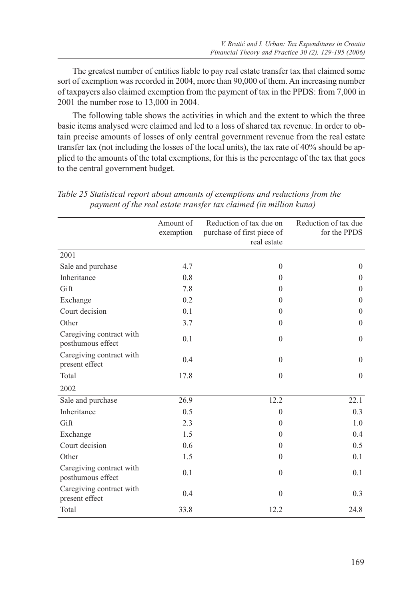The greatest number of entities liable to pay real estate transfer tax that claimed some sort of exemption was recorded in 2004, more than 90,000 of them. An increasing number of taxpayers also claimed exemption from the payment of tax in the PPDS: from 7,000 in 2001 the number rose to 13,000 in 2004.

The following table shows the activities in which and the extent to which the three basic items analysed were claimed and led to a loss of shared tax revenue. In order to obtain precise amounts of losses of only central government revenue from the real estate transfer tax (not including the losses of the local units), the tax rate of 40% should be applied to the amounts of the total exemptions, for this is the percentage of the tax that goes to the central government budget.

|                                               | Amount of | Reduction of tax due on    | Reduction of tax due |
|-----------------------------------------------|-----------|----------------------------|----------------------|
|                                               | exemption | purchase of first piece of | for the PPDS         |
|                                               |           | real estate                |                      |
| 2001                                          |           |                            |                      |
| Sale and purchase                             | 4.7       | $\theta$                   | $\theta$             |
| Inheritance                                   | 0.8       | $\mathbf{0}$               | $\mathbf{0}$         |
| Gift                                          | 7.8       | $\theta$                   | $\theta$             |
| Exchange                                      | 0.2       | $\theta$                   | $\Omega$             |
| Court decision                                | 0.1       | $\theta$                   | $\theta$             |
| Other                                         | 3.7       | $\mathbf{0}$               | $\mathbf{0}$         |
| Caregiving contract with<br>posthumous effect | 0.1       | $\theta$                   | $\theta$             |
| Caregiving contract with<br>present effect    | 0.4       | $\mathbf{0}$               | $\mathbf{0}$         |
| Total                                         | 17.8      | $\mathbf{0}$               | $\mathbf{0}$         |
| 2002                                          |           |                            |                      |
| Sale and purchase                             | 26.9      | 12.2                       | 22.1                 |
| Inheritance                                   | 0.5       | $\theta$                   | 0.3                  |
| Gift                                          | 2.3       | $\theta$                   | 1.0                  |
| Exchange                                      | 1.5       | $\theta$                   | 0.4                  |
| Court decision                                | 0.6       | $\theta$                   | 0.5                  |
| Other                                         | 1.5       | $\mathbf{0}$               | 0.1                  |
| Caregiving contract with<br>posthumous effect | 0.1       | $\theta$                   | 0.1                  |
| Caregiving contract with<br>present effect    | 0.4       | $\theta$                   | 0.3                  |
| Total                                         | 33.8      | 12.2                       | 24.8                 |

*Table 25 Statistical report about amounts of exemptions and reductions from the payment of the real estate transfer tax claimed (in million kuna)*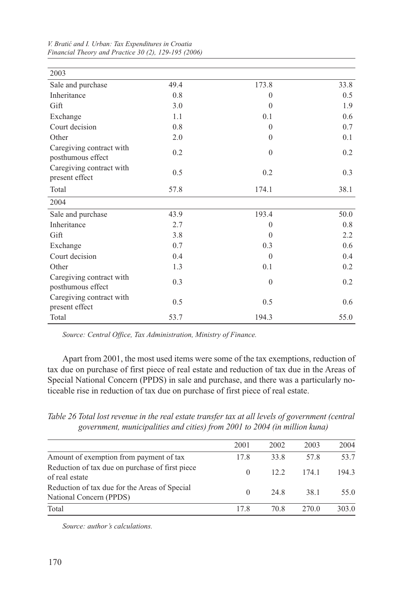| 2003                                          |      |              |      |
|-----------------------------------------------|------|--------------|------|
| Sale and purchase                             | 49.4 | 173.8        | 33.8 |
| Inheritance                                   | 0.8  | $\theta$     | 0.5  |
| Gift                                          | 3.0  | $\Omega$     | 1.9  |
| Exchange                                      | 1.1  | 0.1          | 0.6  |
| Court decision                                | 0.8  | $\theta$     | 0.7  |
| Other                                         | 2.0  | $\theta$     | 0.1  |
| Caregiving contract with<br>posthumous effect | 0.2  | $\theta$     | 0.2  |
| Caregiving contract with<br>present effect    | 0.5  | 0.2          | 0.3  |
| Total                                         | 57.8 | 174.1        | 38.1 |
| 2004                                          |      |              |      |
| Sale and purchase                             | 43.9 | 193.4        | 50.0 |
| Inheritance                                   | 2.7  | $\mathbf{0}$ | 0.8  |
| Gift                                          | 3.8  | $\Omega$     | 2.2  |
| Exchange                                      | 0.7  | 0.3          | 0.6  |
| Court decision                                | 0.4  | $\Omega$     | 0.4  |
| Other                                         | 1.3  | 0.1          | 0.2  |
| Caregiving contract with<br>posthumous effect | 0.3  | $\theta$     | 0.2  |
| Caregiving contract with<br>present effect    | 0.5  | 0.5          | 0.6  |
| Total                                         | 53.7 | 194.3        | 55.0 |

*V. Bratić and I. Urban: Tax Expenditures in Croatia Financial Theory and Practice 30 (2), 129-195 (2006)*

*Source: Central Office, Tax Administration, Ministry of Finance.*

Apart from 2001, the most used items were some of the tax exemptions, reduction of tax due on purchase of first piece of real estate and reduction of tax due in the Areas of Special National Concern (PPDS) in sale and purchase, and there was a particularly noticeable rise in reduction of tax due on purchase of first piece of real estate.

*Table 26 Total lost revenue in the real estate transfer tax at all levels of government (central government, municipalities and cities) from 2001 to 2004 (in million kuna)*

|                                                                          | 2001     | 2002 | 2003  | 2004  |
|--------------------------------------------------------------------------|----------|------|-------|-------|
| Amount of exemption from payment of tax                                  | 17.8     | 33.8 | 57.8  | 53.7  |
| Reduction of tax due on purchase of first piece<br>of real estate        | $\Omega$ | 122  | 174.1 | 194.3 |
| Reduction of tax due for the Areas of Special<br>National Concern (PPDS) | $\Omega$ | 24.8 | 38.1  | 55.0  |
| Total                                                                    | 178      | 70.8 | 270.0 | 303.0 |

*Source: author's calculations.*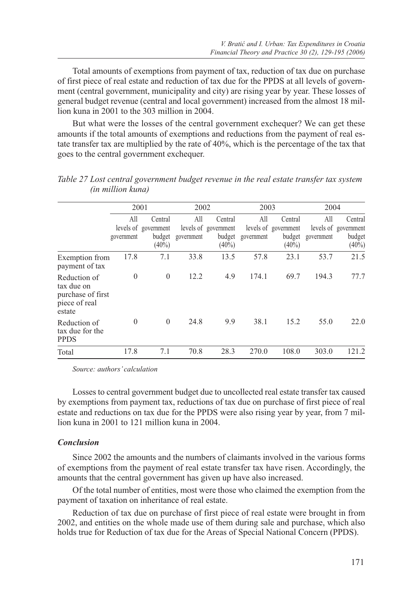Total amounts of exemptions from payment of tax, reduction of tax due on purchase of first piece of real estate and reduction of tax due for the PPDS at all levels of government (central government, municipality and city) are rising year by year. These losses of general budget revenue (central and local government) increased from the almost 18 million kuna in 2001 to the 303 million in 2004.

But what were the losses of the central government exchequer? We can get these amounts if the total amounts of exemptions and reductions from the payment of real estate transfer tax are multiplied by the rate of 40%, which is the percentage of the tax that goes to the central government exchequer.

|                                                                            |                   | 2001                                                  |                   | 2002<br>2003                                          |                   |                                                       | 2004              |                                                       |
|----------------------------------------------------------------------------|-------------------|-------------------------------------------------------|-------------------|-------------------------------------------------------|-------------------|-------------------------------------------------------|-------------------|-------------------------------------------------------|
|                                                                            | All<br>government | Central<br>levels of government<br>budget<br>$(40\%)$ | All<br>government | Central<br>levels of government<br>budget<br>$(40\%)$ | All<br>government | Central<br>levels of government<br>budget<br>$(40\%)$ | All<br>government | Central<br>levels of government<br>budget<br>$(40\%)$ |
| Exemption from<br>payment of tax                                           | 17.8              | 7.1                                                   | 33.8              | 13.5                                                  | 57.8              | 23.1                                                  | 53.7              | 21.5                                                  |
| Reduction of<br>tax due on<br>purchase of first<br>piece of real<br>estate | $\overline{0}$    | $\mathbf{0}$                                          | 12.2              | 4.9                                                   | 174.1             | 69.7                                                  | 194.3             | 77.7                                                  |
| Reduction of<br>tax due for the<br><b>PPDS</b>                             | $\Omega$          | $\Omega$                                              | 24.8              | 9.9                                                   | 38.1              | 15.2                                                  | 55.0              | 22.0                                                  |
| Total                                                                      | 17.8              | 7.1                                                   | 70.8              | 28.3                                                  | 270.0             | 108.0                                                 | 303.0             | 121.2                                                 |

*Table 27 Lost central government budget revenue in the real estate transfer tax system (in million kuna)*

*Source: authors' calculation*

Losses to central government budget due to uncollected real estate transfer tax caused by exemptions from payment tax, reductions of tax due on purchase of first piece of real estate and reductions on tax due for the PPDS were also rising year by year, from 7 million kuna in 2001 to 121 million kuna in 2004.

#### *Conclusion*

Since 2002 the amounts and the numbers of claimants involved in the various forms of exemptions from the payment of real estate transfer tax have risen. Accordingly, the amounts that the central government has given up have also increased.

Of the total number of entities, most were those who claimed the exemption from the payment of taxation on inheritance of real estate.

Reduction of tax due on purchase of first piece of real estate were brought in from 2002, and entities on the whole made use of them during sale and purchase, which also holds true for Reduction of tax due for the Areas of Special National Concern (PPDS).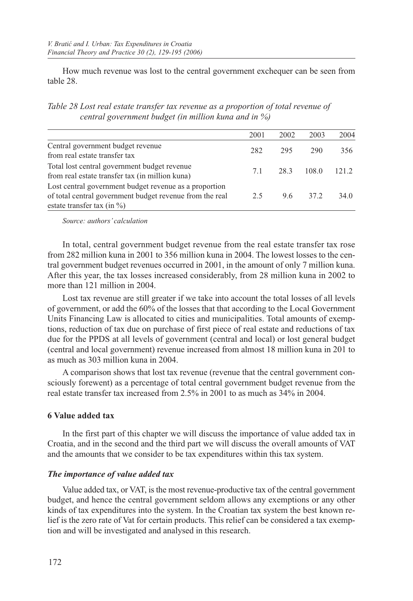How much revenue was lost to the central government exchequer can be seen from table 28.

*Table 28 Lost real estate transfer tax revenue as a proportion of total revenue of central government budget (in million kuna and in %)*

|                                                                                                                                                      | 2001 | 2002 | 2003  | 2004  |
|------------------------------------------------------------------------------------------------------------------------------------------------------|------|------|-------|-------|
| Central government budget revenue<br>from real estate transfer tax                                                                                   | 282  | 295  | 290   | 356   |
| Total lost central government budget revenue<br>from real estate transfer tax (in million kuna)                                                      | 7.1  | 28.3 | 108.0 | 121.2 |
| Lost central government budget revenue as a proportion<br>of total central government budget revenue from the real<br>estate transfer tax (in $\%$ ) | 2.5  | 9.6  | 37.2  | 34.0  |

*Source: authors' calculation*

In total, central government budget revenue from the real estate transfer tax rose from 282 million kuna in 2001 to 356 million kuna in 2004. The lowest losses to the central government budget revenues occurred in 2001, in the amount of only 7 million kuna. After this year, the tax losses increased considerably, from 28 million kuna in 2002 to more than 121 million in 2004.

Lost tax revenue are still greater if we take into account the total losses of all levels of government, or add the 60% of the losses that that according to the Local Government Units Financing Law is allocated to cities and municipalities. Total amounts of exemptions, reduction of tax due on purchase of first piece of real estate and reductions of tax due for the PPDS at all levels of government (central and local) or lost general budget (central and local government) revenue increased from almost 18 million kuna in 201 to as much as 303 million kuna in 2004.

A comparison shows that lost tax revenue (revenue that the central government consciously forewent) as a percentage of total central government budget revenue from the real estate transfer tax increased from 2.5% in 2001 to as much as 34% in 2004.

## **6 Value added tax**

In the first part of this chapter we will discuss the importance of value added tax in Croatia, and in the second and the third part we will discuss the overall amounts of VAT and the amounts that we consider to be tax expenditures within this tax system.

## *The importance of value added tax*

Value added tax, or VAT, is the most revenue-productive tax of the central government budget, and hence the central government seldom allows any exemptions or any other kinds of tax expenditures into the system. In the Croatian tax system the best known relief is the zero rate of Vat for certain products. This relief can be considered a tax exemption and will be investigated and analysed in this research.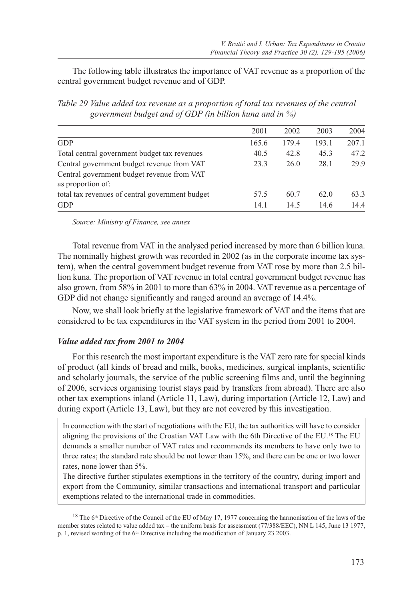The following table illustrates the importance of VAT revenue as a proportion of the central government budget revenue and of GDP.

*Table 29 Value added tax revenue as a proportion of total tax revenues of the central government budget and of GDP (in billion kuna and in %)*

|                                                                 | 2001  | 2002  | 2003  | 2004  |
|-----------------------------------------------------------------|-------|-------|-------|-------|
| <b>GDP</b>                                                      | 165.6 | 179.4 | 193.1 | 207.1 |
| Total central government budget tax revenues                    | 40.5  | 42.8  | 45.3  | 47.2  |
| Central government budget revenue from VAT                      | 23.3  | 26.0  | 28.1  | 29.9  |
| Central government budget revenue from VAT<br>as proportion of: |       |       |       |       |
| total tax revenues of central government budget                 | 57.5  | 60.7  | 62.0  | 63.3  |
| <b>GDP</b>                                                      | 14.1  | 14.5  | 14.6  | 14.4  |

*Source: Ministry of Finance, see annex*

Total revenue from VAT in the analysed period increased by more than 6 billion kuna. The nominally highest growth was recorded in 2002 (as in the corporate income tax system), when the central government budget revenue from VAT rose by more than 2.5 billion kuna. The proportion of VAT revenue in total central government budget revenue has also grown, from 58% in 2001 to more than 63% in 2004. VAT revenue as a percentage of GDP did not change significantly and ranged around an average of 14.4%.

Now, we shall look briefly at the legislative framework of VAT and the items that are considered to be tax expenditures in the VAT system in the period from 2001 to 2004.

#### *Value added tax from 2001 to 2004*

For this research the most important expenditure is the VAT zero rate for special kinds of product (all kinds of bread and milk, books, medicines, surgical implants, scientific and scholarly journals, the service of the public screening films and, until the beginning of 2006, services organising tourist stays paid by transfers from abroad). There are also other tax exemptions inland (Article 11, Law), during importation (Article 12, Law) and during export (Article 13, Law), but they are not covered by this investigation.

In connection with the start of negotiations with the EU, the tax authorities will have to consider aligning the provisions of the Croatian VAT Law with the 6th Directive of the EU.18 The EU demands a smaller number of VAT rates and recommends its members to have only two to three rates; the standard rate should be not lower than 15%, and there can be one or two lower rates, none lower than 5%.

The directive further stipulates exemptions in the territory of the country, during import and export from the Community, similar transactions and international transport and particular exemptions related to the international trade in commodities.

<sup>&</sup>lt;sup>18</sup> The 6<sup>th</sup> Directive of the Council of the EU of May 17, 1977 concerning the harmonisation of the laws of the member states related to value added tax – the uniform basis for assessment (77/388/EEC), NN L 145, June 13 1977, p. 1, revised wording of the 6<sup>th</sup> Directive including the modification of January 23 2003.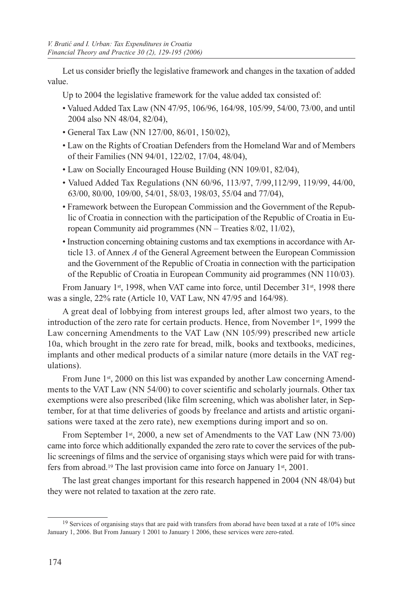Let us consider briefly the legislative framework and changes in the taxation of added value.

Up to 2004 the legislative framework for the value added tax consisted of:

- Valued Added Tax Law (NN 47/95, 106/96, 164/98, 105/99, 54/00, 73/00, and until 2004 also NN 48/04, 82/04),
- General Tax Law (NN 127/00, 86/01, 150/02),
- Law on the Rights of Croatian Defenders from the Homeland War and of Members of their Families (NN 94/01, 122/02, 17/04, 48/04),
- Law on Socially Encouraged House Building (NN 109/01, 82/04),
- Valued Added Tax Regulations (NN 60/96, 113/97, 7/99,112/99, 119/99, 44/00, 63/00, 80/00, 109/00, 54/01, 58/03, 198/03, 55/04 and 77/04),
- Framework between the European Commission and the Government of the Republic of Croatia in connection with the participation of the Republic of Croatia in European Community aid programmes (NN – Treaties 8/02, 11/02),
- Instruction concerning obtaining customs and tax exemptions in accordance with Article 13. of Annex *A* of the General Agreement between the European Commission and the Government of the Republic of Croatia in connection with the participation of the Republic of Croatia in European Community aid programmes (NN 110/03).

From January 1st, 1998, when VAT came into force, until December 31st, 1998 there was a single, 22% rate (Article 10, VAT Law, NN 47/95 and 164/98).

A great deal of lobbying from interest groups led, after almost two years, to the introduction of the zero rate for certain products. Hence, from November  $1<sup>st</sup>$ , 1999 the Law concerning Amendments to the VAT Law (NN 105/99) prescribed new article 10a, which brought in the zero rate for bread, milk, books and textbooks, medicines, implants and other medical products of a similar nature (more details in the VAT regulations).

From June 1<sup>st</sup>, 2000 on this list was expanded by another Law concerning Amendments to the VAT Law (NN 54/00) to cover scientific and scholarly journals. Other tax exemptions were also prescribed (like film screening, which was abolisher later, in September, for at that time deliveries of goods by freelance and artists and artistic organisations were taxed at the zero rate), new exemptions during import and so on.

From September 1<sup>st</sup>, 2000, a new set of Amendments to the VAT Law (NN 73/00) came into force which additionally expanded the zero rate to cover the services of the public screenings of films and the service of organising stays which were paid for with transfers from abroad.19 The last provision came into force on January 1st, 2001.

The last great changes important for this research happened in 2004 (NN 48/04) but they were not related to taxation at the zero rate.

<sup>&</sup>lt;sup>19</sup> Services of organising stays that are paid with transfers from aborad have been taxed at a rate of 10% since January 1, 2006. But From January 1 2001 to January 1 2006, these services were zero-rated.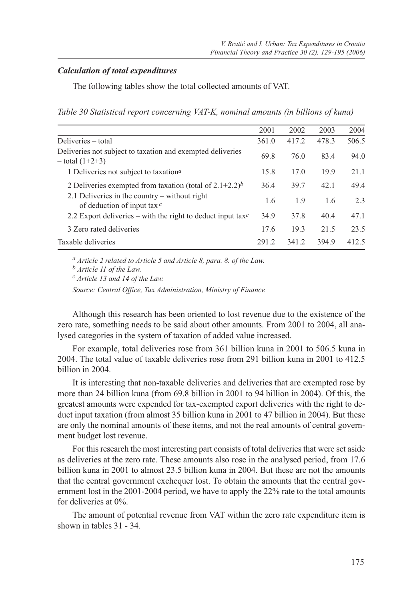## *Calculation of total expenditures*

The following tables show the total collected amounts of VAT.

*Table 30 Statistical report concerning VAT-K, nominal amounts (in billions of kuna)*

|                                                                                   | 2001  | 2002  | 2003  | 2004  |
|-----------------------------------------------------------------------------------|-------|-------|-------|-------|
| Deliveries – total                                                                | 361.0 | 417.2 | 478.3 | 506.5 |
| Deliveries not subject to taxation and exempted deliveries<br>$-$ total $(1+2+3)$ | 69.8  | 76.0  | 83.4  | 94.0  |
| 1 Deliveries not subject to taxation <sup>a</sup>                                 | 15.8  | 17.0  | 19.9  | 21.1  |
| 2 Deliveries exempted from taxation (total of $2.1+2.2$ ) <sup>b</sup>            | 36.4  | 39.7  | 42.1  | 49.4  |
| 2.1 Deliveries in the country $-$ without right<br>of deduction of input tax $c$  | 1.6   | 1.9   | 1.6   | 2.3   |
| 2.2 Export deliveries – with the right to deduct input tax $c$                    | 34.9  | 37.8  | 40.4  | 47.1  |
| 3 Zero rated deliveries                                                           | 17.6  | 19.3  | 21.5  | 23.5  |
| Taxable deliveries                                                                | 291.2 | 341.2 | 394.9 | 412.5 |
|                                                                                   |       |       |       |       |

*a Article 2 related to Article 5 and Article 8, para. 8. of the Law.*

*b Article 11 of the Law.*

*c Article 13 and 14 of the Law.*

*Source: Central Office, Tax Administration, Ministry of Finance*

Although this research has been oriented to lost revenue due to the existence of the zero rate, something needs to be said about other amounts. From 2001 to 2004, all analysed categories in the system of taxation of added value increased.

For example, total deliveries rose from 361 billion kuna in 2001 to 506.5 kuna in 2004. The total value of taxable deliveries rose from 291 billion kuna in 2001 to 412.5 billion in 2004.

It is interesting that non-taxable deliveries and deliveries that are exempted rose by more than 24 billion kuna (from 69.8 billion in 2001 to 94 billion in 2004). Of this, the greatest amounts were expended for tax-exempted export deliveries with the right to deduct input taxation (from almost 35 billion kuna in 2001 to 47 billion in 2004). But these are only the nominal amounts of these items, and not the real amounts of central government budget lost revenue.

For this research the most interesting part consists of total deliveries that were set aside as deliveries at the zero rate. These amounts also rose in the analysed period, from 17.6 billion kuna in 2001 to almost 23.5 billion kuna in 2004. But these are not the amounts that the central government exchequer lost. To obtain the amounts that the central government lost in the 2001-2004 period, we have to apply the 22% rate to the total amounts for deliveries at 0%.

The amount of potential revenue from VAT within the zero rate expenditure item is shown in tables 31 - 34.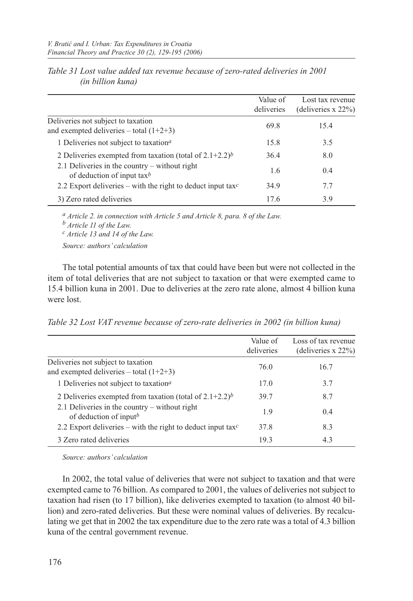|                                                                                      | Value of<br>deliveries | Lost tax revenue<br>(deliveries $x 22\%$ ) |
|--------------------------------------------------------------------------------------|------------------------|--------------------------------------------|
| Deliveries not subject to taxation<br>and exempted deliveries – total $(1+2+3)$      | 69.8                   | 15.4                                       |
| 1 Deliveries not subject to taxation <sup>a</sup>                                    | 15.8                   | 3.5                                        |
| 2 Deliveries exempted from taxation (total of $2.1+2.2$ ) <sup>b</sup>               | 36.4                   | 8.0                                        |
| 2.1 Deliveries in the country – without right<br>of deduction of input tax $\bar{b}$ | 1.6                    | 0.4                                        |
| 2.2 Export deliveries – with the right to deduct input tax <sup>c</sup>              | 34.9                   | 7.7                                        |
| 3) Zero rated deliveries                                                             | 17.6                   | 3.9                                        |

| Table 31 Lost value added tax revenue because of zero-rated deliveries in 2001 |  |
|--------------------------------------------------------------------------------|--|
| <i>(in billion kuna)</i>                                                       |  |

*a Article 2. in connection with Article 5 and Article 8, para. 8 of the Law. b Article 11 of the Law. c Article 13 and 14 of the Law. Source: authors' calculation*

The total potential amounts of tax that could have been but were not collected in the item of total deliveries that are not subject to taxation or that were exempted came to 15.4 billion kuna in 2001. Due to deliveries at the zero rate alone, almost 4 billion kuna were lost.

*Table 32 Lost VAT revenue because of zero-rate deliveries in 2002 (in billion kuna)*

|                                                                                 | Value of<br>deliveries | Loss of tax revenue<br>(deliveries $x 22\%$ ) |
|---------------------------------------------------------------------------------|------------------------|-----------------------------------------------|
| Deliveries not subject to taxation<br>and exempted deliveries – total $(1+2+3)$ | 76.0                   | 16.7                                          |
| 1 Deliveries not subject to taxation <sup>a</sup>                               | 17.0                   | 3.7                                           |
| 2 Deliveries exempted from taxation (total of $2.1+2.2$ ) <sup>b</sup>          | 39.7                   | 8.7                                           |
| 2.1 Deliveries in the country $-$ without right<br>of deduction of inputb       | 1.9                    | 0.4                                           |
| 2.2 Export deliveries – with the right to deduct input tax <sup>c</sup>         | 37.8                   | 8.3                                           |
| 3 Zero rated deliveries                                                         | 19.3                   | 4.3                                           |

*Source: authors' calculation*

In 2002, the total value of deliveries that were not subject to taxation and that were exempted came to 76 billion. As compared to 2001, the values of deliveries not subject to taxation had risen (to 17 billion), like deliveries exempted to taxation (to almost 40 billion) and zero-rated deliveries. But these were nominal values of deliveries. By recalculating we get that in 2002 the tax expenditure due to the zero rate was a total of 4.3 billion kuna of the central government revenue.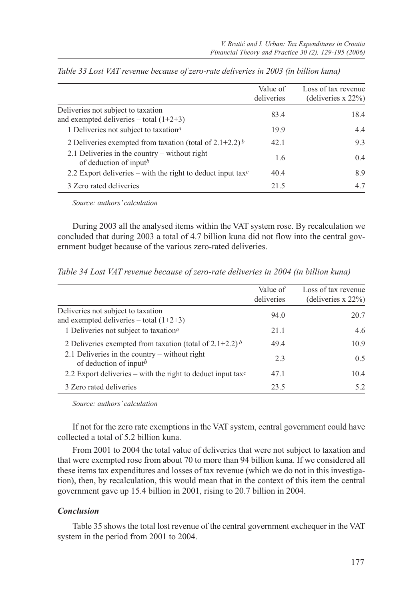|                                                                                       | Value of<br>deliveries | Loss of tax revenue<br>(deliveries $x 22\%$ ) |
|---------------------------------------------------------------------------------------|------------------------|-----------------------------------------------|
| Deliveries not subject to taxation<br>and exempted deliveries – total $(1+2+3)$       | 83.4                   | 18.4                                          |
| 1 Deliveries not subject to taxation <sup>a</sup>                                     | 19.9                   | 4.4                                           |
| 2 Deliveries exempted from taxation (total of 2.1+2.2) $\frac{b}{c}$                  | 42.1                   | 9.3                                           |
| 2.1 Deliveries in the country $-$ without right<br>of deduction of input <sup>b</sup> | 1.6                    | $0.4^{\circ}$                                 |
| 2.2 Export deliveries – with the right to deduct input taxc                           | 40.4                   | 8.9                                           |
| 3 Zero rated deliveries                                                               | 21.5                   | 4.7                                           |

*Table 33 Lost VAT revenue because of zero-rate deliveries in 2003 (in billion kuna)*

*Source: authors' calculation*

During 2003 all the analysed items within the VAT system rose. By recalculation we concluded that during 2003 a total of 4.7 billion kuna did not flow into the central government budget because of the various zero-rated deliveries.

*Table 34 Lost VAT revenue because of zero-rate deliveries in 2004 (in billion kuna)*

|                                                                                 | Value of<br>deliveries | Loss of tax revenue<br>(deliveries $x 22\%$ ) |
|---------------------------------------------------------------------------------|------------------------|-----------------------------------------------|
| Deliveries not subject to taxation<br>and exempted deliveries – total $(1+2+3)$ | 94.0                   | 20.7                                          |
| 1 Deliveries not subject to taxation <sup>a</sup>                               | 21.1                   | 4.6                                           |
| 2 Deliveries exempted from taxation (total of $2.1+2.2$ ) b                     | 49.4                   | 10.9                                          |
| 2.1 Deliveries in the country $-$ without right<br>of deduction of inputb       | 2.3                    | 0.5                                           |
| 2.2 Export deliveries – with the right to deduct input taxc                     | 47.1                   | 10.4                                          |
| 3 Zero rated deliveries                                                         | 23.5                   | 5.2                                           |

*Source: authors' calculation*

If not for the zero rate exemptions in the VAT system, central government could have collected a total of 5.2 billion kuna.

From 2001 to 2004 the total value of deliveries that were not subject to taxation and that were exempted rose from about 70 to more than 94 billion kuna. If we considered all these items tax expenditures and losses of tax revenue (which we do not in this investigation), then, by recalculation, this would mean that in the context of this item the central government gave up 15.4 billion in 2001, rising to 20.7 billion in 2004.

## *Conclusion*

Table 35 shows the total lost revenue of the central government exchequer in the VAT system in the period from 2001 to 2004.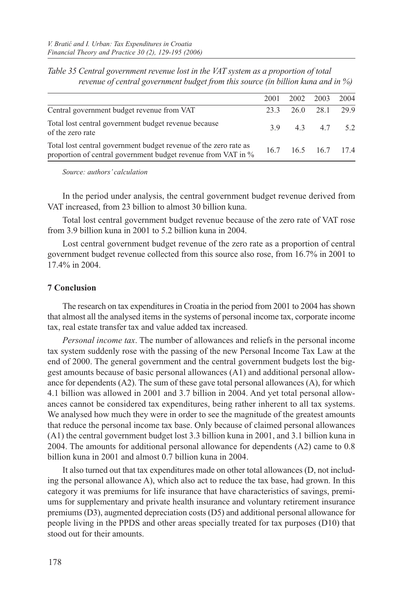|  | 2004                                                                            |
|--|---------------------------------------------------------------------------------|
|  |                                                                                 |
|  |                                                                                 |
|  |                                                                                 |
|  | 2001 2002 2003<br>23.3 26.0 28.1 29.9<br>3.9 4.3 4.7 5.2<br>16.7 16.5 16.7 17.4 |

*Table 35 Central government revenue lost in the VAT system as a proportion of total revenue of central government budget from this source (in billion kuna and in %)*

*Source: authors' calculation*

In the period under analysis, the central government budget revenue derived from VAT increased, from 23 billion to almost 30 billion kuna.

Total lost central government budget revenue because of the zero rate of VAT rose from 3.9 billion kuna in 2001 to 5.2 billion kuna in 2004.

Lost central government budget revenue of the zero rate as a proportion of central government budget revenue collected from this source also rose, from 16.7% in 2001 to 17.4% in 2004.

#### **7 Conclusion**

The research on tax expenditures in Croatia in the period from 2001 to 2004 has shown that almost all the analysed items in the systems of personal income tax, corporate income tax, real estate transfer tax and value added tax increased.

*Personal income tax*. The number of allowances and reliefs in the personal income tax system suddenly rose with the passing of the new Personal Income Tax Law at the end of 2000. The general government and the central government budgets lost the biggest amounts because of basic personal allowances (A1) and additional personal allowance for dependents (A2). The sum of these gave total personal allowances (A), for which 4.1 billion was allowed in 2001 and 3.7 billion in 2004. And yet total personal allowances cannot be considered tax expenditures, being rather inherent to all tax systems. We analysed how much they were in order to see the magnitude of the greatest amounts that reduce the personal income tax base. Only because of claimed personal allowances (A1) the central government budget lost 3.3 billion kuna in 2001, and 3.1 billion kuna in 2004. The amounts for additional personal allowance for dependents (A2) came to 0.8 billion kuna in 2001 and almost 0.7 billion kuna in 2004.

It also turned out that tax expenditures made on other total allowances (D, not including the personal allowance A), which also act to reduce the tax base, had grown. In this category it was premiums for life insurance that have characteristics of savings, premiums for supplementary and private health insurance and voluntary retirement insurance premiums (D3), augmented depreciation costs (D5) and additional personal allowance for people living in the PPDS and other areas specially treated for tax purposes (D10) that stood out for their amounts.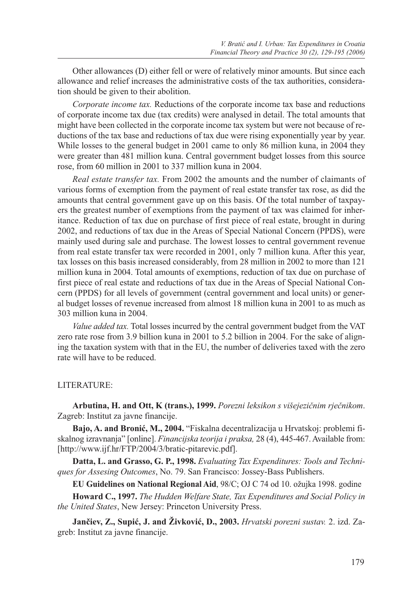Other allowances (D) either fell or were of relatively minor amounts. But since each allowance and relief increases the administrative costs of the tax authorities, consideration should be given to their abolition.

*Corporate income tax.* Reductions of the corporate income tax base and reductions of corporate income tax due (tax credits) were analysed in detail. The total amounts that might have been collected in the corporate income tax system but were not because of reductions of the tax base and reductions of tax due were rising exponentially year by year. While losses to the general budget in 2001 came to only 86 million kuna, in 2004 they were greater than 481 million kuna. Central government budget losses from this source rose, from 60 million in 2001 to 337 million kuna in 2004.

*Real estate transfer tax.* From 2002 the amounts and the number of claimants of various forms of exemption from the payment of real estate transfer tax rose, as did the amounts that central government gave up on this basis. Of the total number of taxpayers the greatest number of exemptions from the payment of tax was claimed for inheritance. Reduction of tax due on purchase of first piece of real estate, brought in during 2002, and reductions of tax due in the Areas of Special National Concern (PPDS), were mainly used during sale and purchase. The lowest losses to central government revenue from real estate transfer tax were recorded in 2001, only 7 million kuna. After this year, tax losses on this basis increased considerably, from 28 million in 2002 to more than 121 million kuna in 2004. Total amounts of exemptions, reduction of tax due on purchase of first piece of real estate and reductions of tax due in the Areas of Special National Concern (PPDS) for all levels of government (central government and local units) or general budget losses of revenue increased from almost 18 million kuna in 2001 to as much as 303 million kuna in 2004.

*Value added tax.* Total losses incurred by the central government budget from the VAT zero rate rose from 3.9 billion kuna in 2001 to 5.2 billion in 2004. For the sake of aligning the taxation system with that in the EU, the number of deliveries taxed with the zero rate will have to be reduced.

## LITERATURE:

**Arbutina, H. and Ott, K (trans.), 1999.** *Porezni leksikon s višejezičnim rječnikom*. Zagreb: Institut za javne financije.

**Bajo, A. and Bronić, M., 2004.** "Fiskalna decentralizacija u Hrvatskoj: problemi fiskalnog izravnanja" [online]. *Financijska teorija i praksa,* 28 (4), 445-467. Available from: [http://www.ijf.hr/FTP/2004/3/bratic-pitarevic.pdf].

**Datta, L. and Grasso, G. P., 1998.** *Evaluating Tax Expenditures: Tools and Techniques for Assesing Outcomes*, No. 79. San Francisco: Jossey-Bass Publishers.

**EU Guidelines on National Regional Aid**, 98/C; OJ C 74 od 10. ožujka 1998. godine

**Howard C., 1997.** *The Hudden Welfare State, Tax Expenditures and Social Policy in the United States*, New Jersey: Princeton University Press.

**Jančiev, Z., Supić, J. and Živković, D., 2003.** *Hrvatski porezni sustav.* 2. izd. Zagreb: Institut za javne financije.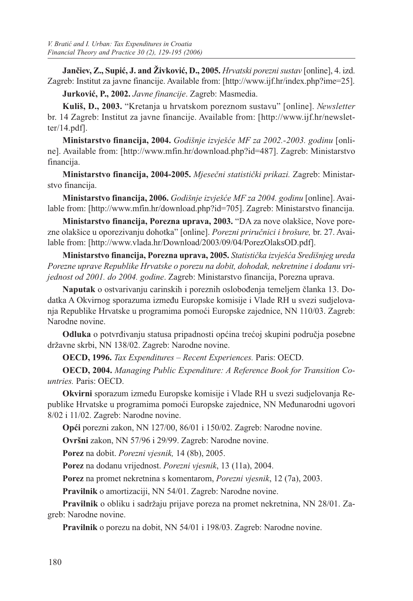**Jančiev, Z., Supić, J. and Živković, D., 2005.** *Hrvatski porezni sustav* [online], 4. izd. Zagreb: Institut za javne financije. Available from: [http://www.ijf.hr/index.php?ime=25].

**Jurković, P., 2002.** *Javne financije*. Zagreb: Masmedia.

**Kuliš, D., 2003.** "Kretanja u hrvatskom poreznom sustavu" [online]. *Newsletter*  br. 14 Zagreb: Institut za javne financije. Available from: [http://www.ijf.hr/newsletter/14.pdf].

**Ministarstvo financija, 2004.** *Godišnje izvješće MF za 2002.-2003. godinu* [online]. Available from: [http://www.mfin.hr/download.php?id=487]. Zagreb: Ministarstvo financija.

**Ministarstvo financija, 2004-2005.** *Mjesečni statistički prikazi.* Zagreb: Ministarstvo financija.

**Ministarstvo financija, 2006.** *Godišnje izvješće MF za 2004. godinu* [online]. Available from: [http://www.mfin.hr/download.php?id=705]. Zagreb: Ministarstvo financija.

**Ministarstvo financija, Porezna uprava, 2003.** "DA za nove olakšice, Nove porezne olakšice u oporezivanju dohotka" [online]. *Porezni priručnici i brošure,* br. 27. Available from: [http://www.vlada.hr/Download/2003/09/04/PorezOlaksOD.pdf].

**Ministarstvo financija, Porezna uprava, 2005.** *Statistička izvješća Središnjeg ureda Porezne uprave Republike Hrvatske o porezu na dobit, dohodak, nekretnine i dodanu vrijednost od 2001. do 2004. godine*. Zagreb: Ministarstvo financija, Porezna uprava.

**Naputak** o ostvarivanju carinskih i poreznih oslobođenja temeljem članka 13. Dodatka A Okvirnog sporazuma između Europske komisije i Vlade RH u svezi sudjelovanja Republike Hrvatske u programima pomoći Europske zajednice, NN 110/03. Zagreb: Narodne novine.

**Odluka** o potvrđivanju statusa pripadnosti općina trećoj skupini područja posebne državne skrbi, NN 138/02. Zagreb: Narodne novine.

**OECD, 1996.** *Tax Expenditures – Recent Experiences.* Paris: OECD.

**OECD, 2004.** *Managing Public Expenditure: A Reference Book for Transition Countries.* Paris: OECD.

**Okvirni** sporazum između Europske komisije i Vlade RH u svezi sudjelovanja Republike Hrvatske u programima pomoći Europske zajednice, NN Međunarodni ugovori 8/02 i 11/02. Zagreb: Narodne novine.

**Opći** porezni zakon, NN 127/00, 86/01 i 150/02. Zagreb: Narodne novine.

**Ovršni** zakon, NN 57/96 i 29/99. Zagreb: Narodne novine.

**Porez** na dobit. *Porezni vjesnik,* 14 (8b), 2005.

**Porez** na dodanu vrijednost. *Porezni vjesnik*, 13 (11a), 2004.

**Porez** na promet nekretnina s komentarom, *Porezni vjesnik*, 12 (7a), 2003.

**Pravilnik** o amortizaciji, NN 54/01. Zagreb: Narodne novine.

**Pravilnik** o obliku i sadržaju prijave poreza na promet nekretnina, NN 28/01. Zagreb: Narodne novine.

**Pravilnik** o porezu na dobit, NN 54/01 i 198/03. Zagreb: Narodne novine.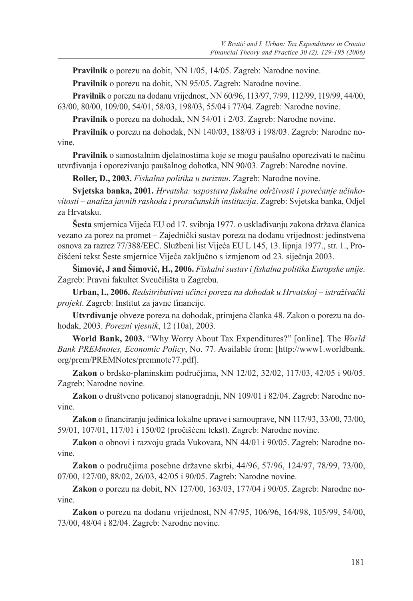**Pravilnik** o porezu na dobit, NN 1/05, 14/05. Zagreb: Narodne novine.

**Pravilnik** o porezu na dobit, NN 95/05. Zagreb: Narodne novine.

**Pravilnik** o porezu na dodanu vrijednost, NN 60/96, 113/97, 7/99, 112/99, 119/99, 44/00, 63/00, 80/00, 109/00, 54/01, 58/03, 198/03, 55/04 i 77/04. Zagreb: Narodne novine.

**Pravilnik** o porezu na dohodak, NN 54/01 i 2/03. Zagreb: Narodne novine.

**Pravilnik** o porezu na dohodak, NN 140/03, 188/03 i 198/03. Zagreb: Narodne novine.

**Pravilnik** o samostalnim djelatnostima koje se mogu paušalno oporezivati te načinu utvrđivanja i oporezivanju paušalnog dohotka, NN 90/03. Zagreb: Narodne novine.

**Roller, D., 2003.** *Fiskalna politika u turizmu*. Zagreb: Narodne novine.

**Svjetska banka, 2001.** *Hrvatska: uspostava fiskalne održivosti i povećanje učinkovitosti – analiza javnih rashoda i proračunskih institucija*. Zagreb: Svjetska banka, Odjel za Hrvatsku.

**Šesta** smjernica Vijeća EU od 17. svibnja 1977. o usklađivanju zakona država članica vezano za porez na promet – Zajednički sustav poreza na dodanu vrijednost: jedinstvena osnova za razrez 77/388/EEC. Službeni list Vijeća EU L 145, 13. lipnja 1977., str. 1., Pročišćeni tekst Šeste smjernice Vijeća zaključno s izmjenom od 23. siječnja 2003.

**Šimović, J and Šimović, H., 2006.** *Fiskalni sustav i fiskalna politika Europske unije*. Zagreb: Pravni fakultet Sveučilišta u Zagrebu.

**Urban, I., 2006.** *Redsitributivni učinci poreza na dohodak u Hrvatskoj – istraživački projekt*. Zagreb: Institut za javne financije.

**Utvrđivanje** obveze poreza na dohodak, primjena članka 48. Zakon o porezu na dohodak, 2003. *Porezni vjesnik*, 12 (10a), 2003.

**World Bank, 2003.** "Why Worry About Tax Expenditures?" [online]. The *World Bank PREMnotes, Economic Policy*, No. 77. Available from: [http://www1.worldbank. org/prem/PREMNotes/premnote77.pdf].

**Zakon** o brdsko-planinskim područjima, NN 12/02, 32/02, 117/03, 42/05 i 90/05. Zagreb: Narodne novine.

**Zakon** o društveno poticanoj stanogradnji, NN 109/01 i 82/04. Zagreb: Narodne novine.

**Zakon** o financiranju jedinica lokalne uprave i samouprave, NN 117/93, 33/00, 73/00, 59/01, 107/01, 117/01 i 150/02 (pročišćeni tekst). Zagreb: Narodne novine.

**Zakon** o obnovi i razvoju grada Vukovara, NN 44/01 i 90/05. Zagreb: Narodne novine.

**Zakon** o područjima posebne državne skrbi, 44/96, 57/96, 124/97, 78/99, 73/00, 07/00, 127/00, 88/02, 26/03, 42/05 i 90/05. Zagreb: Narodne novine.

**Zakon** o porezu na dobit, NN 127/00, 163/03, 177/04 i 90/05. Zagreb: Narodne novine.

**Zakon** o porezu na dodanu vrijednost, NN 47/95, 106/96, 164/98, 105/99, 54/00, 73/00, 48/04 i 82/04. Zagreb: Narodne novine.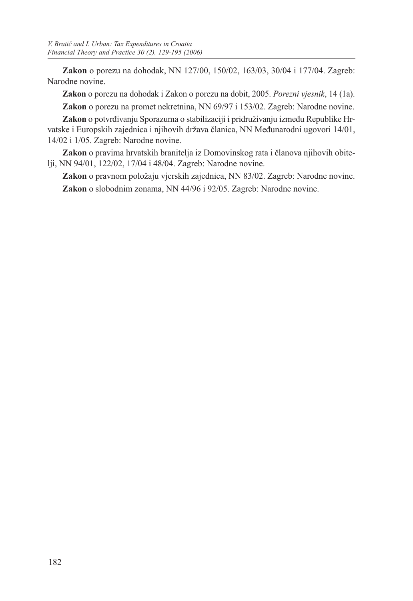**Zakon** o porezu na dohodak, NN 127/00, 150/02, 163/03, 30/04 i 177/04. Zagreb: Narodne novine.

**Zakon** o porezu na dohodak i Zakon o porezu na dobit, 2005. *Porezni vjesnik*, 14 (1a).

**Zakon** o porezu na promet nekretnina, NN 69/97 i 153/02. Zagreb: Narodne novine.

**Zakon** o potvrđivanju Sporazuma o stabilizaciji i pridruživanju između Republike Hrvatske i Europskih zajednica i njihovih država članica, NN Međunarodni ugovori 14/01, 14/02 i 1/05. Zagreb: Narodne novine.

**Zakon** o pravima hrvatskih branitelja iz Domovinskog rata i članova njihovih obitelji, NN 94/01, 122/02, 17/04 i 48/04. Zagreb: Narodne novine.

**Zakon** o pravnom položaju vjerskih zajednica, NN 83/02. Zagreb: Narodne novine. **Zakon** o slobodnim zonama, NN 44/96 i 92/05. Zagreb: Narodne novine.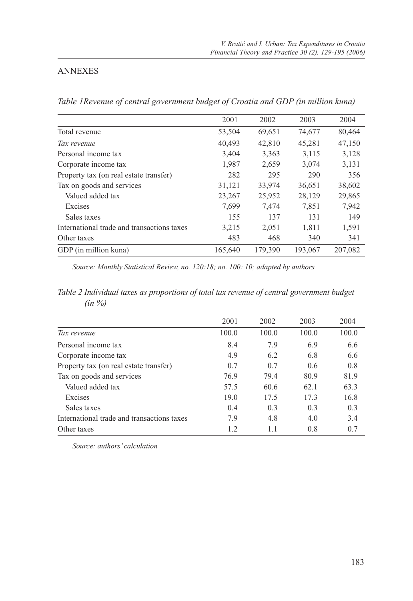## ANNEXES

*Table 1Revenue of central government budget of Croatia and GDP (in million kuna)*

|                                            | 2001    | 2002    | 2003    | 2004    |
|--------------------------------------------|---------|---------|---------|---------|
|                                            |         |         |         |         |
| Total revenue                              | 53,504  | 69,651  | 74,677  | 80,464  |
| Tax revenue                                | 40,493  | 42,810  | 45,281  | 47,150  |
| Personal income tax                        | 3,404   | 3,363   | 3,115   | 3,128   |
| Corporate income tax                       | 1,987   | 2,659   | 3,074   | 3,131   |
| Property tax (on real estate transfer)     | 282     | 295     | 290     | 356     |
| Tax on goods and services                  | 31,121  | 33,974  | 36,651  | 38,602  |
| Valued added tax                           | 23,267  | 25,952  | 28,129  | 29,865  |
| Excises                                    | 7,699   | 7,474   | 7,851   | 7.942   |
| Sales taxes                                | 155     | 137     | 131     | 149     |
| International trade and transactions taxes | 3,215   | 2,051   | 1,811   | 1,591   |
| Other taxes                                | 483     | 468     | 340     | 341     |
| GDP (in million kuna)                      | 165,640 | 179.390 | 193,067 | 207,082 |

*Source: Monthly Statistical Review, no. 120:18; no. 100: 10; adapted by authors*

*Table 2 Individual taxes as proportions of total tax revenue of central government budget (in %)*

|                                            | 2001  | 2002  | 2003  | 2004  |
|--------------------------------------------|-------|-------|-------|-------|
| Tax revenue                                | 100.0 | 100.0 | 100.0 | 100.0 |
| Personal income tax                        | 8.4   | 7.9   | 6.9   | 6.6   |
| Corporate income tax                       | 4.9   | 6.2   | 6.8   | 6.6   |
| Property tax (on real estate transfer)     | 0.7   | 0.7   | 0.6   | 0.8   |
| Tax on goods and services                  | 76.9  | 79.4  | 80.9  | 81.9  |
| Valued added tax                           | 57.5  | 60.6  | 62.1  | 63.3  |
| Excises                                    | 19.0  | 17.5  | 17.3  | 16.8  |
| Sales taxes                                | 0.4   | 0.3   | 0.3   | 0.3   |
| International trade and transactions taxes | 7.9   | 4.8   | 4.0   | 3.4   |
| Other taxes                                | 1.2   | 1.1   | 0.8   | 0.7   |

*Source: authors' calculation*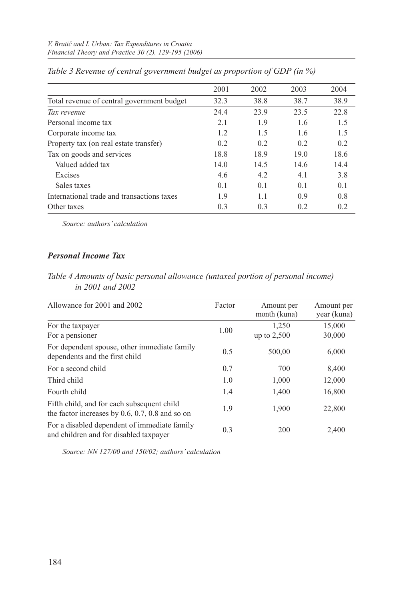| 2001 | 2002 | 2003 | 2004 |
|------|------|------|------|
| 32.3 | 38.8 | 38.7 | 38.9 |
| 24.4 | 23.9 | 23.5 | 22.8 |
| 2.1  | 1.9  | 1.6  | 1.5  |
| 1.2  | 1.5  | 1.6  | 1.5  |
| 0.2  | 0.2  | 0.2  | 0.2  |
| 18.8 | 18.9 | 19.0 | 18.6 |
| 14.0 | 14.5 | 14.6 | 14.4 |
| 4.6  | 4.2  | 4.1  | 3.8  |
| 0.1  | 0.1  | 0.1  | 0.1  |
| 1.9  | 1.1  | 0.9  | 0.8  |
| 0.3  | 0.3  | 0.2  | 0.2  |
|      |      |      |      |

*Table 3 Revenue of central government budget as proportion of GDP (in %)*

*Source: authors' calculation*

## *Personal Income Tax*

| Table 4 Amounts of basic personal allowance (untaxed portion of personal income) |  |  |  |
|----------------------------------------------------------------------------------|--|--|--|
| in 2001 and 2002                                                                 |  |  |  |

| Allowance for 2001 and 2002                                                                     | Factor | Amount per<br>month (kuna) | Amount per<br>year (kuna) |
|-------------------------------------------------------------------------------------------------|--------|----------------------------|---------------------------|
| For the taxpayer                                                                                | 1.00   | 1,250                      | 15,000                    |
| For a pensioner                                                                                 |        | up to $2,500$              | 30,000                    |
| For dependent spouse, other immediate family<br>dependents and the first child                  | 0.5    | 500,00                     | 6,000                     |
| For a second child                                                                              | 0.7    | 700                        | 8,400                     |
| Third child                                                                                     | 1.0    | 1,000                      | 12,000                    |
| Fourth child                                                                                    | 1.4    | 1,400                      | 16,800                    |
| Fifth child, and for each subsequent child<br>the factor increases by $0.6, 0.7, 0.8$ and so on | 1.9    | 1,900                      | 22,800                    |
| For a disabled dependent of immediate family<br>and children and for disabled taxpayer          | 0.3    | 200                        | 2,400                     |

*Source: NN 127/00 and 150/02; authors' calculation*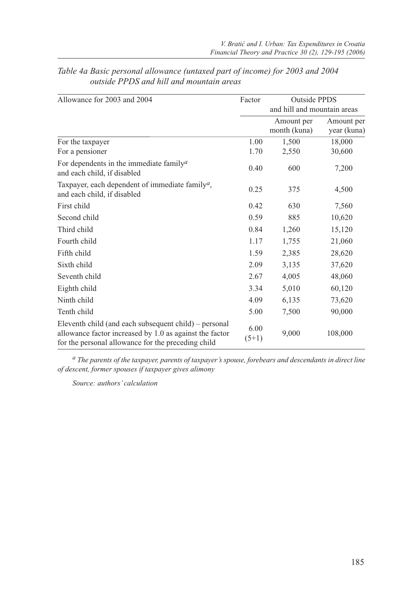| Allowance for 2003 and 2004                                                                                                                                            |                 | <b>Outside PPDS</b>         |                           |
|------------------------------------------------------------------------------------------------------------------------------------------------------------------------|-----------------|-----------------------------|---------------------------|
|                                                                                                                                                                        |                 | and hill and mountain areas |                           |
|                                                                                                                                                                        |                 | Amount per<br>month (kuna)  | Amount per<br>year (kuna) |
| For the taxpayer                                                                                                                                                       | 1.00            | 1,500                       | 18,000                    |
| For a pensioner                                                                                                                                                        | 1.70            | 2,550                       | 30,600                    |
| For dependents in the immediate family <sup><math>a</math></sup><br>and each child, if disabled                                                                        | 0.40            | 600                         | 7,200                     |
| Taxpayer, each dependent of immediate family <sup>a</sup> ,<br>and each child, if disabled                                                                             | 0.25            | 375                         | 4,500                     |
| First child                                                                                                                                                            | 0.42            | 630                         | 7,560                     |
| Second child                                                                                                                                                           | 0.59            | 885                         | 10,620                    |
| Third child                                                                                                                                                            | 0.84            | 1,260                       | 15,120                    |
| Fourth child                                                                                                                                                           | 1.17            | 1,755                       | 21,060                    |
| Fifth child                                                                                                                                                            | 1.59            | 2,385                       | 28,620                    |
| Sixth child                                                                                                                                                            | 2.09            | 3,135                       | 37,620                    |
| Seventh child                                                                                                                                                          | 2.67            | 4,005                       | 48,060                    |
| Eighth child                                                                                                                                                           | 3.34            | 5,010                       | 60,120                    |
| Ninth child                                                                                                                                                            | 4.09            | 6,135                       | 73,620                    |
| Tenth child                                                                                                                                                            | 5.00            | 7,500                       | 90,000                    |
| Eleventh child (and each subsequent child) – personal<br>allowance factor increased by 1.0 as against the factor<br>for the personal allowance for the preceding child | 6.00<br>$(5+1)$ | 9,000                       | 108,000                   |

## *Table 4a Basic personal allowance (untaxed part of income) for 2003 and 2004 outside PPDS and hill and mountain areas*

*a The parents of the taxpayer, parents of taxpayer's spouse, forebears and descendants in direct line of descent, former spouses if taxpayer gives alimony*

*Source: authors' calculation*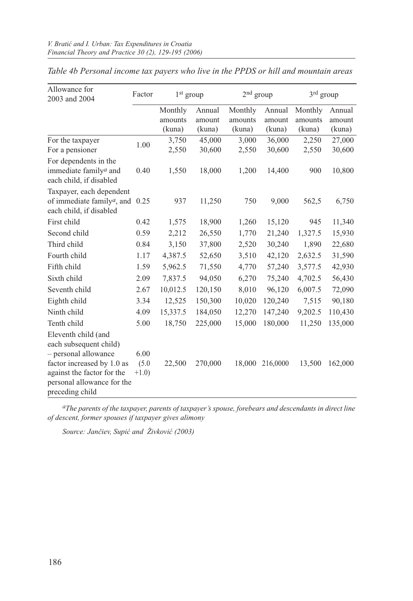| Allowance for<br>2003 and 2004                                                                            | Factor           | $1st$ group |         | 2 <sup>nd</sup> group |          | 3rd group |         |
|-----------------------------------------------------------------------------------------------------------|------------------|-------------|---------|-----------------------|----------|-----------|---------|
|                                                                                                           |                  | Monthly     | Annual  | Monthly               | Annual   | Monthly   | Annual  |
|                                                                                                           |                  | amounts     | amount  | amounts               | amount   | amounts   | amount  |
|                                                                                                           |                  | (kuna)      | (kuna)  | (kuna)                | (kuna)   | (kuna)    | (kuna)  |
| For the taxpayer                                                                                          | 1.00             | 3,750       | 45,000  | 3,000                 | 36,000   | 2,250     | 27,000  |
| For a pensioner                                                                                           |                  | 2,550       | 30,600  | 2,550                 | 30,600   | 2,550     | 30,600  |
| For dependents in the<br>immediate family <sup><i>a</i></sup> and                                         | 0.40             | 1,550       | 18,000  | 1,200                 | 14,400   | 900       | 10,800  |
| each child, if disabled                                                                                   |                  |             |         |                       |          |           |         |
| Taxpayer, each dependent<br>of immediate family <sup>a</sup> , and $0.25$<br>each child, if disabled      |                  | 937         | 11,250  | 750                   | 9,000    | 562,5     | 6,750   |
| First child                                                                                               | 0.42             | 1,575       | 18,900  | 1,260                 | 15,120   | 945       | 11,340  |
| Second child                                                                                              | 0.59             | 2,212       | 26,550  | 1,770                 | 21,240   | 1,327.5   | 15,930  |
| Third child                                                                                               | 0.84             | 3,150       | 37,800  | 2,520                 | 30,240   | 1,890     | 22,680  |
| Fourth child                                                                                              | 1.17             | 4,387.5     | 52,650  | 3,510                 | 42,120   | 2,632.5   | 31,590  |
| Fifth child                                                                                               | 1.59             | 5,962.5     | 71,550  | 4,770                 | 57,240   | 3,577.5   | 42,930  |
| Sixth child                                                                                               | 2.09             | 7,837.5     | 94,050  | 6,270                 | 75,240   | 4,702.5   | 56,430  |
| Seventh child                                                                                             | 2.67             | 10,012.5    | 120,150 | 8,010                 | 96,120   | 6,007.5   | 72,090  |
| Eighth child                                                                                              | 3.34             | 12,525      | 150,300 | 10,020                | 120,240  | 7,515     | 90,180  |
| Ninth child                                                                                               | 4.09             | 15,337.5    | 184,050 | 12,270                | 147,240  | 9,202.5   | 110,430 |
| Tenth child                                                                                               | 5.00             | 18,750      | 225,000 | 15,000                | 180,000  | 11,250    | 135,000 |
| Eleventh child (and<br>each subsequent child)<br>- personal allowance                                     | 6.00             |             |         |                       |          |           |         |
| factor increased by 1.0 as<br>against the factor for the<br>personal allowance for the<br>preceding child | (5.0)<br>$+1.0)$ | 22,500      | 270,000 | 18,000                | 216,0000 | 13,500    | 162,000 |

*Table 4b Personal income tax payers who live in the PPDS or hill and mountain areas*

*aThe parents of the taxpayer, parents of taxpayer's spouse, forebears and descendants in direct line of descent, former spouses if taxpayer gives alimony*

*Source: Jančiev, Supić and Živković (2003)*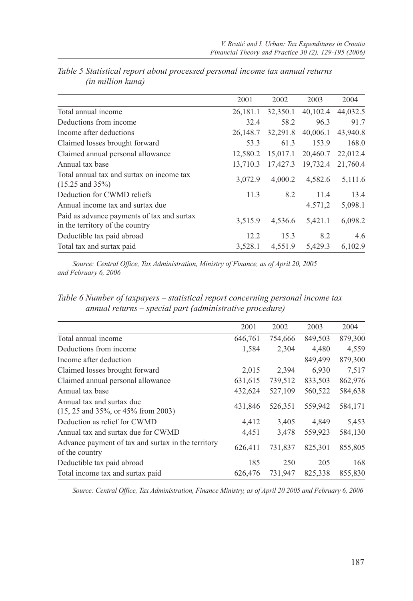|                                                                               | 2001     | 2002     | 2003     | 2004     |
|-------------------------------------------------------------------------------|----------|----------|----------|----------|
| Total annual income                                                           | 26,181.1 | 32,350.1 | 40,102.4 | 44,032.5 |
| Deductions from income                                                        | 32.4     | 58.2     | 96.3     | 91.7     |
| Income after deductions                                                       | 26,148.7 | 32,291.8 | 40,006.1 | 43,940.8 |
| Claimed losses brought forward                                                | 53.3     | 61.3     | 153.9    | 168.0    |
| Claimed annual personal allowance                                             | 12.580.2 | 15,017.1 | 20,460.7 | 22,012.4 |
| Annual tax base                                                               | 13.710.3 | 17,427.3 | 19,732.4 | 21,760.4 |
| Total annual tax and surtax on income tax<br>$(15.25 \text{ and } 35\%)$      | 3.072.9  | 4,000.2  | 4,582.6  | 5,111.6  |
| Deduction for CWMD reliefs                                                    | 11.3     | 8.2      | 11.4     | 13.4     |
| Annual income tax and surtax due                                              |          |          | 4.571,2  | 5,098.1  |
| Paid as advance payments of tax and surtax<br>in the territory of the country | 3,515.9  | 4,536.6  | 5,421.1  | 6,098.2  |
| Deductible tax paid abroad                                                    | 12.2     | 15.3     | 8.2      | 4.6      |
| Total tax and surtax paid                                                     | 3.528.1  | 4.551.9  | 5,429.3  | 6.102.9  |

*Table 5 Statistical report about processed personal income tax annual returns (in million kuna)*

*Source: Central Office, Tax Administration, Ministry of Finance, as of April 20, 2005 and February 6, 2006*

*Table 6 Number of taxpayers – statistical report concerning personal income tax annual returns – special part (administrative procedure)*

| 2001    | 2002    | 2003    | 2004    |
|---------|---------|---------|---------|
| 646,761 | 754,666 | 849,503 | 879,300 |
| 1,584   | 2,304   | 4,480   | 4,559   |
|         |         | 849,499 | 879,300 |
| 2,015   | 2,394   | 6.930   | 7,517   |
| 631,615 | 739,512 | 833,503 | 862,976 |
| 432,624 | 527,109 | 560,522 | 584,638 |
| 431,846 | 526,351 | 559,942 | 584,171 |
| 4,412   | 3,405   | 4,849   | 5,453   |
| 4,451   | 3,478   | 559,923 | 584,130 |
| 626,411 | 731,837 | 825,301 | 855,805 |
| 185     | 250     | 205     | 168     |
| 626,476 | 731.947 | 825.338 | 855,830 |
|         |         |         |         |

*Source: Central Office, Tax Administration, Finance Ministry, as of April 20 2005 and February 6, 2006*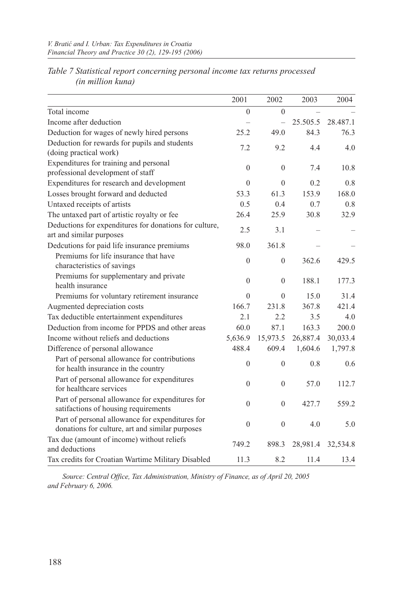|                                                                                                    | 2001         | 2002           | 2003     | 2004     |
|----------------------------------------------------------------------------------------------------|--------------|----------------|----------|----------|
| Total income                                                                                       | $\theta$     | $\theta$       |          |          |
| Income after deduction                                                                             |              | $\overline{a}$ | 25.505.5 | 28.487.1 |
| Deduction for wages of newly hired persons                                                         | 25.2         | 49.0           | 84.3     | 76.3     |
| Deduction for rewards for pupils and students<br>(doing practical work)                            | 7.2          | 9.2            | 4.4      | 4.0      |
| Expenditures for training and personal<br>professional development of staff                        | $\mathbf{0}$ | $\mathbf{0}$   | 7.4      | 10.8     |
| Expenditures for research and development                                                          | $\theta$     | $\theta$       | 0.2      | 0.8      |
| Losses brought forward and deducted                                                                | 53.3         | 61.3           | 153.9    | 168.0    |
| Untaxed receipts of artists                                                                        | 0.5          | 0.4            | 0.7      | 0.8      |
| The untaxed part of artistic royalty or fee                                                        | 26.4         | 25.9           | 30.8     | 32.9     |
| Deductions for expenditures for donations for culture,<br>art and similar purposes                 | 2.5          | 3.1            |          |          |
| Dedcutions for paid life insurance premiums                                                        | 98.0         | 361.8          |          |          |
| Premiums for life insurance that have<br>characteristics of savings                                | $\theta$     | $\overline{0}$ | 362.6    | 429.5    |
| Premiums for supplementary and private<br>health insurance                                         | $\theta$     | $\mathbf{0}$   | 188.1    | 177.3    |
| Premiums for voluntary retirement insurance                                                        | $\Omega$     | $\Omega$       | 15.0     | 31.4     |
| Augmented depreciation costs                                                                       | 166.7        | 231.8          | 367.8    | 421.4    |
| Tax deductible entertainment expenditures                                                          | 2.1          | 2.2            | 3.5      | 4.0      |
| Deduction from income for PPDS and other areas                                                     | 60.0         | 87.1           | 163.3    | 200.0    |
| Income without reliefs and deductions                                                              | 5,636.9      | 15,973.5       | 26,887.4 | 30,033.4 |
| Difference of personal allowance                                                                   | 488.4        | 609.4          | 1,604.6  | 1,797.8  |
| Part of personal allowance for contributions<br>for health insurance in the country                | $\theta$     | $\theta$       | 0.8      | 0.6      |
| Part of personal allowance for expenditures<br>for healthcare services                             | $\theta$     | $\mathbf{0}$   | 57.0     | 112.7    |
| Part of personal allowance for expenditures for<br>satifactions of housing requirements            | $\theta$     | $\theta$       | 427.7    | 559.2    |
| Part of personal allowance for expenditures for<br>donations for culture, art and similar purposes | $\theta$     | $\theta$       | 4.0      | 5.0      |
| Tax due (amount of income) without reliefs                                                         |              |                |          |          |
| and deductions                                                                                     | 749.2        | 898.3          | 28,981.4 | 32,534.8 |
| Tax credits for Croatian Wartime Military Disabled                                                 | 11.3         | 8.2            | 11.4     | 13.4     |

*Table 7 Statistical report concerning personal income tax returns processed (in million kuna)*

*Source: Central Office, Tax Administration, Ministry of Finance, as of April 20, 2005 and February 6, 2006.*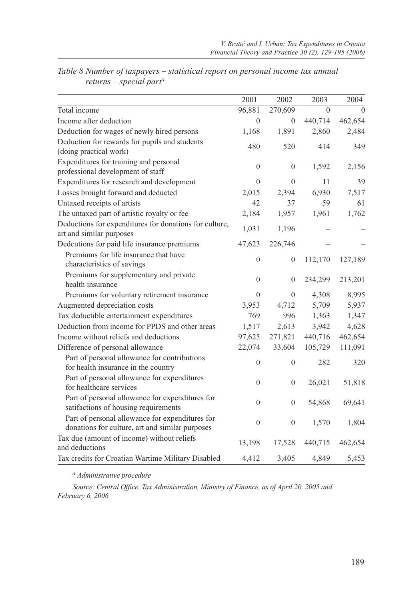|                                                                                                    | 2001         | 2002             | 2003     | 2004     |
|----------------------------------------------------------------------------------------------------|--------------|------------------|----------|----------|
| Total income                                                                                       | 96,881       | 270,609          | $\Omega$ | $\Omega$ |
| Income after deduction                                                                             | $\theta$     | $\mathbf{0}$     | 440,714  | 462,654  |
| Deduction for wages of newly hired persons                                                         | 1,168        | 1,891            | 2,860    | 2,484    |
| Deduction for rewards for pupils and students                                                      | 480          | 520              | 414      | 349      |
| (doing practical work)                                                                             |              |                  |          |          |
| Expenditures for training and personal                                                             | $\mathbf{0}$ | $\boldsymbol{0}$ | 1,592    | 2,156    |
| professional development of staff                                                                  |              |                  |          |          |
| Expenditures for research and development                                                          | $\theta$     | $\theta$         | 11       | 39       |
| Losses brought forward and deducted                                                                | 2,015        | 2,394            | 6,930    | 7,517    |
| Untaxed receipts of artists                                                                        | 42           | 37               | 59       | 61       |
| The untaxed part of artistic royalty or fee                                                        | 2,184        | 1,957            | 1,961    | 1,762    |
| Deductions for expenditures for donations for culture,<br>art and similar purposes                 | 1,031        | 1,196            |          |          |
| Dedcutions for paid life insurance premiums                                                        | 47,623       | 226,746          |          |          |
| Premiums for life insurance that have<br>characteristics of savings                                | $\mathbf{0}$ | $\mathbf{0}$     | 112,170  | 127,189  |
| Premiums for supplementary and private<br>health insurance                                         | $\theta$     | $\mathbf{0}$     | 234,299  | 213,201  |
| Premiums for voluntary retirement insurance                                                        | $\mathbf{0}$ | $\mathbf{0}$     | 4,308    | 8,995    |
| Augmented depreciation costs                                                                       | 3,953        | 4,712            | 5,709    | 5,937    |
| Tax deductible entertainment expenditures                                                          | 769          | 996              | 1,363    | 1,347    |
| Deduction from income for PPDS and other areas                                                     | 1,517        | 2,613            | 3,942    | 4,628    |
| Income without reliefs and deductions                                                              | 97,625       | 271,821          | 440,716  | 462,654  |
| Difference of personal allowance                                                                   | 22,074       | 33,604           | 105,729  | 111,091  |
| Part of personal allowance for contributions<br>for health insurance in the country                | $\mathbf{0}$ | $\mathbf{0}$     | 282      | 320      |
| Part of personal allowance for expenditures<br>for healthcare services                             | $\mathbf{0}$ | $\mathbf{0}$     | 26,021   | 51,818   |
| Part of personal allowance for expenditures for<br>satifactions of housing requirements            | $\theta$     | $\mathbf{0}$     | 54,868   | 69,641   |
| Part of personal allowance for expenditures for<br>donations for culture, art and similar purposes | $\theta$     | $\mathbf{0}$     | 1,570    | 1,804    |
| Tax due (amount of income) without reliefs<br>and deductions                                       | 13,198       | 17,528           | 440,715  | 462,654  |
| Tax credits for Croatian Wartime Military Disabled                                                 | 4,412        | 3,405            | 4,849    | 5,453    |

*Table 8 Number of taxpayers – statistical report on personal income tax annual returns – special parta*

*a Administrative procedure*

*Source: Central Office, Tax Administration, Ministry of Finance, as of April 20, 2005 and February 6, 2006*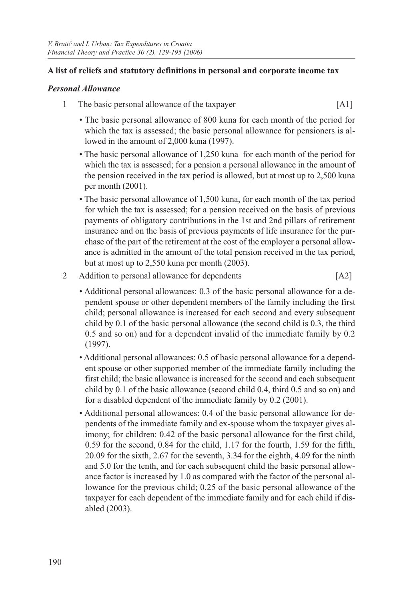## **A list of reliefs and statutory definitions in personal and corporate income tax**

## *Personal Allowance*

- 1 The basic personal allowance of the taxpayer [A1]
	- The basic personal allowance of 800 kuna for each month of the period for which the tax is assessed; the basic personal allowance for pensioners is allowed in the amount of 2,000 kuna (1997).
	- The basic personal allowance of 1,250 kuna for each month of the period for which the tax is assessed; for a pension a personal allowance in the amount of the pension received in the tax period is allowed, but at most up to 2,500 kuna per month (2001).
	- The basic personal allowance of 1,500 kuna, for each month of the tax period for which the tax is assessed; for a pension received on the basis of previous payments of obligatory contributions in the 1st and 2nd pillars of retirement insurance and on the basis of previous payments of life insurance for the purchase of the part of the retirement at the cost of the employer a personal allowance is admitted in the amount of the total pension received in the tax period, but at most up to 2,550 kuna per month (2003).

## 2 Addition to personal allowance for dependents [A2]

- Additional personal allowances: 0.3 of the basic personal allowance for a dependent spouse or other dependent members of the family including the first child; personal allowance is increased for each second and every subsequent child by 0.1 of the basic personal allowance (the second child is 0.3, the third 0.5 and so on) and for a dependent invalid of the immediate family by 0.2 (1997).
- Additional personal allowances: 0.5 of basic personal allowance for a dependent spouse or other supported member of the immediate family including the first child; the basic allowance is increased for the second and each subsequent child by 0.1 of the basic allowance (second child 0.4, third 0.5 and so on) and for a disabled dependent of the immediate family by 0.2 (2001).
- Additional personal allowances: 0.4 of the basic personal allowance for dependents of the immediate family and ex-spouse whom the taxpayer gives alimony; for children: 0.42 of the basic personal allowance for the first child, 0.59 for the second, 0.84 for the child, 1.17 for the fourth, 1.59 for the fifth, 20.09 for the sixth, 2.67 for the seventh, 3.34 for the eighth, 4.09 for the ninth and 5.0 for the tenth, and for each subsequent child the basic personal allowance factor is increased by 1.0 as compared with the factor of the personal allowance for the previous child; 0.25 of the basic personal allowance of the taxpayer for each dependent of the immediate family and for each child if disabled (2003).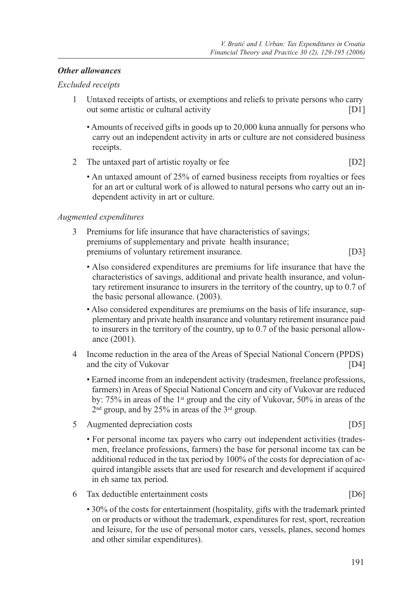#### *Other allowances*

#### *Excluded receipts*

- 1 Untaxed receipts of artists, or exemptions and reliefs to private persons who carry out some artistic or cultural activity [D1]
	- Amounts of received gifts in goods up to 20,000 kuna annually for persons who carry out an independent activity in arts or culture are not considered business receipts.
- 2 The untaxed part of artistic royalty or fee [D2]
	- An untaxed amount of 25% of earned business receipts from royalties or fees for an art or cultural work of is allowed to natural persons who carry out an independent activity in art or culture.

#### *Augmented expenditures*

- 3 Premiums for life insurance that have characteristics of savings; premiums of supplementary and private health insurance; premiums of voluntary retirement insurance. [D3]
	- Also considered expenditures are premiums for life insurance that have the characteristics of savings, additional and private health insurance, and voluntary retirement insurance to insurers in the territory of the country, up to 0.7 of the basic personal allowance. (2003).
	- Also considered expenditures are premiums on the basis of life insurance, supplementary and private health insurance and voluntary retirement insurance paid to insurers in the territory of the country, up to 0.7 of the basic personal allowance (2001).
- 4 Income reduction in the area of the Areas of Special National Concern (PPDS) and the city of Vukovar [D4]
	- Earned income from an independent activity (tradesmen, freelance professions, farmers) in Areas of Special National Concern and city of Vukovar are reduced by: 75% in areas of the 1st group and the city of Vukovar, 50% in areas of the 2nd group, and by 25% in areas of the 3rd group.
- 5 Augmented depreciation costs [D5]
	- For personal income tax payers who carry out independent activities (tradesmen, freelance professions, farmers) the base for personal income tax can be additional reduced in the tax period by 100% of the costs for depreciation of acquired intangible assets that are used for research and development if acquired in eh same tax period.
- 6 Tax deductible entertainment costs [D6]
	- 30% of the costs for entertainment (hospitality, gifts with the trademark printed on or products or without the trademark, expenditures for rest, sport, recreation and leisure, for the use of personal motor cars, vessels, planes, second homes and other similar expenditures).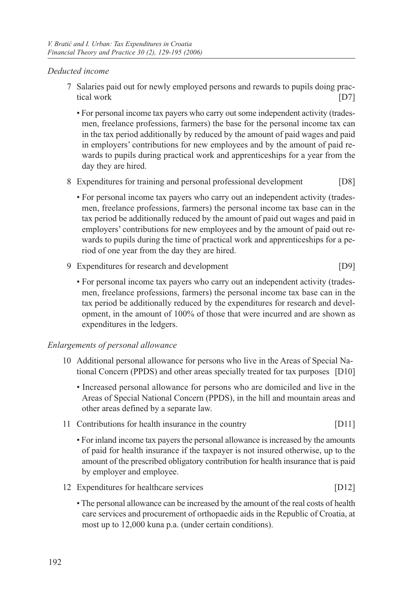### *Deducted income*

- 7 Salaries paid out for newly employed persons and rewards to pupils doing practical work [D7]
	- For personal income tax payers who carry out some independent activity (tradesmen, freelance professions, farmers) the base for the personal income tax can in the tax period additionally by reduced by the amount of paid wages and paid in employers' contributions for new employees and by the amount of paid rewards to pupils during practical work and apprenticeships for a year from the day they are hired.
- 8 Expenditures for training and personal professional development [D8]
	- For personal income tax payers who carry out an independent activity (tradesmen, freelance professions, farmers) the personal income tax base can in the tax period be additionally reduced by the amount of paid out wages and paid in employers' contributions for new employees and by the amount of paid out rewards to pupils during the time of practical work and apprenticeships for a period of one year from the day they are hired.
- 9 Expenditures for research and development [D9]
	- For personal income tax payers who carry out an independent activity (tradesmen, freelance professions, farmers) the personal income tax base can in the tax period be additionally reduced by the expenditures for research and development, in the amount of 100% of those that were incurred and are shown as expenditures in the ledgers.

## *Enlargements of personal allowance*

- 10 Additional personal allowance for persons who live in the Areas of Special National Concern (PPDS) and other areas specially treated for tax purposes [D10]
	- Increased personal allowance for persons who are domiciled and live in the Areas of Special National Concern (PPDS), in the hill and mountain areas and other areas defined by a separate law.
- 11 Contributions for health insurance in the country [D11]
	- For inland income tax payers the personal allowance is increased by the amounts of paid for health insurance if the taxpayer is not insured otherwise, up to the amount of the prescribed obligatory contribution for health insurance that is paid by employer and employee.
- 12 Expenditures for healthcare services [D12]
	- The personal allowance can be increased by the amount of the real costs of health care services and procurement of orthopaedic aids in the Republic of Croatia, at most up to 12,000 kuna p.a. (under certain conditions).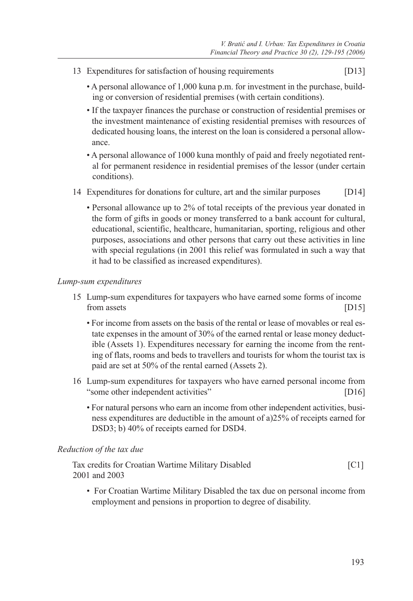- 13 Expenditures for satisfaction of housing requirements [D13]
	- A personal allowance of 1,000 kuna p.m. for investment in the purchase, building or conversion of residential premises (with certain conditions).
	- If the taxpayer finances the purchase or construction of residential premises or the investment maintenance of existing residential premises with resources of dedicated housing loans, the interest on the loan is considered a personal allowance.
	- A personal allowance of 1000 kuna monthly of paid and freely negotiated rental for permanent residence in residential premises of the lessor (under certain conditions).
- 14 Expenditures for donations for culture, art and the similar purposes [D14]
	- Personal allowance up to 2% of total receipts of the previous year donated in the form of gifts in goods or money transferred to a bank account for cultural, educational, scientific, healthcare, humanitarian, sporting, religious and other purposes, associations and other persons that carry out these activities in line with special regulations (in 2001 this relief was formulated in such a way that it had to be classified as increased expenditures).

#### *Lump-sum expenditures*

- 15 Lump-sum expenditures for taxpayers who have earned some forms of income from assets [D15]
	- For income from assets on the basis of the rental or lease of movables or real estate expenses in the amount of 30% of the earned rental or lease money deductible (Assets 1). Expenditures necessary for earning the income from the renting of flats, rooms and beds to travellers and tourists for whom the tourist tax is paid are set at 50% of the rental earned (Assets 2).
- 16 Lump-sum expenditures for taxpayers who have earned personal income from "some other independent activities" [D16]
	- For natural persons who earn an income from other independent activities, business expenditures are deductible in the amount of a)25% of receipts earned for DSD3; b) 40% of receipts earned for DSD4.

#### *Reduction of the tax due*

| Tax credits for Croatian Wartime Military Disabled | $\lfloor C1 \rfloor$ |
|----------------------------------------------------|----------------------|
| 2001 and 2003                                      |                      |

 • For Croatian Wartime Military Disabled the tax due on personal income from employment and pensions in proportion to degree of disability.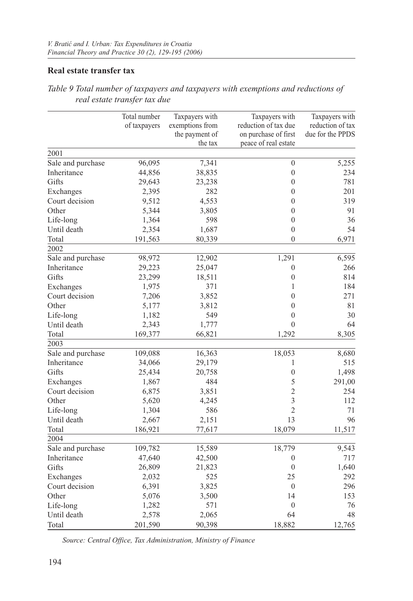## **Real estate transfer tax**

|                   | Total number | Taxpayers with  | Taxpayers with       | Taxpayers with   |
|-------------------|--------------|-----------------|----------------------|------------------|
|                   | of taxpayers | exemptions from | reduction of tax due | reduction of tax |
|                   |              | the payment of  | on purchase of first | due for the PPDS |
|                   |              | the tax         | peace of real estate |                  |
| 2001              |              |                 |                      |                  |
| Sale and purchase | 96,095       | 7,341           | $\mathbf{0}$         | 5,255            |
| Inheritance       | 44,856       | 38,835          | $\boldsymbol{0}$     | 234              |
| Gifts             | 29,643       | 23,238          | $\mathbf{0}$         | 781              |
| Exchanges         | 2,395        | 282             | $\mathbf{0}$         | 201              |
| Court decision    | 9,512        | 4,553           | $\mathbf{0}$         | 319              |
| Other             | 5,344        | 3,805           | $\theta$             | 91               |
| Life-long         | 1,364        | 598             | $\mathbf{0}$         | 36               |
| Until death       | 2,354        | 1,687           | $\overline{0}$       | 54               |
| Total             | 191,563      | 80,339          | $\Omega$             | 6,971            |
| 2002              |              |                 |                      |                  |
| Sale and purchase | 98,972       | 12,902          | 1,291                | 6,595            |
| Inheritance       | 29,223       | 25,047          | $\boldsymbol{0}$     | 266              |
| Gifts             | 23,299       | 18,511          | $\overline{0}$       | 814              |
| Exchanges         | 1,975        | 371             | $\mathbf{1}$         | 184              |
| Court decision    | 7,206        | 3,852           | $\mathbf{0}$         | 271              |
| Other             | 5,177        | 3,812           | $\mathbf{0}$         | 81               |
| Life-long         | 1,182        | 549             | $\mathbf{0}$         | 30               |
| Until death       | 2,343        | 1,777           | $\mathbf{0}$         | 64               |
| Total             | 169,377      | 66,821          | 1,292                | 8,305            |
| 2003              |              |                 |                      |                  |
| Sale and purchase | 109,088      | 16,363          | 18,053               | 8,680            |
| Inheritance       | 34,066       | 29,179          | 1                    | 515              |
| Gifts             | 25,434       | 20,758          | $\overline{0}$       | 1,498            |
| Exchanges         | 1,867        | 484             | 5                    | 291,00           |
| Court decision    | 6,875        | 3,851           | $\overline{2}$       | 254              |
| Other             | 5,620        | 4,245           | 3                    | 112              |
| Life-long         | 1,304        | 586             | $\overline{2}$       | 71               |
| Until death       | 2,667        | 2,151           | 13                   | 96               |
| Total             | 186,921      | 77,617          | 18,079               | 11,517           |
| 2004              |              |                 |                      |                  |
| Sale and purchase | 109,782      | 15,589          | 18,779               | 9,543            |
| Inheritance       | 47,640       | 42,500          | $\boldsymbol{0}$     | 717              |
| Gifts             | 26,809       | 21,823          | $\mathbf{0}$         | 1,640            |
| Exchanges         | 2,032        | 525             | 25                   | 292              |
| Court decision    | 6,391        | 3,825           | $\mathbf{0}$         | 296              |
| Other             | 5,076        | 3,500           | 14                   | 153              |
| Life-long         | 1,282        | 571             | $\boldsymbol{0}$     | 76               |
| Until death       | 2,578        | 2,065           | 64                   | 48               |
| Total             | 201,590      | 90,398          | 18,882               | 12,765           |

*Table 9 Total number of taxpayers and taxpayers with exemptions and reductions of real estate transfer tax due*

*Source: Central Office, Tax Administration, Ministry of Finance*